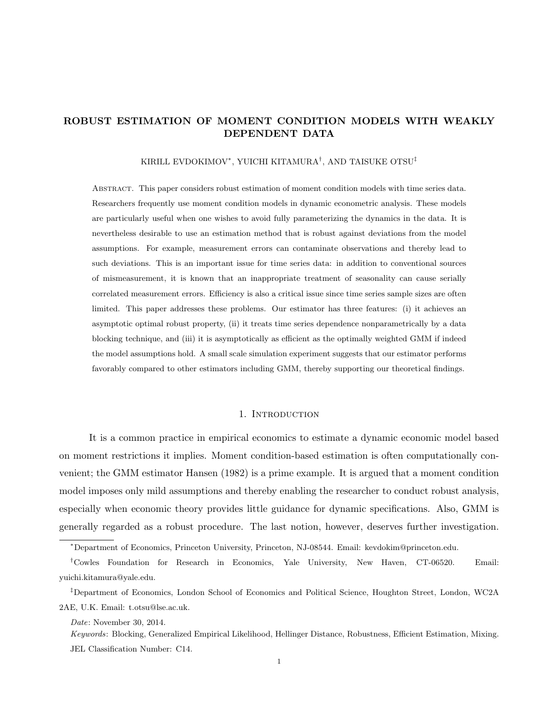### ROBUST ESTIMATION OF MOMENT CONDITION MODELS WITH WEAKLY DEPENDENT DATA

### KIRILL EVDOKIMOV<sup>∗</sup> , YUICHI KITAMURA† , AND TAISUKE OTSU‡

Abstract. This paper considers robust estimation of moment condition models with time series data. Researchers frequently use moment condition models in dynamic econometric analysis. These models are particularly useful when one wishes to avoid fully parameterizing the dynamics in the data. It is nevertheless desirable to use an estimation method that is robust against deviations from the model assumptions. For example, measurement errors can contaminate observations and thereby lead to such deviations. This is an important issue for time series data: in addition to conventional sources of mismeasurement, it is known that an inappropriate treatment of seasonality can cause serially correlated measurement errors. Efficiency is also a critical issue since time series sample sizes are often limited. This paper addresses these problems. Our estimator has three features: (i) it achieves an asymptotic optimal robust property, (ii) it treats time series dependence nonparametrically by a data blocking technique, and (iii) it is asymptotically as efficient as the optimally weighted GMM if indeed the model assumptions hold. A small scale simulation experiment suggests that our estimator performs favorably compared to other estimators including GMM, thereby supporting our theoretical findings.

### 1. INTRODUCTION

It is a common practice in empirical economics to estimate a dynamic economic model based on moment restrictions it implies. Moment condition-based estimation is often computationally convenient; the GMM estimator Hansen (1982) is a prime example. It is argued that a moment condition model imposes only mild assumptions and thereby enabling the researcher to conduct robust analysis, especially when economic theory provides little guidance for dynamic specifications. Also, GMM is generally regarded as a robust procedure. The last notion, however, deserves further investigation.

<sup>∗</sup>Department of Economics, Princeton University, Princeton, NJ-08544. Email: kevdokim@princeton.edu.

<sup>†</sup>Cowles Foundation for Research in Economics, Yale University, New Haven, CT-06520. Email: yuichi.kitamura@yale.edu.

<sup>‡</sup>Department of Economics, London School of Economics and Political Science, Houghton Street, London, WC2A 2AE, U.K. Email: t.otsu@lse.ac.uk.

Date: November 30, 2014.

Keywords: Blocking, Generalized Empirical Likelihood, Hellinger Distance, Robustness, Efficient Estimation, Mixing. JEL Classification Number: C14.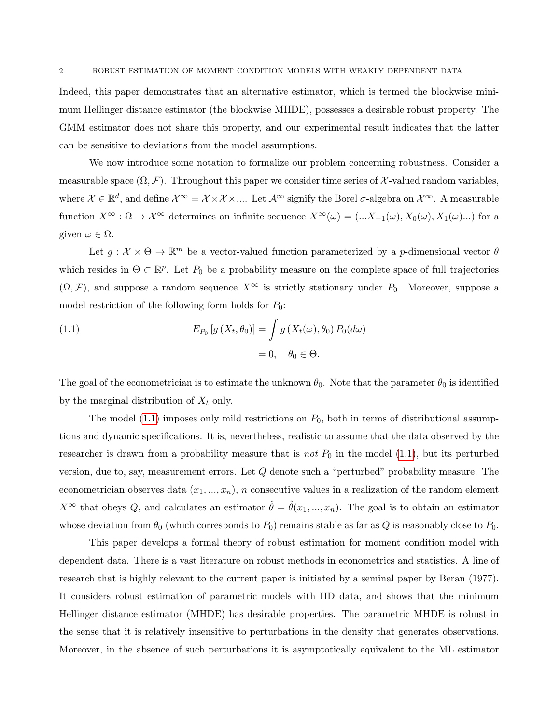Indeed, this paper demonstrates that an alternative estimator, which is termed the blockwise minimum Hellinger distance estimator (the blockwise MHDE), possesses a desirable robust property. The GMM estimator does not share this property, and our experimental result indicates that the latter can be sensitive to deviations from the model assumptions.

We now introduce some notation to formalize our problem concerning robustness. Consider a measurable space  $(\Omega, \mathcal{F})$ . Throughout this paper we consider time series of X-valued random variables, where  $\mathcal{X} \in \mathbb{R}^d$ , and define  $\mathcal{X}^{\infty} = \mathcal{X} \times \mathcal{X} \times \dots$ . Let  $\mathcal{A}^{\infty}$  signify the Borel  $\sigma$ -algebra on  $\mathcal{X}^{\infty}$ . A measurable function  $X^{\infty}$ :  $\Omega \to \mathcal{X}^{\infty}$  determines an infinite sequence  $X^{\infty}(\omega) = (...X_{-1}(\omega), X_0(\omega), X_1(\omega)...)$  for a given  $\omega \in \Omega$ .

Let  $g: \mathcal{X} \times \Theta \to \mathbb{R}^m$  be a vector-valued function parameterized by a p-dimensional vector  $\theta$ which resides in  $\Theta \subset \mathbb{R}^p$ . Let  $P_0$  be a probability measure on the complete space of full trajectories  $(\Omega, \mathcal{F})$ , and suppose a random sequence  $X^{\infty}$  is strictly stationary under  $P_0$ . Moreover, suppose a model restriction of the following form holds for  $P_0$ :

<span id="page-1-0"></span>(1.1) 
$$
E_{P_0}[g(X_t, \theta_0)] = \int g(X_t(\omega), \theta_0) P_0(d\omega)
$$

$$
= 0, \quad \theta_0 \in \Theta.
$$

The goal of the econometrician is to estimate the unknown  $\theta_0$ . Note that the parameter  $\theta_0$  is identified by the marginal distribution of  $X_t$  only.

The model [\(1.1\)](#page-1-0) imposes only mild restrictions on  $P_0$ , both in terms of distributional assumptions and dynamic specifications. It is, nevertheless, realistic to assume that the data observed by the researcher is drawn from a probability measure that is not  $P_0$  in the model [\(1.1\)](#page-1-0), but its perturbed version, due to, say, measurement errors. Let Q denote such a "perturbed" probability measure. The econometrician observes data  $(x_1, ..., x_n)$ , n consecutive values in a realization of the random element  $X^{\infty}$  that obeys Q, and calculates an estimator  $\hat{\theta} = \hat{\theta}(x_1, ..., x_n)$ . The goal is to obtain an estimator whose deviation from  $\theta_0$  (which corresponds to  $P_0$ ) remains stable as far as Q is reasonably close to  $P_0$ .

This paper develops a formal theory of robust estimation for moment condition model with dependent data. There is a vast literature on robust methods in econometrics and statistics. A line of research that is highly relevant to the current paper is initiated by a seminal paper by Beran (1977). It considers robust estimation of parametric models with IID data, and shows that the minimum Hellinger distance estimator (MHDE) has desirable properties. The parametric MHDE is robust in the sense that it is relatively insensitive to perturbations in the density that generates observations. Moreover, in the absence of such perturbations it is asymptotically equivalent to the ML estimator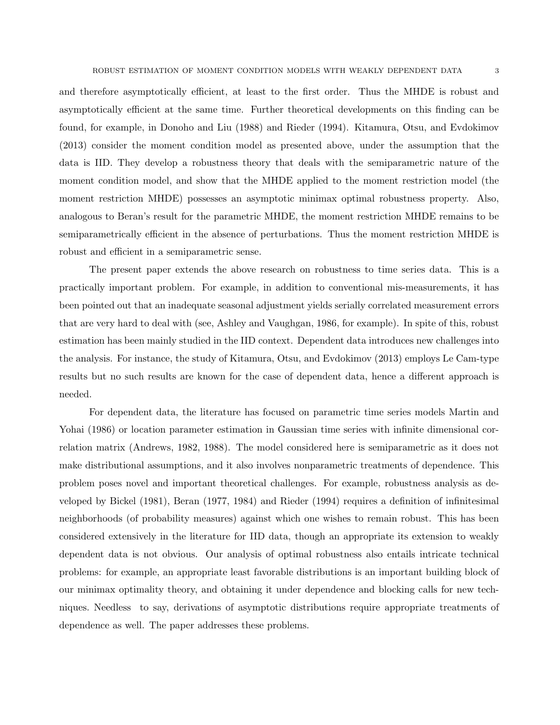and therefore asymptotically efficient, at least to the first order. Thus the MHDE is robust and asymptotically efficient at the same time. Further theoretical developments on this finding can be found, for example, in Donoho and Liu (1988) and Rieder (1994). Kitamura, Otsu, and Evdokimov (2013) consider the moment condition model as presented above, under the assumption that the data is IID. They develop a robustness theory that deals with the semiparametric nature of the moment condition model, and show that the MHDE applied to the moment restriction model (the moment restriction MHDE) possesses an asymptotic minimax optimal robustness property. Also, analogous to Beran's result for the parametric MHDE, the moment restriction MHDE remains to be semiparametrically efficient in the absence of perturbations. Thus the moment restriction MHDE is robust and efficient in a semiparametric sense.

The present paper extends the above research on robustness to time series data. This is a practically important problem. For example, in addition to conventional mis-measurements, it has been pointed out that an inadequate seasonal adjustment yields serially correlated measurement errors that are very hard to deal with (see, Ashley and Vaughgan, 1986, for example). In spite of this, robust estimation has been mainly studied in the IID context. Dependent data introduces new challenges into the analysis. For instance, the study of Kitamura, Otsu, and Evdokimov (2013) employs Le Cam-type results but no such results are known for the case of dependent data, hence a different approach is needed.

For dependent data, the literature has focused on parametric time series models Martin and Yohai (1986) or location parameter estimation in Gaussian time series with infinite dimensional correlation matrix (Andrews, 1982, 1988). The model considered here is semiparametric as it does not make distributional assumptions, and it also involves nonparametric treatments of dependence. This problem poses novel and important theoretical challenges. For example, robustness analysis as developed by Bickel (1981), Beran (1977, 1984) and Rieder (1994) requires a definition of infinitesimal neighborhoods (of probability measures) against which one wishes to remain robust. This has been considered extensively in the literature for IID data, though an appropriate its extension to weakly dependent data is not obvious. Our analysis of optimal robustness also entails intricate technical problems: for example, an appropriate least favorable distributions is an important building block of our minimax optimality theory, and obtaining it under dependence and blocking calls for new techniques. Needless to say, derivations of asymptotic distributions require appropriate treatments of dependence as well. The paper addresses these problems.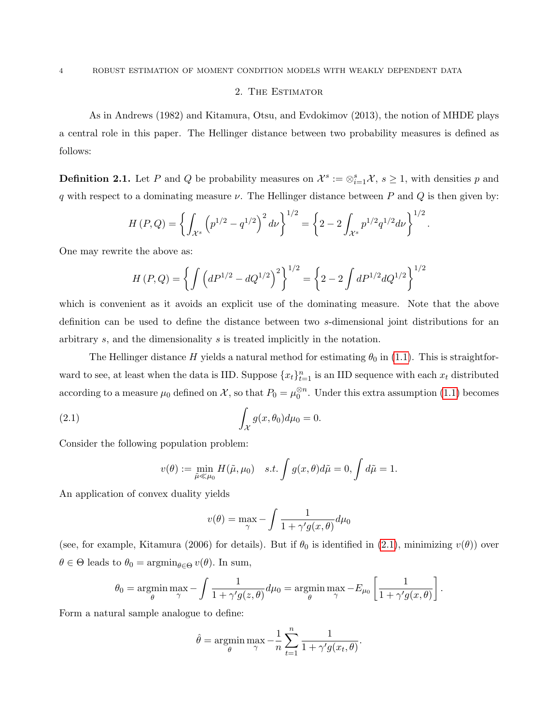### 2. The Estimator

As in Andrews (1982) and Kitamura, Otsu, and Evdokimov (2013), the notion of MHDE plays a central role in this paper. The Hellinger distance between two probability measures is defined as follows:

**Definition 2.1.** Let P and Q be probability measures on  $\mathcal{X}^s := \otimes_{i=1}^s \mathcal{X}, s \geq 1$ , with densities p and q with respect to a dominating measure  $\nu$ . The Hellinger distance between P and Q is then given by:

$$
H(P,Q) = \left\{ \int_{\mathcal{X}^s} \left( p^{1/2} - q^{1/2} \right)^2 d\nu \right\}^{1/2} = \left\{ 2 - 2 \int_{\mathcal{X}^s} p^{1/2} q^{1/2} d\nu \right\}^{1/2}
$$

.

One may rewrite the above as:

$$
H(P,Q) = \left\{ \int \left( dP^{1/2} - dQ^{1/2} \right)^2 \right\}^{1/2} = \left\{ 2 - 2 \int dP^{1/2} dQ^{1/2} \right\}^{1/2}
$$

which is convenient as it avoids an explicit use of the dominating measure. Note that the above definition can be used to define the distance between two s-dimensional joint distributions for an arbitrary s, and the dimensionality s is treated implicitly in the notation.

The Hellinger distance H yields a natural method for estimating  $\theta_0$  in [\(1.1\)](#page-1-0). This is straightforward to see, at least when the data is IID. Suppose  $\{x_t\}_{t=1}^n$  is an IID sequence with each  $x_t$  distributed according to a measure  $\mu_0$  defined on X, so that  $P_0 = \mu_0^{\otimes n}$ . Under this extra assumption [\(1.1\)](#page-1-0) becomes

(2.1) 
$$
\int_{\mathcal{X}} g(x,\theta_0) d\mu_0 = 0.
$$

Consider the following population problem:

<span id="page-3-0"></span>
$$
v(\theta) := \min_{\tilde{\mu} \ll \mu_0} H(\tilde{\mu}, \mu_0) \quad s.t. \int g(x, \theta) d\tilde{\mu} = 0, \int d\tilde{\mu} = 1.
$$

An application of convex duality yields

$$
v(\theta) = \max_{\gamma} - \int \frac{1}{1 + \gamma' g(x, \theta)} d\mu_0
$$

(see, for example, Kitamura (2006) for details). But if  $\theta_0$  is identified in [\(2.1\)](#page-3-0), minimizing  $v(\theta)$ ) over  $\theta \in \Theta$  leads to  $\theta_0 = \operatorname{argmin}_{\theta \in \Theta} v(\theta)$ . In sum,

$$
\theta_0 = \operatorname*{argmin}_{\theta} \max_{\gamma} - \int \frac{1}{1 + \gamma' g(z, \theta)} d\mu_0 = \operatorname*{argmin}_{\theta} \max_{\gamma} -E_{\mu_0} \left[ \frac{1}{1 + \gamma' g(x, \theta)} \right].
$$

Form a natural sample analogue to define:

$$
\hat{\theta} = \underset{\theta}{\text{argmin}} \max_{\gamma} -\frac{1}{n} \sum_{t=1}^{n} \frac{1}{1 + \gamma' g(x_t, \theta)}.
$$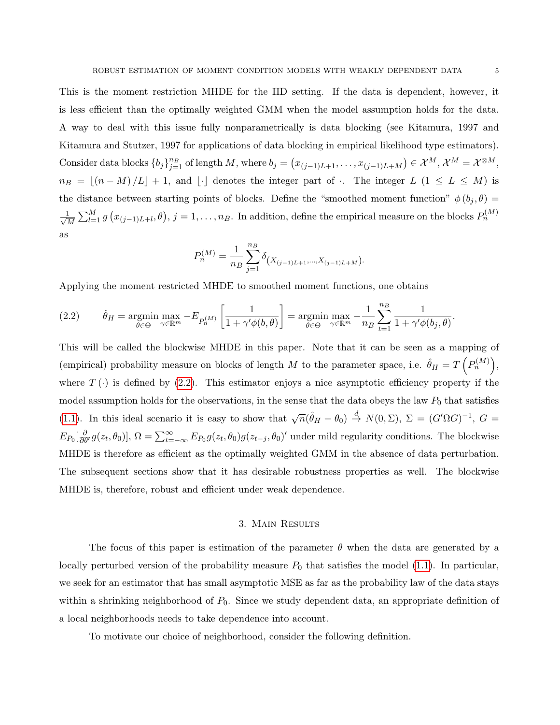This is the moment restriction MHDE for the IID setting. If the data is dependent, however, it is less efficient than the optimally weighted GMM when the model assumption holds for the data. A way to deal with this issue fully nonparametrically is data blocking (see Kitamura, 1997 and Kitamura and Stutzer, 1997 for applications of data blocking in empirical likelihood type estimators). Consider data blocks  ${b_j}_{j=1}^{{n_B}}$  of length M, where  $b_j = (x_{(j-1)L+1}, \ldots, x_{(j-1)L+M}) \in \mathcal{X}^M$ ,  $\mathcal{X}^M = \mathcal{X}^{\otimes M}$ ,  $n_B = \lfloor (n - M)/L \rfloor + 1$ , and  $\lfloor \cdot \rfloor$  denotes the integer part of  $\lceil \cdot \rceil$ . The integer L  $(1 \leq L \leq M)$  is the distance between starting points of blocks. Define the "smoothed moment function"  $\phi(b_i, \theta)$  =  $\frac{1}{\sqrt{2}}$  $\frac{1}{M}\sum_{l=1}^{M} g(x_{(j-1)L+l},\theta), j=1,\ldots,n_B$ . In addition, define the empirical measure on the blocks  $P_n^{(M)}$ as

$$
P_n^{(M)} = \frac{1}{n_B} \sum_{j=1}^{n_B} \delta_{(X_{(j-1)L+1},...,X_{(j-1)L+M})}.
$$

Applying the moment restricted MHDE to smoothed moment functions, one obtains

<span id="page-4-0"></span>(2.2) 
$$
\hat{\theta}_H = \underset{\theta \in \Theta}{\text{argmin}} \max_{\gamma \in \mathbb{R}^m} -E_{P_n^{(M)}} \left[ \frac{1}{1 + \gamma' \phi(b, \theta)} \right] = \underset{\theta \in \Theta}{\text{argmin}} \max_{\gamma \in \mathbb{R}^m} -\frac{1}{n_B} \sum_{t=1}^{n_B} \frac{1}{1 + \gamma' \phi(b_j, \theta)}.
$$

This will be called the blockwise MHDE in this paper. Note that it can be seen as a mapping of (empirical) probability measure on blocks of length M to the parameter space, i.e.  $\hat{\theta}_H = T\left(P_n^{(M)}\right)$ , where  $T(\cdot)$  is defined by [\(2.2\)](#page-4-0). This estimator enjoys a nice asymptotic efficiency property if the model assumption holds for the observations, in the sense that the data obeys the law  $P_0$  that satisfies [\(1.1\)](#page-1-0). In this ideal scenario it is easy to show that  $\sqrt{n}(\hat{\theta}_H - \theta_0) \stackrel{d}{\rightarrow} N(0, \Sigma)$ ,  $\Sigma = (G'\Omega G)^{-1}$ ,  $G =$  $E_{P_0}[\frac{\partial}{\partial \theta'} g(z_t, \theta_0)], \Omega = \sum_{t=-\infty}^{\infty} E_{P_0} g(z_t, \theta_0) g(z_{t-j}, \theta_0)'$  under mild regularity conditions. The blockwise MHDE is therefore as efficient as the optimally weighted GMM in the absence of data perturbation. The subsequent sections show that it has desirable robustness properties as well. The blockwise MHDE is, therefore, robust and efficient under weak dependence.

### 3. Main Results

<span id="page-4-1"></span>The focus of this paper is estimation of the parameter  $\theta$  when the data are generated by a locally perturbed version of the probability measure  $P_0$  that satisfies the model [\(1.1\)](#page-1-0). In particular, we seek for an estimator that has small asymptotic MSE as far as the probability law of the data stays within a shrinking neighborhood of  $P_0$ . Since we study dependent data, an appropriate definition of a local neighborhoods needs to take dependence into account.

To motivate our choice of neighborhood, consider the following definition.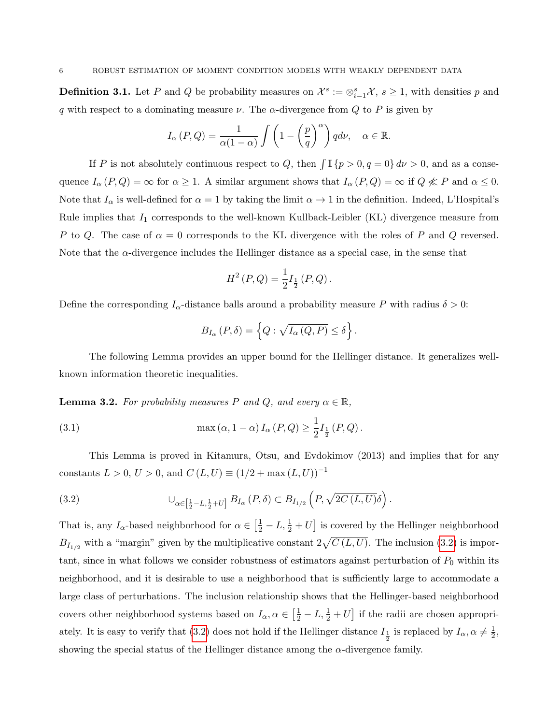<span id="page-5-2"></span>**Definition 3.1.** Let P and Q be probability measures on  $\mathcal{X}^s := \otimes_{i=1}^s \mathcal{X}, s \geq 1$ , with densities p and q with respect to a dominating measure  $\nu$ . The  $\alpha$ -divergence from Q to P is given by

$$
I_{\alpha}(P,Q) = \frac{1}{\alpha(1-\alpha)} \int \left(1 - \left(\frac{p}{q}\right)^{\alpha}\right) q d\nu, \quad \alpha \in \mathbb{R}.
$$

If P is not absolutely continuous respect to Q, then  $\int \mathbb{I} \{p > 0, q = 0\} d\nu > 0$ , and as a consequence  $I_{\alpha}(P,Q) = \infty$  for  $\alpha \geq 1$ . A similar argument shows that  $I_{\alpha}(P,Q) = \infty$  if  $Q \nless P$  and  $\alpha \leq 0$ . Note that  $I_{\alpha}$  is well-defined for  $\alpha = 1$  by taking the limit  $\alpha \to 1$  in the definition. Indeed, L'Hospital's Rule implies that  $I_1$  corresponds to the well-known Kullback-Leibler (KL) divergence measure from P to Q. The case of  $\alpha = 0$  corresponds to the KL divergence with the roles of P and Q reversed. Note that the  $\alpha$ -divergence includes the Hellinger distance as a special case, in the sense that

$$
H^{2}(P,Q) = \frac{1}{2}I_{\frac{1}{2}}(P,Q).
$$

Define the corresponding  $I_{\alpha}$ -distance balls around a probability measure P with radius  $\delta > 0$ :

$$
B_{I_{\alpha}}(P,\delta) = \left\{Q: \sqrt{I_{\alpha}(Q,P)} \leq \delta\right\}.
$$

The following Lemma provides an upper bound for the Hellinger distance. It generalizes wellknown information theoretic inequalities.

<span id="page-5-1"></span>**Lemma 3.2.** For probability measures P and Q, and every  $\alpha \in \mathbb{R}$ ,

(3.1) 
$$
\max(\alpha, 1 - \alpha) I_{\alpha}(P, Q) \ge \frac{1}{2} I_{\frac{1}{2}}(P, Q).
$$

This Lemma is proved in Kitamura, Otsu, and Evdokimov (2013) and implies that for any constants  $L > 0$ ,  $U > 0$ , and  $C(L, U) \equiv (1/2 + \max(L, U))^{-1}$ 

<span id="page-5-0"></span>(3.2) 
$$
\cup_{\alpha \in [\frac{1}{2} - L, \frac{1}{2} + U]} B_{I_{\alpha}}(P, \delta) \subset B_{I_{1/2}}(P, \sqrt{2C(L, U)}\delta).
$$

That is, any  $I_{\alpha}$ -based neighborhood for  $\alpha \in \left[\frac{1}{2} - L, \frac{1}{2} + U\right]$  is covered by the Hellinger neighborhood  $B_{I_{1/2}}$  with a "margin" given by the multiplicative constant  $2\sqrt{C(L, U)}$ . The inclusion [\(3.2\)](#page-5-0) is important, since in what follows we consider robustness of estimators against perturbation of  $P_0$  within its neighborhood, and it is desirable to use a neighborhood that is sufficiently large to accommodate a large class of perturbations. The inclusion relationship shows that the Hellinger-based neighborhood covers other neighborhood systems based on  $I_{\alpha}, \alpha \in \left[\frac{1}{2} - L, \frac{1}{2} + U\right]$  if the radii are chosen appropri-ately. It is easy to verify that [\(3.2\)](#page-5-0) does not hold if the Hellinger distance  $I_{\frac{1}{2}}$  is replaced by  $I_{\alpha}, \alpha \neq \frac{1}{2}$  $\frac{1}{2}$ , showing the special status of the Hellinger distance among the  $\alpha$ -divergence family.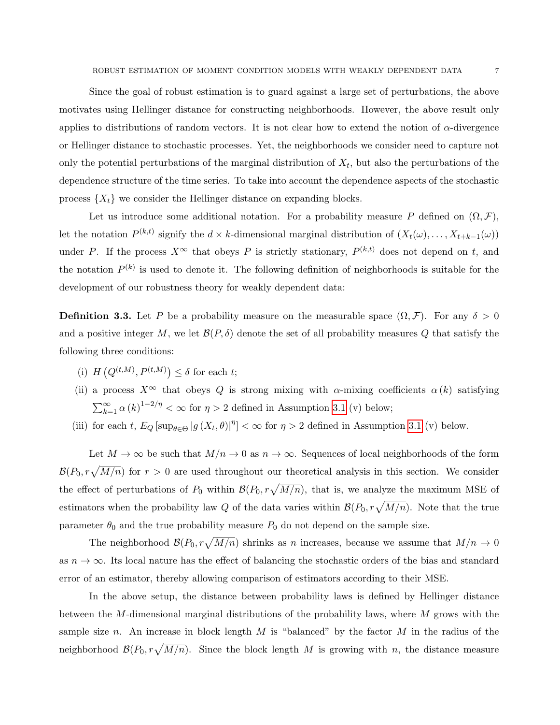Since the goal of robust estimation is to guard against a large set of perturbations, the above motivates using Hellinger distance for constructing neighborhoods. However, the above result only applies to distributions of random vectors. It is not clear how to extend the notion of  $\alpha$ -divergence or Hellinger distance to stochastic processes. Yet, the neighborhoods we consider need to capture not only the potential perturbations of the marginal distribution of  $X_t$ , but also the perturbations of the dependence structure of the time series. To take into account the dependence aspects of the stochastic process  $\{X_t\}$  we consider the Hellinger distance on expanding blocks.

Let us introduce some additional notation. For a probability measure P defined on  $(\Omega, \mathcal{F})$ , let the notation  $P^{(k,t)}$  signify the  $d \times k$ -dimensional marginal distribution of  $(X_t(\omega), \ldots, X_{t+k-1}(\omega))$ under P. If the process  $X^{\infty}$  that obeys P is strictly stationary,  $P^{(k,t)}$  does not depend on t, and the notation  $P^{(k)}$  is used to denote it. The following definition of neighborhoods is suitable for the development of our robustness theory for weakly dependent data:

<span id="page-6-0"></span>**Definition 3.3.** Let P be a probability measure on the measurable space  $(\Omega, \mathcal{F})$ . For any  $\delta > 0$ and a positive integer M, we let  $\mathcal{B}(P,\delta)$  denote the set of all probability measures Q that satisfy the following three conditions:

- (i)  $H(Q^{(t,M)}, P^{(t,M)}) \leq \delta$  for each t;
- (ii) a process  $X^{\infty}$  that obeys Q is strong mixing with  $\alpha$ -mixing coefficients  $\alpha(k)$  satisfying  $\sum_{k=1}^{\infty} \alpha(k)^{1-2/\eta} < \infty$  for  $\eta > 2$  defined in Assumption [3.1](#page-8-0) (v) below;
- (iii) for each t,  $E_Q$  [sup<sub> $\theta \in \Theta$ </sub> |g  $(X_t, \theta)|^{\eta}$ ] <  $\infty$  for  $\eta > 2$  defined in Assumption [3.1](#page-8-0) (v) below.

Let  $M \to \infty$  be such that  $M/n \to 0$  as  $n \to \infty$ . Sequences of local neighborhoods of the form  $\mathcal{B}(P_0, r\sqrt{M/n})$  for  $r > 0$  are used throughout our theoretical analysis in this section. We consider the effect of perturbations of  $P_0$  within  $\mathcal{B}(P_0, r\sqrt{M/n})$ , that is, we analyze the maximum MSE of estimators when the probability law Q of the data varies within  $\mathcal{B}(P_0, r\sqrt{M/n})$ . Note that the true parameter  $\theta_0$  and the true probability measure  $P_0$  do not depend on the sample size.

The neighborhood  $\mathcal{B}(P_0, r\sqrt{M/n})$  shrinks as n increases, because we assume that  $M/n \to 0$ as  $n \to \infty$ . Its local nature has the effect of balancing the stochastic orders of the bias and standard error of an estimator, thereby allowing comparison of estimators according to their MSE.

In the above setup, the distance between probability laws is defined by Hellinger distance between the M-dimensional marginal distributions of the probability laws, where M grows with the sample size n. An increase in block length M is "balanced" by the factor M in the radius of the neighborhood  $\mathcal{B}(P_0, r\sqrt{M/n})$ . Since the block length M is growing with n, the distance measure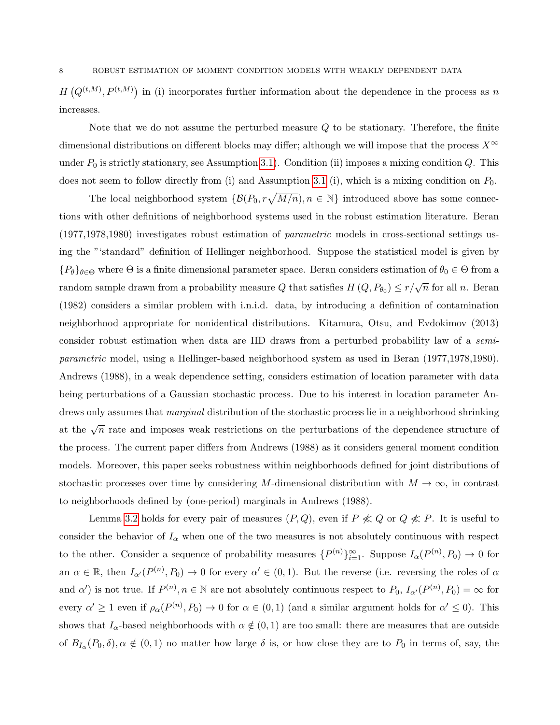8 ROBUST ESTIMATION OF MOMENT CONDITION MODELS WITH WEAKLY DEPENDENT DATA

 $H(Q^{(t,M)}, P^{(t,M)})$  in (i) incorporates further information about the dependence in the process as n increases.

Note that we do not assume the perturbed measure Q to be stationary. Therefore, the finite dimensional distributions on different blocks may differ; although we will impose that the process  $X^{\infty}$ under  $P_0$  is strictly stationary, see Assumption [3.1\)](#page-8-0). Condition (ii) imposes a mixing condition  $Q$ . This does not seem to follow directly from (i) and Assumption [3.1](#page-8-0) (i), which is a mixing condition on  $P_0$ .

The local neighborhood system  $\{ \mathcal{B}(P_0, r\sqrt{M/n}), n \in \mathbb{N} \}$  introduced above has some connections with other definitions of neighborhood systems used in the robust estimation literature. Beran (1977,1978,1980) investigates robust estimation of parametric models in cross-sectional settings using the "'standard" definition of Hellinger neighborhood. Suppose the statistical model is given by  ${P_{\theta}}_{\theta \in \Theta}$  where  $\Theta$  is a finite dimensional parameter space. Beran considers estimation of  $\theta_0 \in \Theta$  from a random sample drawn from a probability measure Q that satisfies  $H(Q, P_{\theta_0}) \leq r/\sqrt{n}$  for all n. Beran (1982) considers a similar problem with i.n.i.d. data, by introducing a definition of contamination neighborhood appropriate for nonidentical distributions. Kitamura, Otsu, and Evdokimov (2013) consider robust estimation when data are IID draws from a perturbed probability law of a semiparametric model, using a Hellinger-based neighborhood system as used in Beran (1977,1978,1980). Andrews (1988), in a weak dependence setting, considers estimation of location parameter with data being perturbations of a Gaussian stochastic process. Due to his interest in location parameter Andrews only assumes that *marginal* distribution of the stochastic process lie in a neighborhood shrinking at the  $\sqrt{n}$  rate and imposes weak restrictions on the perturbations of the dependence structure of the process. The current paper differs from Andrews (1988) as it considers general moment condition models. Moreover, this paper seeks robustness within neighborhoods defined for joint distributions of stochastic processes over time by considering M-dimensional distribution with  $M \to \infty$ , in contrast to neighborhoods defined by (one-period) marginals in Andrews (1988).

Lemma [3.2](#page-5-1) holds for every pair of measures  $(P, Q)$ , even if  $P \nless Q$  or  $Q \nless P$ . It is useful to consider the behavior of  $I_{\alpha}$  when one of the two measures is not absolutely continuous with respect to the other. Consider a sequence of probability measures  $\{P^{(n)}\}_{n=1}^{\infty}$ . Suppose  $I_{\alpha}(P^{(n)}, P_0) \to 0$  for an  $\alpha \in \mathbb{R}$ , then  $I_{\alpha'}(P^{(n)}, P_0) \to 0$  for every  $\alpha' \in (0, 1)$ . But the reverse (i.e. reversing the roles of  $\alpha$ and  $\alpha'$ ) is not true. If  $P^{(n)}$ ,  $n \in \mathbb{N}$  are not absolutely continuous respect to  $P_0$ ,  $I_{\alpha'}(P^{(n)}, P_0) = \infty$  for every  $\alpha' \geq 1$  even if  $\rho_\alpha(P^{(n)}, P_0) \to 0$  for  $\alpha \in (0, 1)$  (and a similar argument holds for  $\alpha' \leq 0$ ). This shows that  $I_{\alpha}$ -based neighborhoods with  $\alpha \notin (0, 1)$  are too small: there are measures that are outside of  $B_{I_{\alpha}}(P_0,\delta), \alpha \notin (0,1)$  no matter how large  $\delta$  is, or how close they are to  $P_0$  in terms of, say, the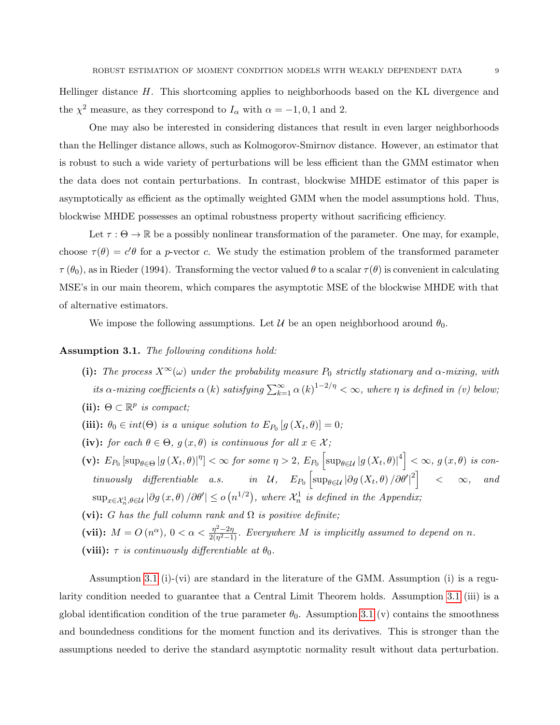Hellinger distance H. This shortcoming applies to neighborhoods based on the KL divergence and the  $\chi^2$  measure, as they correspond to  $I_\alpha$  with  $\alpha = -1, 0, 1$  and 2.

One may also be interested in considering distances that result in even larger neighborhoods than the Hellinger distance allows, such as Kolmogorov-Smirnov distance. However, an estimator that is robust to such a wide variety of perturbations will be less efficient than the GMM estimator when the data does not contain perturbations. In contrast, blockwise MHDE estimator of this paper is asymptotically as efficient as the optimally weighted GMM when the model assumptions hold. Thus, blockwise MHDE possesses an optimal robustness property without sacrificing efficiency.

Let  $\tau : \Theta \to \mathbb{R}$  be a possibly nonlinear transformation of the parameter. One may, for example, choose  $\tau(\theta) = c'\theta$  for a p-vector c. We study the estimation problem of the transformed parameter  $\tau(\theta_0)$ , as in Rieder (1994). Transforming the vector valued  $\theta$  to a scalar  $\tau(\theta)$  is convenient in calculating MSE's in our main theorem, which compares the asymptotic MSE of the blockwise MHDE with that of alternative estimators.

We impose the following assumptions. Let  $\mathcal U$  be an open neighborhood around  $\theta_0$ .

### <span id="page-8-0"></span>Assumption 3.1. The following conditions hold:

- (i): The process  $X^{\infty}(\omega)$  under the probability measure  $P_0$  strictly stationary and  $\alpha$ -mixing, with its  $\alpha$ -mixing coefficients  $\alpha(k)$  satisfying  $\sum_{k=1}^{\infty} \alpha(k)^{1-2/\eta} < \infty$ , where  $\eta$  is defined in (v) below;
- (ii):  $\Theta \subset \mathbb{R}^p$  is compact;
- (iii):  $\theta_0 \in int(\Theta)$  is a unique solution to  $E_{P_0}[g(X_t, \theta)] = 0$ ;
- (iv): for each  $\theta \in \Theta$ ,  $g(x, \theta)$  is continuous for all  $x \in \mathcal{X}$ ;
- $(v): E_{P_0}[\sup_{\theta \in \Theta} |g(X_t, \theta)|^{\eta}] < \infty$  for some  $\eta > 2$ ,  $E_{P_0}[\sup_{\theta \in \mathcal{U}} |g(X_t, \theta)|^4] < \infty$ ,  $g(x, \theta)$  is continuously differentiable a.s. in U,  $E_{P_0}\left[\sup_{\theta \in \mathcal{U}} |\partial g(X_t, \theta)|/\partial \theta' |^2\right]$  <  $\infty$ , and  $\sup_{x \in \mathcal{X}_n^1, \theta \in \mathcal{U}} |\partial g(x, \theta)| / \partial \theta' | \le o(n^{1/2}),$  where  $\mathcal{X}_n^1$  is defined in the Appendix;
- (vi): G has the full column rank and  $\Omega$  is positive definite;
- (vii):  $M = O(n^{\alpha})$ ,  $0 < \alpha < \frac{\eta^2 2\eta}{2(n^2 1)}$  $\frac{\eta^2-2\eta}{2(\eta^2-1)}$ . Everywhere M is implicitly assumed to depend on n. (viii):  $\tau$  is continuously differentiable at  $\theta_0$ .

Assumption [3.1](#page-8-0) (i)-(vi) are standard in the literature of the GMM. Assumption (i) is a regularity condition needed to guarantee that a Central Limit Theorem holds. Assumption [3.1](#page-8-0) (iii) is a global identification condition of the true parameter  $\theta_0$ . Assumption [3.1](#page-8-0) (v) contains the smoothness and boundedness conditions for the moment function and its derivatives. This is stronger than the assumptions needed to derive the standard asymptotic normality result without data perturbation.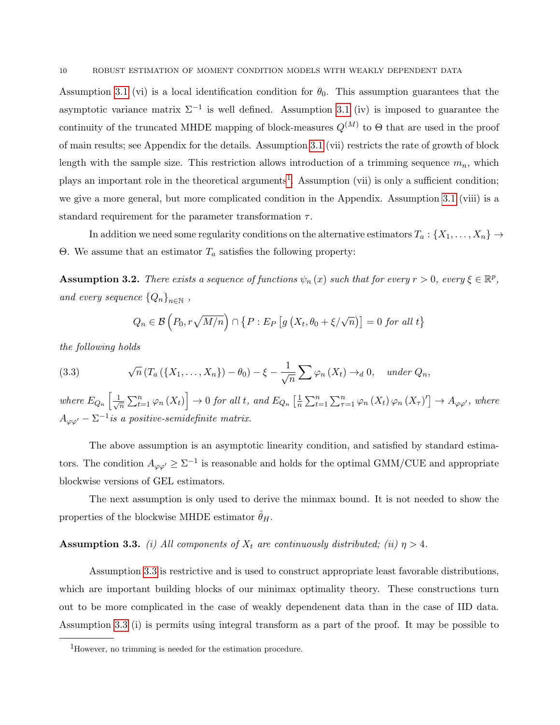Assumption [3.1](#page-8-0) (vi) is a local identification condition for  $\theta_0$ . This assumption guarantees that the asymptotic variance matrix  $\Sigma^{-1}$  is well defined. Assumption [3.1](#page-8-0) (iv) is imposed to guarantee the continuity of the truncated MHDE mapping of block-measures  $Q^{(M)}$  to  $\Theta$  that are used in the proof of main results; see Appendix for the details. Assumption [3.1](#page-8-0) (vii) restricts the rate of growth of block length with the sample size. This restriction allows introduction of a trimming sequence  $m_n$ , which plays an important role in the theoretical arguments<sup>[1](#page-9-0)</sup>. Assumption (vii) is only a sufficient condition; we give a more general, but more complicated condition in the Appendix. Assumption [3.1](#page-8-0) (viii) is a standard requirement for the parameter transformation  $\tau$ .

In addition we need some regularity conditions on the alternative estimators  $T_a: \{X_1, \ldots, X_n\} \to$ Θ. We assume that an estimator  $T_a$  satisfies the following property:

<span id="page-9-2"></span>**Assumption 3.2.** There exists a sequence of functions  $\psi_n(x)$  such that for every  $r > 0$ , every  $\xi \in \mathbb{R}^p$ , and every sequence  $\{Q_n\}_{n\in\mathbb{N}}$ ,

<span id="page-9-3"></span>
$$
Q_n \in \mathcal{B}\left(P_0, r\sqrt{M/n}\right) \cap \left\{P : E_P\left[g\left(X_t, \theta_0 + \xi/\sqrt{n}\right)\right] = 0 \text{ for all } t\right\}
$$

the following holds

(3.3) 
$$
\sqrt{n} (T_a({X_1,\ldots,X_n}) - \theta_0) - \xi - \frac{1}{\sqrt{n}} \sum \varphi_n(X_t) \to_d 0, \quad under \ Q_n,
$$

where  $E_{Q_n} \left[ \frac{1}{\sqrt{2}} \right]$  $\left[\frac{1}{n}\sum_{t=1}^n\varphi_n\left(X_t\right)\right]\rightarrow 0$  for all t, and  $E_{Q_n}\left[\frac{1}{n}\right]$  $\frac{1}{n} \sum_{t=1}^{n} \sum_{\tau=1}^{n} \varphi_n(X_t) \varphi_n(X_\tau)' \to A_{\varphi \varphi'}$ , where  $A_{\varphi\varphi'} - \Sigma^{-1}$  is a positive-semidefinite matrix.

The above assumption is an asymptotic linearity condition, and satisfied by standard estimators. The condition  $A_{\varphi\varphi'} \geq \Sigma^{-1}$  is reasonable and holds for the optimal GMM/CUE and appropriate blockwise versions of GEL estimators.

The next assumption is only used to derive the minmax bound. It is not needed to show the properties of the blockwise MHDE estimator  $\ddot{\theta}_H$ .

### <span id="page-9-1"></span>**Assumption 3.3.** (i) All components of  $X_t$  are continuously distributed; (ii)  $\eta > 4$ .

Assumption [3.3](#page-9-1) is restrictive and is used to construct appropriate least favorable distributions, which are important building blocks of our minimax optimality theory. These constructions turn out to be more complicated in the case of weakly dependenent data than in the case of IID data. Assumption [3.3](#page-9-1) (i) is permits using integral transform as a part of the proof. It may be possible to

<span id="page-9-0"></span><sup>1</sup>However, no trimming is needed for the estimation procedure.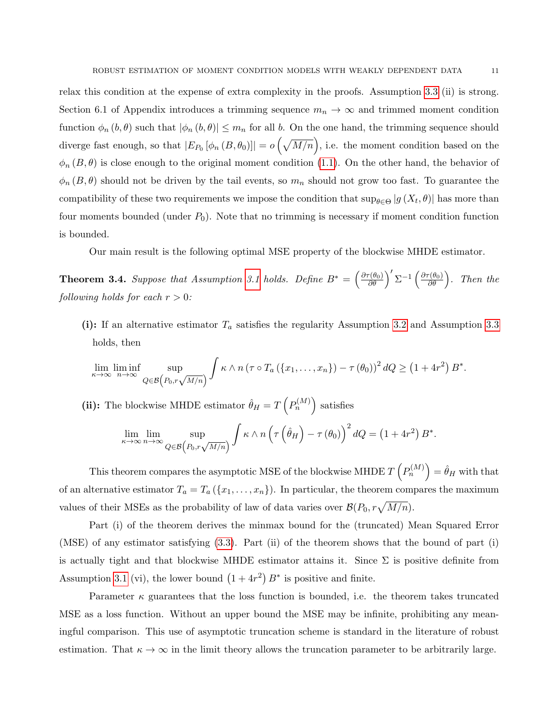relax this condition at the expense of extra complexity in the proofs. Assumption [3.3](#page-9-1) (ii) is strong. Section 6.1 of Appendix introduces a trimming sequence  $m_n \to \infty$  and trimmed moment condition function  $\phi_n(b, \theta)$  such that  $|\phi_n(b, \theta)| \leq m_n$  for all b. On the one hand, the trimming sequence should diverge fast enough, so that  $|E_{P_0}[\phi_n(B, \theta_0)]| = o\left(\sqrt{M/n}\right)$ , i.e. the moment condition based on the  $\phi_n(B, \theta)$  is close enough to the original moment condition [\(1.1\)](#page-1-0). On the other hand, the behavior of  $\phi_n(B, \theta)$  should not be driven by the tail events, so  $m_n$  should not grow too fast. To guarantee the compatibility of these two requirements we impose the condition that  $\sup_{\theta \in \Theta} |g(X_t, \theta)|$  has more than four moments bounded (under  $P_0$ ). Note that no trimming is necessary if moment condition function is bounded.

Our main result is the following optimal MSE property of the blockwise MHDE estimator.

<span id="page-10-0"></span>**Theorem 3.4.** Suppose that Assumption [3.1](#page-8-0) holds. Define  $B^* = \left(\frac{\partial \tau(\theta_0)}{\partial \theta}\right)' \Sigma^{-1} \left(\frac{\partial \tau(\theta_0)}{\partial \theta}\right)$ . Then the following holds for each  $r > 0$ :

(i): If an alternative estimator  $T_a$  satisfies the regularity Assumption [3.2](#page-9-2) and Assumption [3.3](#page-9-1) holds, then

$$
\lim_{\kappa \to \infty} \liminf_{n \to \infty} \sup_{Q \in \mathcal{B}\left(P_0, r\sqrt{M/n}\right)} \int \kappa \wedge n \left(\tau \circ T_a\left(\{x_1, \ldots, x_n\}\right) - \tau\left(\theta_0\right)\right)^2 dQ \geq \left(1 + 4r^2\right) B^*.
$$

(ii): The blockwise MHDE estimator  $\hat{\theta}_H = T\left(P_n^{(M)}\right)$  satisfies

$$
\lim_{\kappa \to \infty} \lim_{n \to \infty} \sup_{Q \in \mathcal{B}\left(P_0, r\sqrt{M/n}\right)} \int \kappa \wedge n \left(\tau\left(\hat{\theta}_H\right) - \tau\left(\theta_0\right)\right)^2 dQ = \left(1 + 4r^2\right) B^*.
$$

This theorem compares the asymptotic MSE of the blockwise MHDE  $T\left(P_n^{(M)}\right) = \hat{\theta}_H$  with that of an alternative estimator  $T_a = T_a (\{x_1, \ldots, x_n\})$ . In particular, the theorem compares the maximum values of their MSEs as the probability of law of data varies over  $\mathcal{B}(P_0, r\sqrt{M/n})$ .

Part (i) of the theorem derives the minmax bound for the (truncated) Mean Squared Error (MSE) of any estimator satisfying [\(3.3\)](#page-9-3). Part (ii) of the theorem shows that the bound of part (i) is actually tight and that blockwise MHDE estimator attains it. Since  $\Sigma$  is positive definite from Assumption [3.1](#page-8-0) (vi), the lower bound  $(1+4r^2)B^*$  is positive and finite.

Parameter  $\kappa$  guarantees that the loss function is bounded, i.e. the theorem takes truncated MSE as a loss function. Without an upper bound the MSE may be infinite, prohibiting any meaningful comparison. This use of asymptotic truncation scheme is standard in the literature of robust estimation. That  $\kappa \to \infty$  in the limit theory allows the truncation parameter to be arbitrarily large.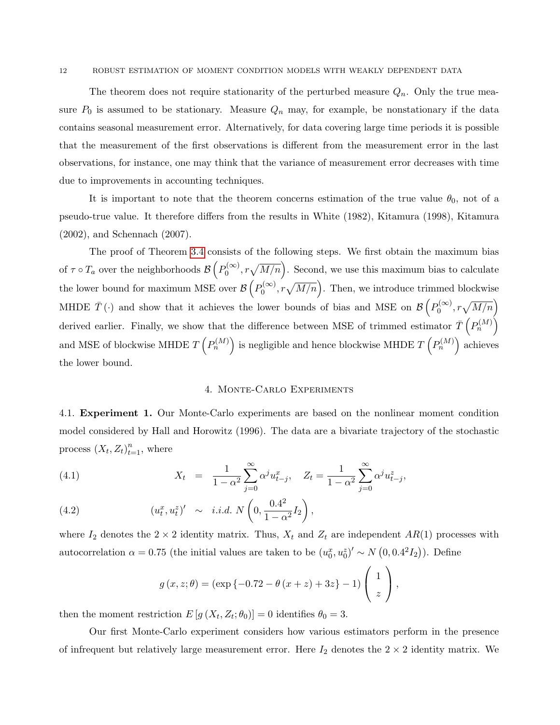#### 12 ROBUST ESTIMATION OF MOMENT CONDITION MODELS WITH WEAKLY DEPENDENT DATA

The theorem does not require stationarity of the perturbed measure  $Q_n$ . Only the true measure  $P_0$  is assumed to be stationary. Measure  $Q_n$  may, for example, be nonstationary if the data contains seasonal measurement error. Alternatively, for data covering large time periods it is possible that the measurement of the first observations is different from the measurement error in the last observations, for instance, one may think that the variance of measurement error decreases with time due to improvements in accounting techniques.

It is important to note that the theorem concerns estimation of the true value  $\theta_0$ , not of a pseudo-true value. It therefore differs from the results in White (1982), Kitamura (1998), Kitamura (2002), and Schennach (2007).

The proof of Theorem [3.4](#page-10-0) consists of the following steps. We first obtain the maximum bias of  $\tau \circ T_a$  over the neighborhoods  $\mathcal{B}\left( P_0^{(\infty)} \right)$  $b_0^{(\infty)}$ ,  $r\sqrt{M/n}$ . Second, we use this maximum bias to calculate the lower bound for maximum MSE over  $\mathcal{B}\left(P_0^{(\infty)}\right)$  $b_0^{(\infty)}$ ,  $r\sqrt{M/n}$ . Then, we introduce trimmed blockwise MHDE  $\bar{T}(\cdot)$  and show that it achieves the lower bounds of bias and MSE on  $\mathcal{B}\left(P_0^{(\infty)}\right)$  $\mathcal{O}_0^{(\infty)}, r\sqrt{M/n}\Big)$ derived earlier. Finally, we show that the difference between MSE of trimmed estimator  $\bar{T}$   $\left( P_n^{(M)} \right)$ and MSE of blockwise MHDE  $T\left(P_n^{(M)}\right)$  is negligible and hence blockwise MHDE  $T\left(P_n^{(M)}\right)$  achieves the lower bound.

### <span id="page-11-0"></span>4. Monte-Carlo Experiments

4.1. Experiment 1. Our Monte-Carlo experiments are based on the nonlinear moment condition model considered by Hall and Horowitz (1996). The data are a bivariate trajectory of the stochastic process  $(X_t, Z_t)_{t=1}^n$ , where

(4.1) 
$$
X_t = \frac{1}{1 - \alpha^2} \sum_{j=0}^{\infty} \alpha^j u_{t-j}^x, \quad Z_t = \frac{1}{1 - \alpha^2} \sum_{j=0}^{\infty} \alpha^j u_{t-j}^z,
$$

(4.2) 
$$
(u_t^x, u_t^z)' \sim i.i.d. N\left(0, \frac{0.4^2}{1 - \alpha^2}I_2\right),
$$

where  $I_2$  denotes the  $2 \times 2$  identity matrix. Thus,  $X_t$  and  $Z_t$  are independent  $AR(1)$  processes with autocorrelation  $\alpha = 0.75$  (the initial values are taken to be  $(u_0^x, u_0^z)' \sim N(0, 0.4^2 I_2)$ ). Define

$$
g(x, z; \theta) = (\exp \{-0.72 - \theta (x + z) + 3z\} - 1) \begin{pmatrix} 1 \\ z \end{pmatrix},
$$

then the moment restriction  $E[g(X_t, Z_t; \theta_0)] = 0$  identifies  $\theta_0 = 3$ .

Our first Monte-Carlo experiment considers how various estimators perform in the presence of infrequent but relatively large measurement error. Here  $I_2$  denotes the  $2 \times 2$  identity matrix. We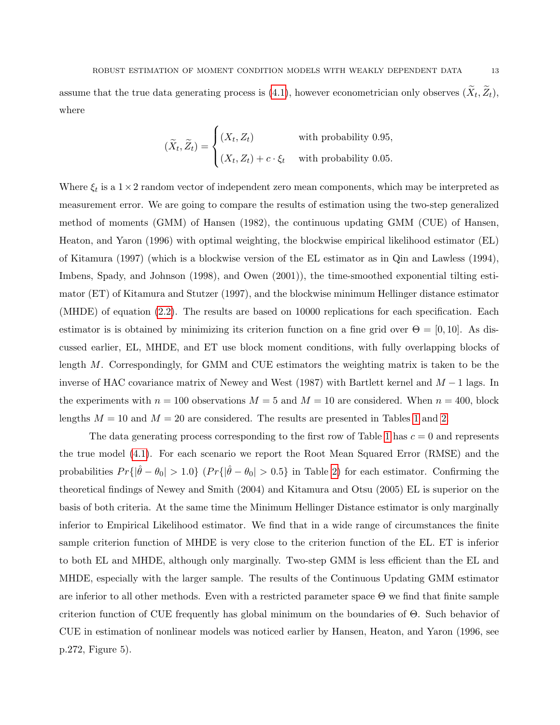assume that the true data generating process is  $(4.1)$ , however econometrician only observes  $(X_t, Z_t)$ , where

$$
(\widetilde{X}_t, \widetilde{Z}_t) = \begin{cases} (X_t, Z_t) & \text{with probability } 0.95, \\ (X_t, Z_t) + c \cdot \xi_t & \text{with probability } 0.05. \end{cases}
$$

Where  $\xi_t$  is a  $1 \times 2$  random vector of independent zero mean components, which may be interpreted as measurement error. We are going to compare the results of estimation using the two-step generalized method of moments (GMM) of Hansen (1982), the continuous updating GMM (CUE) of Hansen, Heaton, and Yaron (1996) with optimal weighting, the blockwise empirical likelihood estimator (EL) of Kitamura (1997) (which is a blockwise version of the EL estimator as in Qin and Lawless (1994), Imbens, Spady, and Johnson (1998), and Owen (2001)), the time-smoothed exponential tilting estimator (ET) of Kitamura and Stutzer (1997), and the blockwise minimum Hellinger distance estimator (MHDE) of equation [\(2.2\)](#page-4-0). The results are based on 10000 replications for each specification. Each estimator is is obtained by minimizing its criterion function on a fine grid over  $\Theta = [0, 10]$ . As discussed earlier, EL, MHDE, and ET use block moment conditions, with fully overlapping blocks of length M. Correspondingly, for GMM and CUE estimators the weighting matrix is taken to be the inverse of HAC covariance matrix of Newey and West (1987) with Bartlett kernel and  $M - 1$  lags. In the experiments with  $n = 100$  observations  $M = 5$  and  $M = 10$  are considered. When  $n = 400$ , block lengths  $M = 10$  $M = 10$  $M = 10$  and  $M = 20$  are considered. The results are presented in Tables 1 and [2.](#page-15-0)

The data generating process corresponding to the first row of Table [1](#page-14-0) has  $c = 0$  and represents the true model [\(4.1\)](#page-11-0). For each scenario we report the Root Mean Squared Error (RMSE) and the probabilities  $Pr\{|\hat{\theta} - \theta_0| > 1.0\}$   $(Pr\{|\hat{\theta} - \theta_0| > 0.5\}$  in Table [2\)](#page-15-0) for each estimator. Confirming the theoretical findings of Newey and Smith (2004) and Kitamura and Otsu (2005) EL is superior on the basis of both criteria. At the same time the Minimum Hellinger Distance estimator is only marginally inferior to Empirical Likelihood estimator. We find that in a wide range of circumstances the finite sample criterion function of MHDE is very close to the criterion function of the EL. ET is inferior to both EL and MHDE, although only marginally. Two-step GMM is less efficient than the EL and MHDE, especially with the larger sample. The results of the Continuous Updating GMM estimator are inferior to all other methods. Even with a restricted parameter space Θ we find that finite sample criterion function of CUE frequently has global minimum on the boundaries of Θ. Such behavior of CUE in estimation of nonlinear models was noticed earlier by Hansen, Heaton, and Yaron (1996, see p.272, Figure 5).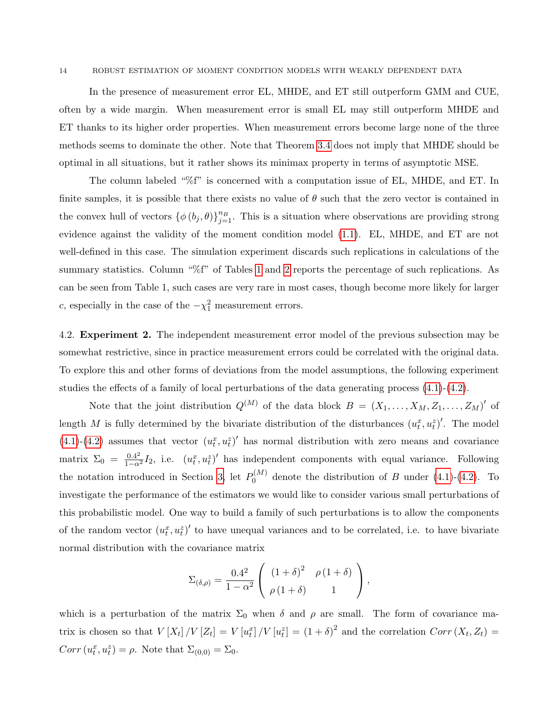#### 14 ROBUST ESTIMATION OF MOMENT CONDITION MODELS WITH WEAKLY DEPENDENT DATA

In the presence of measurement error EL, MHDE, and ET still outperform GMM and CUE, often by a wide margin. When measurement error is small EL may still outperform MHDE and ET thanks to its higher order properties. When measurement errors become large none of the three methods seems to dominate the other. Note that Theorem [3.4](#page-10-0) does not imply that MHDE should be optimal in all situations, but it rather shows its minimax property in terms of asymptotic MSE.

The column labeled "%f" is concerned with a computation issue of EL, MHDE, and ET. In finite samples, it is possible that there exists no value of  $\theta$  such that the zero vector is contained in the convex hull of vectors  $\{\phi(b_j, \theta)\}_{j=1}^{n_B}$ . This is a situation where observations are providing strong evidence against the validity of the moment condition model [\(1.1\)](#page-1-0). EL, MHDE, and ET are not well-defined in this case. The simulation experiment discards such replications in calculations of the summary statistics. Column "%f" of Tables [1](#page-14-0) and [2](#page-15-0) reports the percentage of such replications. As can be seen from Table 1, such cases are very rare in most cases, though become more likely for larger c, especially in the case of the  $-\chi_1^2$  measurement errors.

4.2. **Experiment 2.** The independent measurement error model of the previous subsection may be somewhat restrictive, since in practice measurement errors could be correlated with the original data. To explore this and other forms of deviations from the model assumptions, the following experiment studies the effects of a family of local perturbations of the data generating process  $(4.1)-(4.2)$  $(4.1)-(4.2)$ .

Note that the joint distribution  $Q^{(M)}$  of the data block  $B = (X_1, \ldots, X_M, Z_1, \ldots, Z_M)'$  of length M is fully determined by the bivariate distribution of the disturbances  $(u_t^x, u_t^z)'$ . The model [\(4.1\)](#page-11-0)-[\(4.2\)](#page-11-0) assumes that vector  $(u_t^x, u_t^z)'$  has normal distribution with zero means and covariance matrix  $\Sigma_0 = \frac{0.4^2}{1-\alpha^2}I_2$ , i.e.  $(u_t^x, u_t^z)'$  has independent components with equal variance. Following the notation introduced in Section [3,](#page-4-1) let  $P_0^{(M)}$  $\int_0^{(M)}$  denote the distribution of B under [\(4.1\)](#page-11-0)-[\(4.2\)](#page-11-0). To investigate the performance of the estimators we would like to consider various small perturbations of this probabilistic model. One way to build a family of such perturbations is to allow the components of the random vector  $(u_t^x, u_t^z)'$  to have unequal variances and to be correlated, i.e. to have bivariate normal distribution with the covariance matrix

$$
\Sigma_{(\delta,\rho)} = \frac{0.4^2}{1-\alpha^2} \left( \begin{array}{cc} (1+\delta)^2 & \rho (1+\delta) \\ \rho (1+\delta) & 1 \end{array} \right),
$$

which is a perturbation of the matrix  $\Sigma_0$  when  $\delta$  and  $\rho$  are small. The form of covariance matrix is chosen so that  $V[X_t]/V[Z_t] = V[u_t^x]/V[u_t^z] = (1+\delta)^2$  and the correlation  $Corr(X_t, Z_t) =$  $Corr(u_t^x, u_t^z) = \rho$ . Note that  $\Sigma_{(0,0)} = \Sigma_0$ .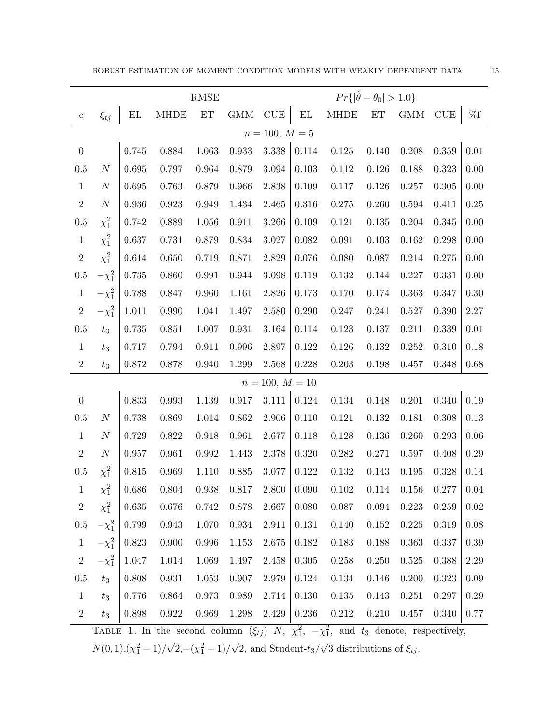ROBUST ESTIMATION OF MOMENT CONDITION MODELS WITH WEAKLY DEPENDENT DATA  $15\,$ 

|                   |                  | RMSE          |             |                     |             |             | $Pr\{ \hat{\theta} - \theta_0  > 1.0\}$ |             |           |             |                             |          |
|-------------------|------------------|---------------|-------------|---------------------|-------------|-------------|-----------------------------------------|-------------|-----------|-------------|-----------------------------|----------|
| $\mathbf{C}$      | $\xi_{tj}$       | $\mathbf{EL}$ | <b>MHDE</b> | $\operatorname{ET}$ | GMM         | CUE         | $\mathop{\rm EL}$                       | <b>MHDE</b> | ET        | <b>GMM</b>  | $\ensuremath{\mathrm{CUE}}$ | $\%f$    |
| $n = 100, M = 5$  |                  |               |             |                     |             |             |                                         |             |           |             |                             |          |
| $\boldsymbol{0}$  |                  | 0.745         | 0.884       | 1.063               | 0.933       | 3.338       | 0.114                                   | 0.125       | 0.140     | 0.208       | $0.359\,$                   | 0.01     |
| $0.5\,$           | N                | 0.695         | $0.797\,$   | $\,0.964\,$         | 0.879       | 3.094       | $0.103\,$                               | 0.112       | 0.126     | $0.188\,$   | 0.323                       | 0.00     |
| $\mathbf{1}$      | $\cal N$         | 0.695         | 0.763       | 0.879               | 0.966       | 2.838       | 0.109                                   | 0.117       | 0.126     | 0.257       | 0.305                       | 0.00     |
| $\,2$             | $\boldsymbol{N}$ | 0.936         | 0.923       | 0.949               | $1.434\,$   | 2.465       | $0.316\,$                               | 0.275       | 0.260     | $\,0.594\,$ | 0.411                       | 0.25     |
| $0.5\,$           | $\chi_1^2$       | $0.742\,$     | 0.889       | 1.056               | 0.911       | 3.266       | 0.109                                   | $0.121\,$   | 0.135     | $0.204\,$   | 0.345                       | 0.00     |
| $\mathbf{1}$      | $\chi_1^2$       | 0.637         | 0.731       | 0.879               | 0.834       | 3.027       | 0.082                                   | 0.091       | 0.103     | 0.162       | 0.298                       | 0.00     |
| $\,2$             | $\chi_1^2$       | 0.614         | 0.650       | 0.719               | 0.871       | 2.829       | 0.076                                   | 0.080       | $0.087\,$ | $0.214\,$   | 0.275                       | 0.00     |
| $0.5\,$           | $-\chi_1^2$      | 0.735         | 0.860       | 0.991               | $\,0.944\,$ | 3.098       | $0.119\,$                               | $0.132\,$   | 0.144     | 0.227       | 0.331                       | 0.00     |
| $\mathbf{1}$      | $-\chi_1^2$      | 0.788         | 0.847       | 0.960               | 1.161       | 2.826       | 0.173                                   | 0.170       | 0.174     | 0.363       | 0.347                       | 0.30     |
| $\,2$             | $-\chi_1^2$      | 1.011         | $0.990\,$   | 1.041               | 1.497       | 2.580       | 0.290                                   | 0.247       | 0.241     | 0.527       | $0.390\,$                   | 2.27     |
| $0.5\,$           | $t_3$            | $0.735\,$     | 0.851       | 1.007               | 0.931       | 3.164       | 0.114                                   | 0.123       | 0.137     | 0.211       | 0.339                       | $0.01\,$ |
| $\mathbf{1}$      | $t_3$            | 0.717         | 0.794       | 0.911               | 0.996       | 2.897       | $0.122\,$                               | 0.126       | 0.132     | 0.252       | 0.310                       | 0.18     |
| $\,2$             | $t_3$            | 0.872         | 0.878       | 0.940               | 1.299       | $\;\:2.568$ | 0.228                                   | 0.203       | 0.198     | 0.457       | 0.348                       | $0.68\,$ |
| $n = 100, M = 10$ |                  |               |             |                     |             |             |                                         |             |           |             |                             |          |
| $\boldsymbol{0}$  |                  | 0.833         | 0.993       | 1.139               | 0.917       | $3.111\,$   | 0.124                                   | $0.134\,$   | 0.148     | 0.201       | 0.340                       | 0.19     |
| $0.5\,$           | $\cal N$         | 0.738         | 0.869       | 1.014               | $\,0.862\,$ | 2.906       | 0.110                                   | 0.121       | 0.132     | 0.181       | $0.308\,$                   | 0.13     |
| $\mathbf{1}$      | $\boldsymbol{N}$ | 0.729         | 0.822       | 0.918               | 0.961       | 2.677       | 0.118                                   | 0.128       | 0.136     | 0.260       | 0.293                       | 0.06     |
| $\sqrt{2}$        | $\boldsymbol{N}$ | 0.957         | 0.961       | 0.992               | 1.443       | 2.378       | 0.320                                   | $0.282\,$   | 0.271     | 0.597       | 0.408                       | 0.29     |
| $0.5\,$           | $\chi_1^2$       | $0.815\,$     | 0.969       | 1.110               | $0.885\,$   | 3.077       | 0.122                                   | 0.132       | 0.143     | 0.195       | 0.328                       | 0.14     |
| $\mathbf{1}$      | $\chi_1^2$       | 0.686         | 0.804       | $\,0.938\,$         | 0.817       | 2.800       | 0.090                                   | 0.102       | 0.114     | 0.156       | 0.277                       | 0.04     |
| $\sqrt{2}$        | $\chi_1^2$       | 0.635         | $0.676\,$   | 0.742               | 0.878       | 2.667       | 0.080                                   | 0.087       | 0.094     | 0.223       | 0.259                       | 0.02     |
| $0.5\,$           | $-\chi_1^2$      | 0.799         | $\,0.943\,$ | 1.070               | 0.934       | 2.911       | 0.131                                   | 0.140       | 0.152     | 0.225       | 0.319                       | $0.08\,$ |
| $\mathbf{1}$      | $-\chi_1^2$      | 0.823         | 0.900       | 0.996               | 1.153       | 2.675       | 0.182                                   | 0.183       | 0.188     | 0.363       | 0.337                       | 0.39     |
| $\,2$             | $-\chi_1^2$      | 1.047         | $1.014\,$   | 1.069               | 1.497       | 2.458       | $0.305\,$                               | 0.258       | $0.250\,$ | $\,0.525\,$ | 0.388                       | $2.29\,$ |
| $0.5\,$           | $t_3$            | 0.808         | 0.931       | 1.053               | 0.907       | 2.979       | 0.124                                   | 0.134       | $0.146\,$ | 0.200       | 0.323                       | 0.09     |
| $\mathbf{1}$      | $t_3$            | 0.776         | 0.864       | 0.973               | 0.989       | 2.714       | 0.130                                   | $0.135\,$   | 0.143     | 0.251       | 0.297                       | 0.29     |
| $\,2$             | $t_3$            | $0.898\,$     | $0.922\,$   | 0.969               | $1.298\,$   | $2.429\,$   | $0.236\,$                               | $0.212\,$   | $0.210\,$ | $0.457\,$   | 0.340                       | 0.77     |

<span id="page-14-0"></span>TABLE 1. In the second column  $(\xi_{tj})$  N,  $\chi_1^2$ ,  $-\chi_1^2$ , and  $t_3$  denote, respectively,

 $N(0, 1), (\chi_1^2 - 1)$ / √  $\sqrt{2}$ , – $(\chi_1^2 - 1)$ / √ 2, and Student- $t_3/$ √ 3 distributions of  $\xi_{tj}$ .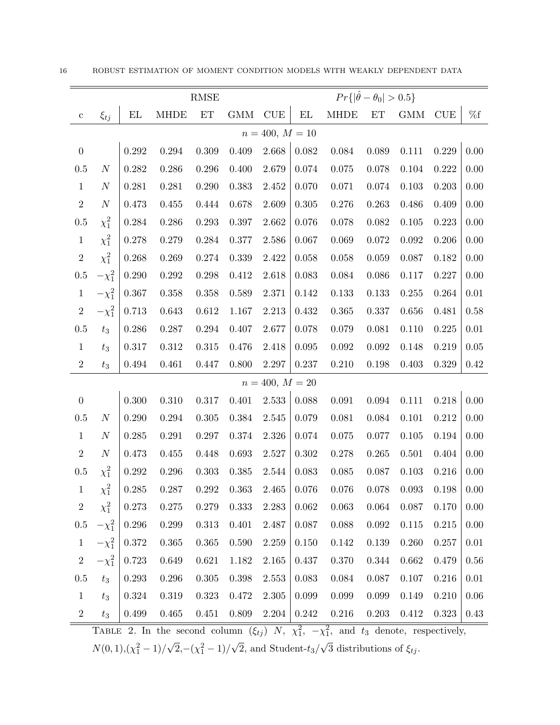|                   |                  | <b>RMSE</b> |             |             |           |                             |                             | $Pr\{ \hat{\theta} - \theta_0  > 0.5\}$ |             |            |                             |          |  |
|-------------------|------------------|-------------|-------------|-------------|-----------|-----------------------------|-----------------------------|-----------------------------------------|-------------|------------|-----------------------------|----------|--|
| $\mathbf{c}$      | $\xi_{tj}$       | EL          | <b>MHDE</b> | ET          | GMM       | $\ensuremath{\mathrm{CUE}}$ | $\mathop{\rm EL}$           | <b>MHDE</b>                             | ET          | <b>GMM</b> | $\ensuremath{\mathrm{CUE}}$ | $\%f$    |  |
| $n = 400, M = 10$ |                  |             |             |             |           |                             |                             |                                         |             |            |                             |          |  |
| $\boldsymbol{0}$  |                  | 0.292       | 0.294       | 0.309       | 0.409     | 2.668                       | 0.082                       | 0.084                                   | 0.089       | 0.111      | 0.229                       | 0.00     |  |
| $0.5\,$           | $\boldsymbol{N}$ | 0.282       | $0.286\,$   | 0.296       | 0.400     | 2.679                       | $0.074\,$                   | 0.075                                   | 0.078       | 0.104      | 0.222                       | 0.00     |  |
| $\mathbf{1}$      | $\boldsymbol{N}$ | 0.281       | 0.281       | 0.290       | 0.383     | 2.452                       | 0.070                       | 0.071                                   | $\,0.074\,$ | 0.103      | 0.203                       | 0.00     |  |
| $\,2$             | $\cal N$         | $0.473\,$   | 0.455       | 0.444       | 0.678     | 2.609                       | $0.305\,$                   | 0.276                                   | 0.263       | 0.486      | 0.409                       | 0.00     |  |
| $0.5\,$           | $\chi_1^2$       | 0.284       | 0.286       | 0.293       | 0.397     | 2.662                       | $0.076\,$                   | 0.078                                   | $\,0.082\,$ | 0.105      | 0.223                       | 0.00     |  |
| $\mathbf{1}$      | $\chi_1^2$       | 0.278       | 0.279       | 0.284       | 0.377     | 2.586                       | 0.067                       | 0.069                                   | 0.072       | 0.092      | 0.206                       | 0.00     |  |
| $\sqrt{2}$        | $\chi_1^2$       | 0.268       | 0.269       | 0.274       | 0.339     | 2.422                       | $0.058\,$                   | 0.058                                   | 0.059       | 0.087      | 0.182                       | 0.00     |  |
| $0.5\,$           | $-\chi_1^2$      | 0.290       | $0.292\,$   | 0.298       | 0.412     | 2.618                       | 0.083                       | 0.084                                   | 0.086       | 0.117      | 0.227                       | 0.00     |  |
| $\mathbf{1}$      | $-\chi_1^2$      | $0.367\,$   | 0.358       | 0.358       | 0.589     | 2.371                       | 0.142                       | 0.133                                   | 0.133       | 0.255      | 0.264                       | $0.01\,$ |  |
| $\sqrt{2}$        | $-\chi_1^2$      | 0.713       | 0.643       | 0.612       | 1.167     | 2.213                       | $0.432\,$                   | 0.365                                   | 0.337       | 0.656      | 0.481                       | 0.58     |  |
| $0.5\,$           | $t_3$            | 0.286       | $0.287\,$   | 0.294       | 0.407     | 2.677                       | 0.078                       | 0.079                                   | 0.081       | 0.110      | 0.225                       | $0.01\,$ |  |
| $\mathbf{1}$      | $t_3$            | 0.317       | $0.312\,$   | $\,0.315\,$ | 0.476     | 2.418                       | $\,0.095\,$                 | $\,0.092\,$                             | 0.092       | 0.148      | 0.219                       | $0.05\,$ |  |
| $\,2$             | $t_3$            | 0.494       | 0.461       | 0.447       | 0.800     | 2.297                       | 0.237                       | 0.210                                   | 0.198       | 0.403      | 0.329                       | 0.42     |  |
|                   |                  |             |             |             |           | $n = 400, M = 20$           |                             |                                         |             |            |                             |          |  |
| $\boldsymbol{0}$  |                  | $0.300\,$   | $0.310\,$   | 0.317       | 0.401     | 2.533                       | 0.088                       | $\,0.091\,$                             | 0.094       | 0.111      | 0.218                       | 0.00     |  |
| $0.5\,$           | $\boldsymbol{N}$ | 0.290       | $0.294\,$   | $0.305\,$   | 0.384     | 2.545                       | 0.079                       | 0.081                                   | 0.084       | 0.101      | 0.212                       | 0.00     |  |
| $\mathbf{1}$      | $\boldsymbol{N}$ | 0.285       | 0.291       | 0.297       | 0.374     | 2.326                       | $0.074\,$                   | 0.075                                   | 0.077       | 0.105      | 0.194                       | 0.00     |  |
| $\,2$             | $\boldsymbol{N}$ | 0.473       | 0.455       | 0.448       | 0.693     | 2.527                       | $0.302\,$                   | 0.278                                   | 0.265       | 0.501      | 0.404                       | 0.00     |  |
| $0.5\,$           | $\chi_1^2$       | 0.292       | $0.296\,$   | 0.303       | 0.385     | 2.544                       | 0.083                       | 0.085                                   | 0.087       | 0.103      | 0.216                       | 0.00     |  |
| $\mathbf{1}$      | $\chi_1^2$       | 0.285       | 0.287       | $0.292\,$   | 0.363     | 2.465                       | 0.076                       | 0.076                                   | 0.078       | 0.093      | 0.198                       | 0.00     |  |
| $\sqrt{2}$        | $\chi_1^2$       | 0.273       | 0.275       | 0.279       | 0.333     | 2.283                       | 0.062                       | 0.063                                   | 0.064       | 0.087      | 0.170                       | 0.00     |  |
| $0.5\,$           | $-\chi_1^2$      | 0.296       | 0.299       | 0.313       | $0.401\,$ | 2.487                       | 0.087                       | 0.088                                   | $\,0.092\,$ | 0.115      | 0.215                       | 0.00     |  |
| $\mathbf{1}$      | $-\chi_1^2$      | 0.372       | 0.365       | 0.365       | 0.590     | 2.259                       | 0.150                       | 0.142                                   | 0.139       | 0.260      | 0.257                       | 0.01     |  |
| $\,2$             | $-\chi_1^2$      | 0.723       | 0.649       | 0.621       | 1.182     | 2.165                       | 0.437                       | 0.370                                   | 0.344       | 0.662      | 0.479                       | 0.56     |  |
| $0.5\,$           | $t_3$            | 0.293       | 0.296       | $0.305\,$   | 0.398     | 2.553                       | 0.083                       | 0.084                                   | 0.087       | 0.107      | 0.216                       | 0.01     |  |
| $\mathbf{1}$      | $t_3$            | $0.324\,$   | 0.319       | 0.323       | 0.472     | 2.305                       | 0.099                       | 0.099                                   | $0.099\,$   | 0.149      | 0.210                       | 0.06     |  |
| $\overline{2}$    | $t_3$            | $0.499\,$   | $0.465\,$   | 0.451       | $0.809\,$ | 2.204                       | $0.242\,$<br>$\overline{2}$ | $0.216\,$<br>$\overline{2}$             | $0.203\,$   | $0.412\,$  | $0.323\,$                   | 0.43     |  |

<span id="page-15-0"></span>TABLE 2. In the second column  $(\xi_{tj})$  N,  $\chi_1^2$ ,  $-\chi_1^2$ , and  $t_3$  denote, respectively,

 $N(0, 1), (\chi_1^2 - 1)$ / √  $\sqrt{2}$ , – $(\chi_1^2 - 1)$ / √ 2, and Student- $t_3/$ √ 3 distributions of  $\xi_{tj}$ .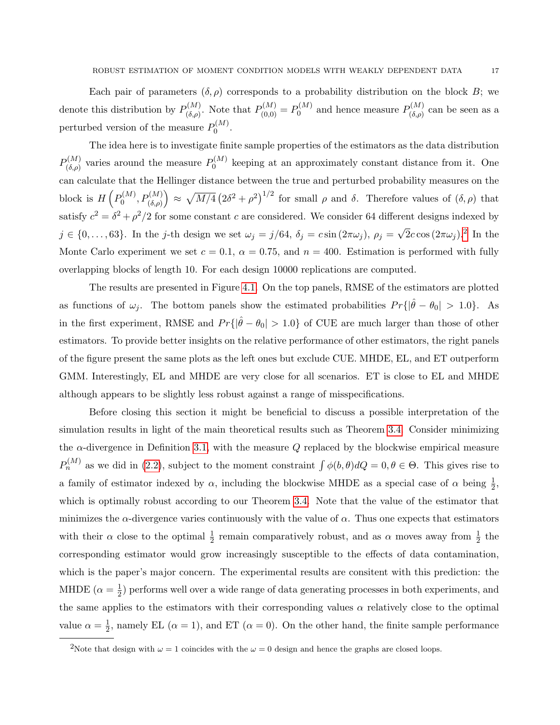Each pair of parameters  $(\delta, \rho)$  corresponds to a probability distribution on the block B; we denote this distribution by  $P_{(\delta, \alpha)}^{(M)}$  $P_{(0,0)}^{(M)}$ . Note that  $P_{(0,0)}^{(M)} = P_0^{(M)}$  $p_{(0)}^{(M)}$  and hence measure  $P_{(\delta,\rho)}^{(M)}$  $\binom{N}{(\delta,\rho)}^{\binom{M}{M}}$  can be seen as a perturbed version of the measure  $P_0^{(M)}$  $\stackrel{(M)}{0}$ .

The idea here is to investigate finite sample properties of the estimators as the data distribution  $P_{(\delta, \alpha)}^{(M)}$  $p_{(0,\rho)}^{(M)}$  varies around the measure  $P_0^{(M)}$  $\int_0^{(M)}$  keeping at an approximately constant distance from it. One can calculate that the Hellinger distance between the true and perturbed probability measures on the block is  $H\left(P_0^{(M)}\right)$  $\left(p_0^{(M)},P_{(\delta,\rho)}^{(M)}\right) \approx \sqrt{M/4} \left(2\delta^2+\rho^2\right)^{1/2}$  for small  $\rho$  and  $\delta$ . Therefore values of  $(\delta,\rho)$  that satisfy  $c^2 = \delta^2 + \rho^2/2$  for some constant c are considered. We consider 64 different designs indexed by  $j \in \{0, \ldots, 63\}$ . In the j-th design we set  $\omega_j = j/64$ ,  $\delta_j = c \sin(2\pi \omega_j)$ ,  $\rho_j = j/64$  $\sqrt{2}c\cos{(2\pi\omega_j)}$  $\sqrt{2}c\cos{(2\pi\omega_j)}$  $\sqrt{2}c\cos{(2\pi\omega_j)}$ .<sup>2</sup> In the Monte Carlo experiment we set  $c = 0.1$ ,  $\alpha = 0.75$ , and  $n = 400$ . Estimation is performed with fully overlapping blocks of length 10. For each design 10000 replications are computed.

The results are presented in Figure [4.1.](#page-17-0) On the top panels, RMSE of the estimators are plotted as functions of  $\omega_j$ . The bottom panels show the estimated probabilities  $Pr\{|\hat{\theta} - \theta_0| > 1.0\}$ . As in the first experiment, RMSE and  $Pr\{|\hat{\theta} - \theta_0| > 1.0\}$  of CUE are much larger than those of other estimators. To provide better insights on the relative performance of other estimators, the right panels of the figure present the same plots as the left ones but exclude CUE. MHDE, EL, and ET outperform GMM. Interestingly, EL and MHDE are very close for all scenarios. ET is close to EL and MHDE although appears to be slightly less robust against a range of misspecifications.

Before closing this section it might be beneficial to discuss a possible interpretation of the simulation results in light of the main theoretical results such as Theorem [3.4.](#page-10-0) Consider minimizing the  $\alpha$ -divergence in Definition [3.1,](#page-5-2) with the measure Q replaced by the blockwise empirical measure  $P_n^{(M)}$  as we did in [\(2.2\)](#page-4-0), subject to the moment constraint  $\int \phi(b,\theta)dQ = 0, \theta \in \Theta$ . This gives rise to a family of estimator indexed by  $\alpha$ , including the blockwise MHDE as a special case of  $\alpha$  being  $\frac{1}{2}$ , which is optimally robust according to our Theorem [3.4.](#page-10-0) Note that the value of the estimator that minimizes the  $\alpha$ -divergence varies continuously with the value of  $\alpha$ . Thus one expects that estimators with their  $\alpha$  close to the optimal  $\frac{1}{2}$  remain comparatively robust, and as  $\alpha$  moves away from  $\frac{1}{2}$  the corresponding estimator would grow increasingly susceptible to the effects of data contamination, which is the paper's major concern. The experimental results are consitent with this prediction: the MHDE  $(\alpha = \frac{1}{2})$  $\frac{1}{2}$ ) performs well over a wide range of data generating processes in both experiments, and the same applies to the estimators with their corresponding values  $\alpha$  relatively close to the optimal value  $\alpha = \frac{1}{2}$  $\frac{1}{2}$ , namely EL ( $\alpha = 1$ ), and ET ( $\alpha = 0$ ). On the other hand, the finite sample performance

<span id="page-16-0"></span><sup>&</sup>lt;sup>2</sup>Note that design with  $\omega = 1$  coincides with the  $\omega = 0$  design and hence the graphs are closed loops.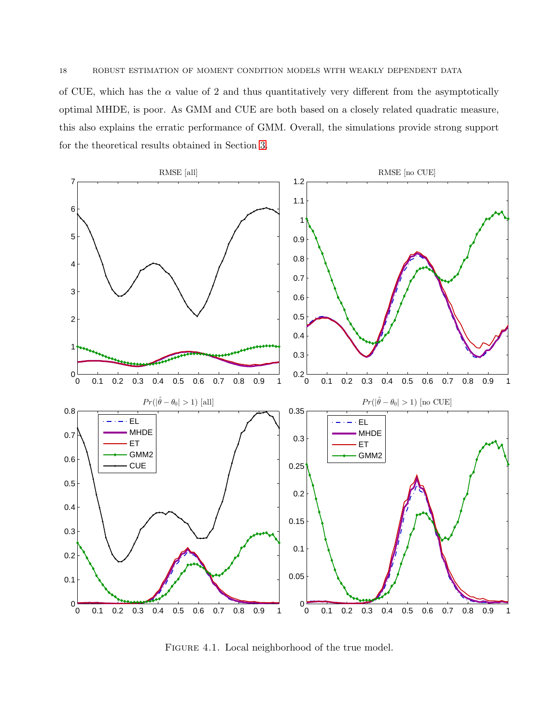of CUE, which has the  $\alpha$  value of 2 and thus quantitatively very different from the asymptotically optimal MHDE, is poor. As GMM and CUE are both based on a closely related quadratic measure, this also explains the erratic performance of GMM. Overall, the simulations provide strong support for the theoretical results obtained in Section [3.](#page-4-1)



<span id="page-17-0"></span>FIGURE 4.1. Local neighborhood of the true model.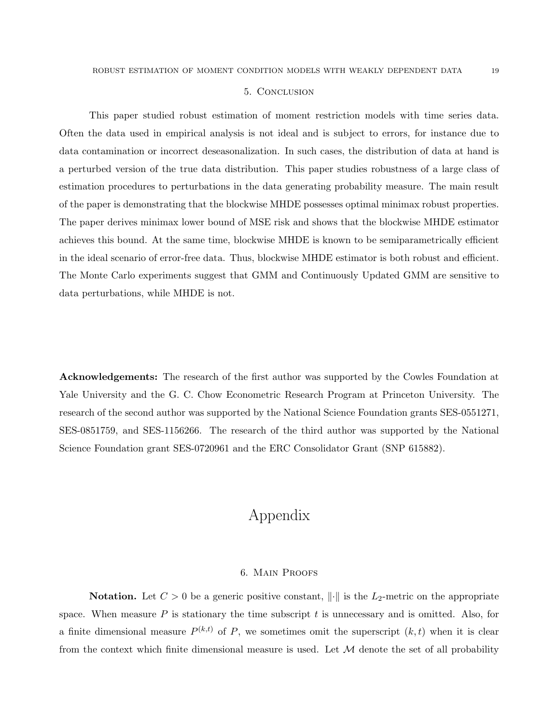### 5. Conclusion

This paper studied robust estimation of moment restriction models with time series data. Often the data used in empirical analysis is not ideal and is subject to errors, for instance due to data contamination or incorrect deseasonalization. In such cases, the distribution of data at hand is a perturbed version of the true data distribution. This paper studies robustness of a large class of estimation procedures to perturbations in the data generating probability measure. The main result of the paper is demonstrating that the blockwise MHDE possesses optimal minimax robust properties. The paper derives minimax lower bound of MSE risk and shows that the blockwise MHDE estimator achieves this bound. At the same time, blockwise MHDE is known to be semiparametrically efficient in the ideal scenario of error-free data. Thus, blockwise MHDE estimator is both robust and efficient. The Monte Carlo experiments suggest that GMM and Continuously Updated GMM are sensitive to data perturbations, while MHDE is not.

Acknowledgements: The research of the first author was supported by the Cowles Foundation at Yale University and the G. C. Chow Econometric Research Program at Princeton University. The research of the second author was supported by the National Science Foundation grants SES-0551271, SES-0851759, and SES-1156266. The research of the third author was supported by the National Science Foundation grant SES-0720961 and the ERC Consolidator Grant (SNP 615882).

## Appendix

### 6. Main Proofs

**Notation.** Let  $C > 0$  be a generic positive constant,  $\|\cdot\|$  is the  $L_2$ -metric on the appropriate space. When measure  $P$  is stationary the time subscript  $t$  is unnecessary and is omitted. Also, for a finite dimensional measure  $P^{(k,t)}$  of P, we sometimes omit the superscript  $(k, t)$  when it is clear from the context which finite dimensional measure is used. Let  $\mathcal M$  denote the set of all probability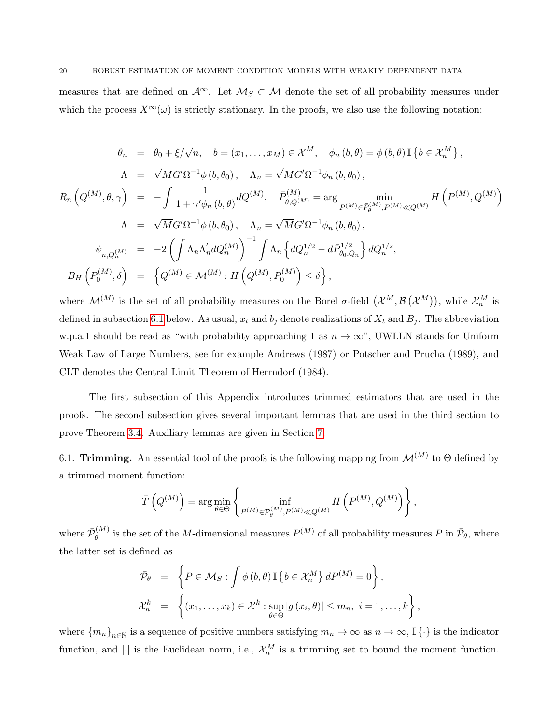measures that are defined on  $\mathcal{A}^{\infty}$ . Let  $\mathcal{M}_{S} \subset \mathcal{M}$  denote the set of all probability measures under which the process  $X^{\infty}(\omega)$  is strictly stationary. In the proofs, we also use the following notation:

$$
\theta_n = \theta_0 + \xi/\sqrt{n}, \quad b = (x_1, \dots, x_M) \in \mathcal{X}^M, \quad \phi_n(b, \theta) = \phi(b, \theta) \mathbb{I} \{b \in \mathcal{X}_n^M\},
$$
  

$$
\Lambda = \sqrt{M}G'\Omega^{-1}\phi(b, \theta_0), \quad \Lambda_n = \sqrt{M}G'\Omega^{-1}\phi_n(b, \theta_0),
$$
  

$$
R_n\left(Q^{(M)}, \theta, \gamma\right) = -\int \frac{1}{1 + \gamma'\phi_n(b, \theta)} dQ^{(M)}, \quad \bar{P}^{(M)}_{\theta, Q^{(M)}} = \arg \min_{P^{(M)} \in \bar{P}^{(M)}_{\theta}, P^{(M)} \ll Q^{(M)}} H\left(P^{(M)}, Q^{(M)}\right)
$$
  

$$
\Lambda = \sqrt{M}G'\Omega^{-1}\phi(b, \theta_0), \quad \Lambda_n = \sqrt{M}G'\Omega^{-1}\phi_n(b, \theta_0),
$$
  

$$
\psi_{n, Q_n^{(M)}} = -2\left(\int \Lambda_n \Lambda'_n dQ_n^{(M)}\right)^{-1} \int \Lambda_n \left\{dQ_n^{1/2} - d\bar{P}^{1/2}_{\theta_0, Q_n}\right\} dQ_n^{1/2},
$$
  

$$
B_H\left(P_0^{(M)}, \delta\right) = \left\{Q^{(M)} \in \mathcal{M}^{(M)} : H\left(Q^{(M)}, P_0^{(M)}\right) \leq \delta\right\},
$$

where  $\mathcal{M}^{(M)}$  is the set of all probability measures on the Borel  $\sigma$ -field  $(\mathcal{X}^M, \mathcal{B}(\mathcal{X}^M))$ , while  $\mathcal{X}_n^M$  is defined in subsection [6.1](#page-19-0) below. As usual,  $x_t$  and  $b_j$  denote realizations of  $X_t$  and  $B_j$ . The abbreviation w.p.a.1 should be read as "with probability approaching 1 as  $n \to \infty$ ", UWLLN stands for Uniform Weak Law of Large Numbers, see for example Andrews (1987) or Potscher and Prucha (1989), and CLT denotes the Central Limit Theorem of Herrndorf (1984).

The first subsection of this Appendix introduces trimmed estimators that are used in the proofs. The second subsection gives several important lemmas that are used in the third section to prove Theorem [3.4.](#page-10-0) Auxiliary lemmas are given in Section [7.](#page-28-0)

<span id="page-19-0"></span>6.1. Trimming. An essential tool of the proofs is the following mapping from  $\mathcal{M}^{(M)}$  to  $\Theta$  defined by a trimmed moment function:

$$
\overline{T}\left(Q^{(M)}\right) = \arg\min_{\theta \in \Theta} \left\{\inf_{P^{(M)} \in \overline{\mathcal{P}}_{\theta}^{(M)}, P^{(M)} \ll Q^{(M)}} H\left(P^{(M)}, Q^{(M)}\right)\right\},\
$$

where  $\bar{\mathcal{P}}_{\theta}^{(M)}$  $e^{(M)}$  is the set of the M-dimensional measures  $P^{(M)}$  of all probability measures P in  $\bar{\mathcal{P}}_{\theta}$ , where the latter set is defined as

$$
\begin{aligned}\n\bar{\mathcal{P}}_{\theta} &= \left\{ P \in \mathcal{M}_{S} : \int \phi(b,\theta) \mathbb{I} \left\{ b \in \mathcal{X}_{n}^{M} \right\} dP^{(M)} = 0 \right\}, \\
\mathcal{X}_{n}^{k} &= \left\{ (x_{1}, \ldots, x_{k}) \in \mathcal{X}^{k} : \sup_{\theta \in \Theta} |g(x_{i},\theta)| \leq m_{n}, i = 1, \ldots, k \right\},\n\end{aligned}
$$

where  ${m_n}_{n\in\mathbb{N}}$  is a sequence of positive numbers satisfying  $m_n \to \infty$  as  $n \to \infty$ ,  $\mathbb{I}\{\cdot\}$  is the indicator function, and | $\cdot$ | is the Euclidean norm, i.e.,  $\mathcal{X}_n^M$  is a trimming set to bound the moment function.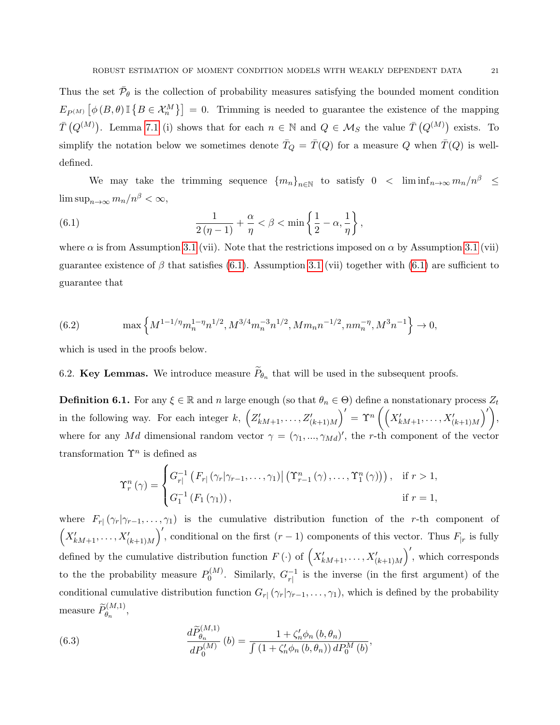Thus the set  $\bar{\mathcal{P}}_{\theta}$  is the collection of probability measures satisfying the bounded moment condition  $E_{P(M)}\left[\phi\left(B,\theta\right)\mathbb{I}\left\{B\in\mathcal{X}_{n}^{M}\right\}\right]=0.$  Trimming is needed to guarantee the existence of the mapping  $\bar{T}(Q^{(M)})$ . Lemma [7.1](#page-28-1) (i) shows that for each  $n \in \mathbb{N}$  and  $Q \in M_S$  the value  $\bar{T}(Q^{(M)})$  exists. To simplify the notation below we sometimes denote  $\overline{T}_Q = \overline{T}(Q)$  for a measure Q when  $\overline{T}(Q)$  is welldefined.

We may take the trimming sequence  ${m_n}_{n\in\mathbb{N}}$  to satisfy  $0 < \liminf_{n\to\infty} m_n/n^{\beta} \le$  $\limsup_{n\to\infty} m_n/n^{\beta} < \infty,$ 

<span id="page-20-0"></span>(6.1) 
$$
\frac{1}{2(\eta-1)} + \frac{\alpha}{\eta} < \beta < \min\left\{\frac{1}{2} - \alpha, \frac{1}{\eta}\right\},\,
$$

where  $\alpha$  is from Assumption [3.1](#page-8-0) (vii). Note that the restrictions imposed on  $\alpha$  by Assumption 3.1 (vii) guarantee existence of  $\beta$  that satisfies [\(6.1\)](#page-20-0). Assumption [3.1](#page-8-0) (vii) together with (6.1) are sufficient to guarantee that

<span id="page-20-1"></span>(6.2) 
$$
\max\left\{M^{1-1/\eta}m_n^{1-\eta}n^{1/2}, M^{3/4}m_n^{-3}n^{1/2}, Mm_nn^{-1/2}, nm_n^{-\eta}, M^3n^{-1}\right\} \to 0,
$$

which is used in the proofs below.

## 6.2. Key Lemmas. We introduce measure  $P_{\theta_n}$  that will be used in the subsequent proofs.

**Definition 6.1.** For any  $\xi \in \mathbb{R}$  and n large enough (so that  $\theta_n \in \Theta$ ) define a nonstationary process  $Z_t$ in the following way. For each integer k,  $(Z'_{kM+1}, \ldots, Z'_{(k+1)M})' = \Upsilon^n \left( \left( X'_{kM+1}, \ldots, X'_{(k+1)M} \right)' \right)$ , where for any Md dimensional random vector  $\gamma = (\gamma_1, ..., \gamma_{Md})'$ , the r-th component of the vector transformation  $\Upsilon^n$  is defined as

$$
\Upsilon_r^n(\gamma) = \begin{cases} G_{r|}^{-1} (F_{r|} (\gamma_r | \gamma_{r-1}, \dots, \gamma_1) | ( \Upsilon_{r-1}^n (\gamma), \dots, \Upsilon_1^n (\gamma) ) ), & \text{if } r > 1, \\ G_1^{-1} (F_1 (\gamma_1)), & \text{if } r = 1, \end{cases}
$$

where  $F_{r}(\gamma_r|\gamma_{r-1},\ldots,\gamma_1)$  is the cumulative distribution function of the r-th component of  $\left(X'_{kM+1},\ldots,X'_{(k+1)M}\right)'$ , conditional on the first  $(r-1)$  components of this vector. Thus  $F_{|r}$  is fully defined by the cumulative distribution function  $F(\cdot)$  of  $(X'_{kM+1}, \ldots, X'_{(k+1)M})'$ , which corresponds to the the probability measure  $P_0^{(M)}$  $O_0^{(M)}$ . Similarly,  $G_{r}^{-1}$  $r_1^{-1}$  is the inverse (in the first argument) of the conditional cumulative distribution function  $G_r(\gamma_r|\gamma_{r-1},\ldots,\gamma_1)$ , which is defined by the probability measure  $\widetilde{P}_{\theta_n}^{(M,1)},$ 

<span id="page-20-2"></span>(6.3) 
$$
\frac{d\widetilde{P}_{\theta_n}^{(M,1)}}{dP_0^{(M)}}(b) = \frac{1 + \zeta_n' \phi_n(b, \theta_n)}{\int (1 + \zeta_n' \phi_n(b, \theta_n)) dP_0^M(b)},
$$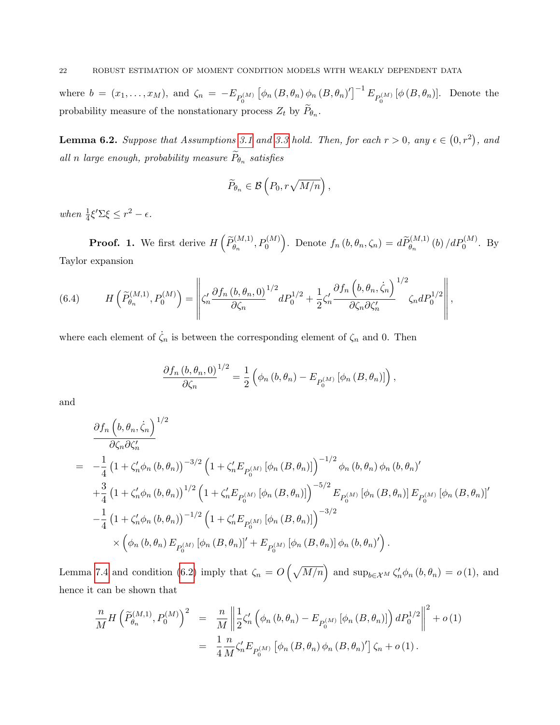where  $b = (x_1, \ldots, x_M)$ , and  $\zeta_n = -E_{P_0^{(M)}} \left[ \phi_n \left( B, \theta_n \right) \phi_n \left( B, \theta_n \right)'\right]^{-1} E_{P_0^{(M)}} \left[ \phi \left( B, \theta_n \right) \right]$ . Denote the probability measure of the nonstationary process  $Z_t$  by  $P_{\theta_n}$ .

<span id="page-21-0"></span>**Lemma 6.2.** Suppose that Assumptions [3.1](#page-8-0) and [3.3](#page-9-1) hold. Then, for each  $r > 0$ , any  $\epsilon \in (0, r^2)$ , and all n large enough, probability measure  $P_{\theta_n}$  satisfies

$$
\widetilde{P}_{\theta_n} \in \mathcal{B}\left(P_0, r\sqrt{M/n}\right),\,
$$

when  $\frac{1}{4}\xi'\Sigma\xi \leq r^2 - \epsilon$ .

**Proof.** 1. We first derive  $H\left(\widetilde{P}_{\theta_n}^{(M,1)}, P_0^{(M)}\right)$ . Denote  $f_n(b, \theta_n, \zeta_n) = d\widetilde{P}_{\theta_n}^{(M,1)}(b) / dP_0^{(M)}$ . By Taylor expansion

(6.4) 
$$
H\left(\widetilde{P}_{\theta_n}^{(M,1)}, P_0^{(M)}\right) = \left\| \zeta_n' \frac{\partial f_n(b, \theta_n, 0)}{\partial \zeta_n}^{1/2} dP_0^{1/2} + \frac{1}{2} \zeta_n' \frac{\partial f_n(b, \theta_n, \dot{\zeta}_n)}{\partial \zeta_n \partial \zeta_n'}^{1/2} \zeta_n dP_0^{1/2} \right\|,
$$

where each element of  $\dot{\zeta}_n$  is between the corresponding element of  $\zeta_n$  and 0. Then

$$
\frac{\partial f_n (b, \theta_n, 0)}{\partial \zeta_n}^{1/2} = \frac{1}{2} \left( \phi_n (b, \theta_n) - E_{P_0^{(M)}} [\phi_n (B, \theta_n)] \right),
$$

and

$$
\frac{\partial f_n (b, \theta_n, \dot{\zeta}_n)}{\partial \zeta_n \partial \zeta'_n} = -\frac{1}{4} \left( 1 + \zeta'_n \phi_n (b, \theta_n) \right)^{-3/2} \left( 1 + \zeta'_n E_{P_0^{(M)}} [\phi_n (B, \theta_n)] \right)^{-1/2} \phi_n (b, \theta_n) \phi_n (b, \theta_n)' \n+ \frac{3}{4} \left( 1 + \zeta'_n \phi_n (b, \theta_n) \right)^{1/2} \left( 1 + \zeta'_n E_{P_0^{(M)}} [\phi_n (B, \theta_n)] \right)^{-5/2} E_{P_0^{(M)}} [\phi_n (B, \theta_n)] E_{P_0^{(M)}} [\phi_n (B, \theta_n)]' \n- \frac{1}{4} \left( 1 + \zeta'_n \phi_n (b, \theta_n) \right)^{-1/2} \left( 1 + \zeta'_n E_{P_0^{(M)}} [\phi_n (B, \theta_n)] \right)^{-3/2} \n\times \left( \phi_n (b, \theta_n) E_{P_0^{(M)}} [\phi_n (B, \theta_n)]' + E_{P_0^{(M)}} [\phi_n (B, \theta_n)] \phi_n (b, \theta_n)' \right).
$$

Lemma [7.4](#page-34-0) and condition [\(6.2\)](#page-20-1) imply that  $\zeta_n = O\left(\sqrt{M/n}\right)$  and  $\sup_{b \in \mathcal{X}^M} \zeta'_n \phi_n(b, \theta_n) = o(1)$ , and hence it can be shown that

$$
\frac{n}{M} H \left( \tilde{P}_{\theta_n}^{(M,1)}, P_0^{(M)} \right)^2 = \frac{n}{M} \left\| \frac{1}{2} \zeta_n' \left( \phi_n \left( b, \theta_n \right) - E_{P_0^{(M)}} \left[ \phi_n \left( B, \theta_n \right) \right] \right) dP_0^{1/2} \right\|^2 + o(1)
$$
\n
$$
= \frac{1}{4} \frac{n}{M} \zeta_n' E_{P_0^{(M)}} \left[ \phi_n \left( B, \theta_n \right) \phi_n \left( B, \theta_n \right)' \right] \zeta_n + o(1).
$$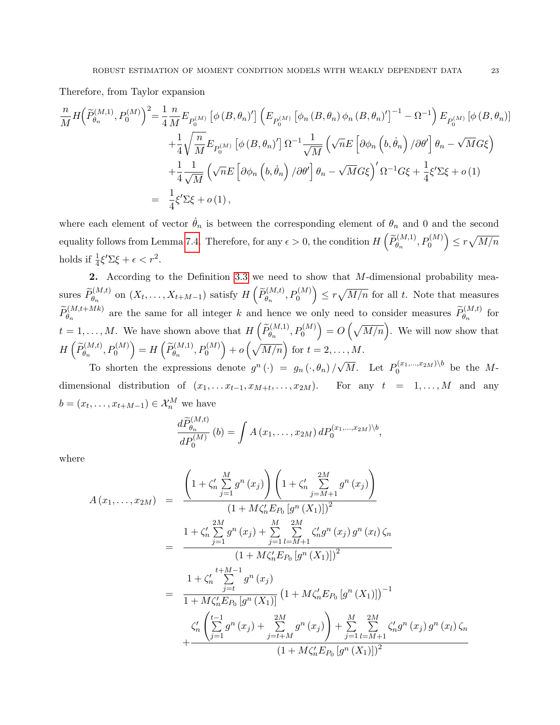Therefore, from Taylor expansion

$$
\frac{n}{M} H \left( \tilde{P}_{\theta_n}^{(M,1)}, P_0^{(M)} \right)^2 = \frac{1}{4} \frac{n}{M} E_{P_0^{(M)}} \left[ \phi \left( B, \theta_n \right)' \right] \left( E_{P_0^{(M)}} \left[ \phi_n \left( B, \theta_n \right) \phi_n \left( B, \theta_n \right)' \right]^{-1} - \Omega^{-1} \right) E_{P_0^{(M)}} \left[ \phi \left( B, \theta_n \right) \right]
$$
\n
$$
+ \frac{1}{4} \sqrt{\frac{n}{M}} E_{P_0^{(M)}} \left[ \phi \left( B, \theta_n \right)' \right] \Omega^{-1} \frac{1}{\sqrt{M}} \left( \sqrt{n} E \left[ \partial \phi_n \left( b, \dot{\theta}_n \right) / \partial \theta' \right] \theta_n - \sqrt{M} G \xi \right)
$$
\n
$$
+ \frac{1}{4} \frac{1}{\sqrt{M}} \left( \sqrt{n} E \left[ \partial \phi_n \left( b, \dot{\theta}_n \right) / \partial \theta' \right] \theta_n - \sqrt{M} G \xi \right)' \Omega^{-1} G \xi + \frac{1}{4} \xi' \Sigma \xi + o \left( 1 \right)
$$
\n
$$
= \frac{1}{4} \xi' \Sigma \xi + o \left( 1 \right),
$$

where each element of vector  $\dot{\theta}_n$  is between the corresponding element of  $\theta_n$  and 0 and the second equality follows from Lemma [7.4.](#page-34-0) Therefore, for any  $\epsilon > 0$ , the condition  $H\left(\widetilde{P}_{\theta_n}^{(M,1)},P_0^{(M)}\right) \leq r\sqrt{M/n}$ holds if  $\frac{1}{4}\xi'\Sigma\xi + \epsilon < r^2$ .

2. According to the Definition [3.3](#page-6-0) we need to show that  $M$ -dimensional probability measures  $\widetilde{P}_{\theta_n}^{(M,t)}$  on  $(X_t, \ldots, X_{t+M-1})$  satisfy  $H\left(\widetilde{P}_{\theta_n}^{(M,t)}, P_0^{(M)}\right) \leq r\sqrt{M/n}$  for all t. Note that measures  $\widetilde{P}_{\theta_n}^{(M,t+Mk)}$  are the same for all integer k and hence we only need to consider measures  $\widetilde{P}_{\theta_n}^{(M,t)}$  for  $t = 1, \ldots, M$ . We have shown above that  $H\left(\widetilde{P}_{\theta_n}^{(M,1)}, P_0^{(M)}\right) = O\left(\sqrt{M/n}\right)$ . We will now show that  $H\left(\widetilde{P}_{\theta_n}^{(M,t)},P_0^{(M)}\right)=H\left(\widetilde{P}_{\theta_n}^{(M,1)},P_0^{(M)}\right)+o\left(\sqrt{M/n}\right) \text{ for }t=2,\ldots,M.$ √

To shorten the expressions denote  $g^n(\cdot) = g_n(\cdot, \theta_n)$  $\overline{M}$ . Let  $P_0^{(x_1,...,x_{2M})\backslash b}$  be the Mdimensional distribution of  $(x_1, \ldots, x_{t-1}, x_{M+t}, \ldots, x_{2M})$ . For any  $t = 1, \ldots, M$  and any  $b = (x_t, \ldots, x_{t+M-1}) \in \mathcal{X}_n^M$  we have

$$
\frac{d\widetilde{P}_{\theta_n}^{(M,t)}}{dP_0^{(M)}}(b) = \int A(x_1,\ldots,x_{2M}) dP_0^{(x_1,\ldots,x_{2M})\backslash b},
$$

where

$$
A(x_1,...,x_{2M}) = \frac{\left(1 + \zeta_n' \sum_{j=1}^M g^n(x_j)\right) \left(1 + \zeta_n' \sum_{j=M+1}^{2M} g^n(x_j)\right)}{(1 + M\zeta_n' E_{P_0} [g^n(X_1)])^2}
$$
  
\n
$$
= \frac{1 + \zeta_n' \sum_{j=1}^{2M} g^n(x_j) + \sum_{j=1}^M \sum_{l=M+1}^{2M} \zeta_n' g^n(x_j) g^n(x_l) \zeta_n}{(1 + M\zeta_n' E_{P_0} [g^n(X_1)])^2}
$$
  
\n
$$
= \frac{1 + \zeta_n'^{\{t+M-1\}}}{1 + M\zeta_n' E_{P_0} [g^n(X_1)]} (1 + M\zeta_n' E_{P_0} [g^n(X_1)])^{-1}
$$
  
\n
$$
\frac{\zeta_n' \left(\sum_{j=1}^{t-1} g^n(x_j) + \sum_{j=t+M}^{2M} g^n(x_j)\right) + \sum_{j=1}^M \sum_{l=M+1}^{2M} \zeta_n' g^n(x_j) g^n(x_l) \zeta_n}{(1 + M\zeta_n' E_{P_0} [g^n(X_1)])^2}
$$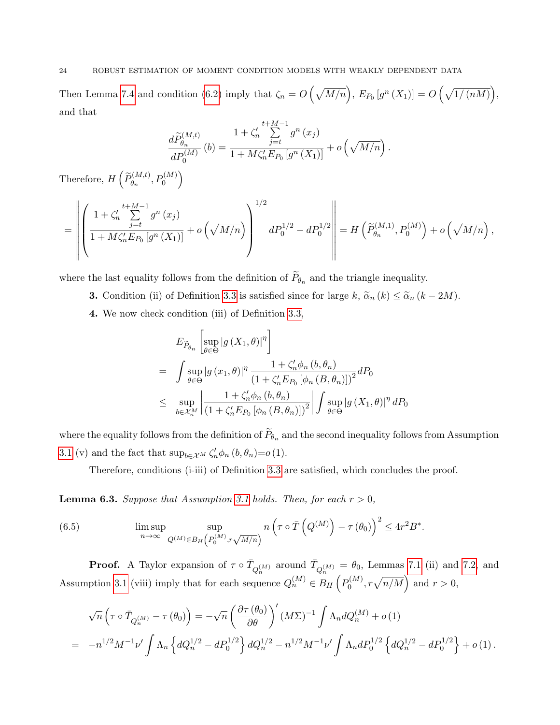### 24 ROBUST ESTIMATION OF MOMENT CONDITION MODELS WITH WEAKLY DEPENDENT DATA

Then Lemma [7.4](#page-34-0) and condition [\(6.2\)](#page-20-1) imply that  $\zeta_n = O\left(\sqrt{M/n}\right)$ ,  $E_{P_0}[g^n(X_1)] = O\left(\sqrt{1/(nM)}\right)$ , and that

$$
\frac{d\widetilde{P}_{\theta_n}^{(M,t)}}{dP_0^{(M)}}(b) = \frac{1 + \zeta_n' \sum_{j=t}^{t+M-1} g^n(x_j)}{1 + M\zeta_n' E_{P_0}[g^n(X_1)]} + o\left(\sqrt{M/n}\right)
$$

.

Therefore,  $H\left(\widetilde{P}_{\theta_n}^{(M,t)}, P_0^{(M)}\right)$ 

$$
= \left\| \left( \frac{1 + \zeta_n^{\prime}}{1 + M \zeta_n^{\prime} E_{P_0} \left[ g^n(X_1) \right]} + o\left(\sqrt{M/n}\right) \right)^{1/2} dP_0^{1/2} - dP_0^{1/2} \right\| = H\left(\widetilde{P}_{\theta_n}^{(M,1)}, P_0^{(M)}\right) + o\left(\sqrt{M/n}\right),
$$

where the last equality follows from the definition of  $P_{\theta_n}$  and the triangle inequality.

- **3.** Condition (ii) of Definition [3.3](#page-6-0) is satisfied since for large k,  $\tilde{\alpha}_n(k) \leq \tilde{\alpha}_n(k-2M)$ .
- 4. We now check condition (iii) of Definition [3.3,](#page-6-0)

$$
E_{\widetilde{P}_{\theta_n}}\left[\sup_{\theta \in \Theta} |g(X_1, \theta)|^{\eta}\right]
$$
  
= 
$$
\int \sup_{\theta \in \Theta} |g(x_1, \theta)|^{\eta} \frac{1 + \zeta'_n \phi_n(b, \theta_n)}{(1 + \zeta'_n E_{P_0} [\phi_n(B, \theta_n)])^2} dP_0
$$
  

$$
\leq \sup_{b \in \mathcal{X}_n^M} \left| \frac{1 + \zeta'_n \phi_n(b, \theta_n)}{(1 + \zeta'_n E_{P_0} [\phi_n(B, \theta_n)])^2} \right| \int \sup_{\theta \in \Theta} |g(X_1, \theta)|^{\eta} dP_0
$$

where the equality follows from the definition of  $P_{\theta_n}$  and the second inequality follows from Assumption [3.1](#page-8-0) (v) and the fact that  $\sup_{b \in \mathcal{X}^M} \zeta'_n \phi_n(b, \theta_n) = o(1)$ .

Therefore, conditions (i-iii) of Definition [3.3](#page-6-0) are satisfied, which concludes the proof.

<span id="page-23-0"></span>**Lemma 6.3.** Suppose that Assumption [3.1](#page-8-0) holds. Then, for each  $r > 0$ ,

(6.5) 
$$
\limsup_{n \to \infty} \sup_{Q^{(M)} \in B_H(P_0^{(M)}, r\sqrt{M/n})} n\left(\tau \circ \bar{T}\left(Q^{(M)}\right) - \tau(\theta_0)\right)^2 \le 4r^2B^*.
$$

**Proof.** A Taylor expansion of  $\tau \circ \bar{T}_{Q_n^{(M)}}$  around  $\bar{T}_{Q_n^{(M)}} = \theta_0$ , Lemmas [7.1](#page-28-1) (ii) and [7.2,](#page-29-0) and Assumption [3.1](#page-8-0) (viii) imply that for each sequence  $Q_n^{(M)} \in B_H$   $\left( P_0^{(M)} \right)$  $p_0^{(M)}$ ,  $r\sqrt{n/M}$  and  $r > 0$ ,

$$
\sqrt{n}\left(\tau \circ \bar{T}_{Q_n^{(M)}} - \tau(\theta_0)\right) = -\sqrt{n}\left(\frac{\partial \tau(\theta_0)}{\partial \theta}\right)' (M\Sigma)^{-1} \int \Lambda_n dQ_n^{(M)} + o(1)
$$
  
= 
$$
-n^{1/2}M^{-1}\nu' \int \Lambda_n \left\{dQ_n^{1/2} - dP_0^{1/2}\right\} dQ_n^{1/2} - n^{1/2}M^{-1}\nu' \int \Lambda_n dP_0^{1/2} \left\{dQ_n^{1/2} - dP_0^{1/2}\right\} + o(1).
$$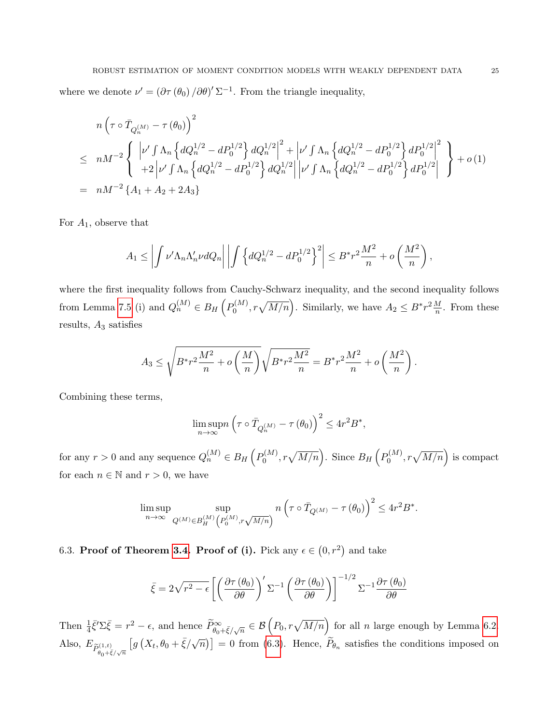where we denote  $\nu' = (\partial \tau (\theta_0) / \partial \theta)' \Sigma^{-1}$ . From the triangle inequality,

$$
n\left(\tau \circ \bar{T}_{Q_n^{(M)}} - \tau (\theta_0)\right)^2
$$
  
\n
$$
\leq nM^{-2} \left\{ \left| \nu' \int \Lambda_n \left\{ dQ_n^{1/2} - dP_0^{1/2} \right\} dQ_n^{1/2} \right\}^2 + \left| \nu' \int \Lambda_n \left\{ dQ_n^{1/2} - dP_0^{1/2} \right\} dP_0^{1/2} \right\}^2 + o(1)
$$
  
\n
$$
= nM^{-2} \left\{ A_1 + A_2 + 2A_3 \right\}
$$

For  $A_1$ , observe that

$$
A_1 \leq \left| \int \nu' \Lambda_n \Lambda'_n \nu dQ_n \right| \left| \int \left\{ dQ_n^{1/2} - dP_0^{1/2} \right\}^2 \right| \leq B^* r^2 \frac{M^2}{n} + o\left(\frac{M^2}{n}\right),
$$

where the first inequality follows from Cauchy-Schwarz inequality, and the second inequality follows from Lemma [7.5](#page-36-0) (i) and  $Q_n^{(M)} \in B_H(p_0^{(M)})$  $b_0^{(M)}$ ,  $r\sqrt{M/n}$ . Similarly, we have  $A_2 \leq B^*r^2\frac{M}{n}$ . From these results,  $A_3$  satisfies

$$
A_3 \le \sqrt{B^* r^2 \frac{M^2}{n} + o\left(\frac{M}{n}\right)} \sqrt{B^* r^2 \frac{M^2}{n}} = B^* r^2 \frac{M^2}{n} + o\left(\frac{M^2}{n}\right).
$$

Combining these terms,

$$
\limsup_{n \to \infty} n \left( \tau \circ \bar{T}_{Q_n^{(M)}} - \tau (\theta_0) \right)^2 \le 4r^2 B^*,
$$

for any  $r > 0$  and any sequence  $Q_n^{(M)} \in B_H(p_0^{(M)})$  $p_0^{(M)}$ ,  $r\sqrt{M/n}$ . Since  $B_H\left(P_0^{(M)}\right)$  $\sigma_0^{(M)}$ ,  $r\sqrt{M/n}$  is compact for each  $n \in \mathbb{N}$  and  $r > 0$ , we have

$$
\limsup_{n\to\infty} \sup_{Q^{(M)}\in {\cal B}_H^{(M)}} \!\!\!\! \sup_{\left(P_0^{(M)}, r\sqrt{M/n}\right)} n\left(\tau\circ \bar{T}_{Q^{(M)}}-\tau\left(\theta_0\right)\right)^2 \leq 4r^2B^*.
$$

6.3. Proof of Theorem [3.4.](#page-10-0) Proof of (i). Pick any  $\epsilon \in (0, r^2)$  and take

$$
\bar{\xi} = 2\sqrt{r^2 - \epsilon} \left[ \left( \frac{\partial \tau(\theta_0)}{\partial \theta} \right)' \Sigma^{-1} \left( \frac{\partial \tau(\theta_0)}{\partial \theta} \right) \right]^{-1/2} \Sigma^{-1} \frac{\partial \tau(\theta_0)}{\partial \theta}
$$

Then  $\frac{1}{4}\bar{\xi}'\Sigma\bar{\xi} = r^2 - \epsilon$ , and hence  $\widetilde{P}_{\theta_0+\bar{\xi}/\sqrt{n}}^{\infty} \in \mathcal{B}\left(P_0, r\sqrt{M/n}\right)$  for all *n* large enough by Lemma [6.2.](#page-21-0) Also,  $E_{\widetilde{P}_{\theta_0+\bar{\xi}/\sqrt{n}}}$  $[g(X_t, \theta_0 + \bar{\xi}/\sqrt{n})] = 0$  from [\(6.3\)](#page-20-2). Hence,  $\widetilde{P}_{\theta_n}$  satisfies the conditions imposed on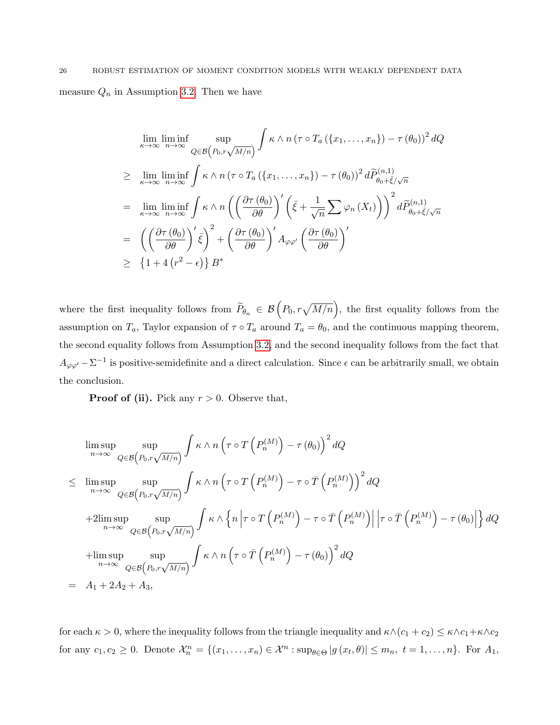# 26 ROBUST ESTIMATION OF MOMENT CONDITION MODELS WITH WEAKLY DEPENDENT DATA measure  $Q_n$  in Assumption [3.2.](#page-9-2) Then we have

$$
\lim_{\kappa \to \infty} \liminf_{n \to \infty} \sup_{Q \in \mathcal{B}\left(P_0, r\sqrt{M/n}\right)} \int \kappa \wedge n \left(\tau \circ T_a\left(\{x_1, \ldots, x_n\}\right) - \tau\left(\theta_0\right)\right)^2 dQ
$$
\n
$$
\geq \lim_{\kappa \to \infty} \liminf_{n \to \infty} \int \kappa \wedge n \left(\tau \circ T_a\left(\{x_1, \ldots, x_n\}\right) - \tau\left(\theta_0\right)\right)^2 d\widetilde{P}_{\theta_0 + \widetilde{\xi}/\sqrt{n}}^{(n,1)}
$$
\n
$$
= \lim_{\kappa \to \infty} \liminf_{n \to \infty} \int \kappa \wedge n \left(\left(\frac{\partial \tau(\theta_0)}{\partial \theta}\right)' \left(\bar{\xi} + \frac{1}{\sqrt{n}} \sum \varphi_n(X_t)\right)\right)^2 d\widetilde{P}_{\theta_0 + \widetilde{\xi}/\sqrt{n}}^{(n,1)}
$$
\n
$$
= \left(\left(\frac{\partial \tau(\theta_0)}{\partial \theta}\right)' \bar{\xi}\right)^2 + \left(\frac{\partial \tau(\theta_0)}{\partial \theta}\right)' A_{\varphi \varphi'} \left(\frac{\partial \tau(\theta_0)}{\partial \theta}\right)'
$$
\n
$$
\geq \left\{1 + 4\left(r^2 - \epsilon\right)\right\} B^*
$$

where the first inequality follows from  $\widetilde{P}_{\theta_n} \in \mathcal{B}\left(P_0, r\sqrt{M/n}\right)$ , the first equality follows from the assumption on  $T_a$ , Taylor expansion of  $\tau \circ T_a$  around  $T_a = \theta_0$ , and the continuous mapping theorem, the second equality follows from Assumption [3.2,](#page-9-2) and the second inequality follows from the fact that  $A_{\varphi\varphi'}-\Sigma^{-1}$  is positive-semidefinite and a direct calculation. Since  $\epsilon$  can be arbitrarily small, we obtain the conclusion.

**Proof of (ii).** Pick any  $r > 0$ . Observe that,

$$
\limsup_{n \to \infty} \sup_{Q \in \mathcal{B}\left(P_0, r\sqrt{M/n}\right)} \int \kappa \wedge n \left(\tau \circ T\left(P_n^{(M)}\right) - \tau(\theta_0)\right)^2 dQ
$$
\n
$$
\leq \limsup_{n \to \infty} \sup_{Q \in \mathcal{B}\left(P_0, r\sqrt{M/n}\right)} \int \kappa \wedge n \left(\tau \circ T\left(P_n^{(M)}\right) - \tau \circ \bar{T}\left(P_n^{(M)}\right)\right)^2 dQ
$$
\n
$$
+ 2 \limsup_{n \to \infty} \sup_{Q \in \mathcal{B}\left(P_0, r\sqrt{M/n}\right)} \int \kappa \wedge \left\{n \left|\tau \circ T\left(P_n^{(M)}\right) - \tau \circ \bar{T}\left(P_n^{(M)}\right)\right|\left|\tau \circ \bar{T}\left(P_n^{(M)}\right) - \tau(\theta_0)\right|\right\} dQ
$$
\n
$$
+ \limsup_{n \to \infty} \sup_{Q \in \mathcal{B}\left(P_0, r\sqrt{M/n}\right)} \int \kappa \wedge n \left(\tau \circ \bar{T}\left(P_n^{(M)}\right) - \tau(\theta_0)\right)^2 dQ
$$
\n
$$
= A_1 + 2A_2 + A_3,
$$

for each  $\kappa > 0$ , where the inequality follows from the triangle inequality and  $\kappa \wedge (c_1 + c_2) \leq \kappa \wedge c_1 + \kappa \wedge c_2$ for any  $c_1, c_2 \geq 0$ . Denote  $\mathcal{X}_n^n = \{(x_1, \ldots, x_n) \in \mathcal{X}^n : \sup_{\theta \in \Theta} |g(x_t, \theta)| \leq m_n, t = 1, \ldots, n\}$ . For  $A_1$ ,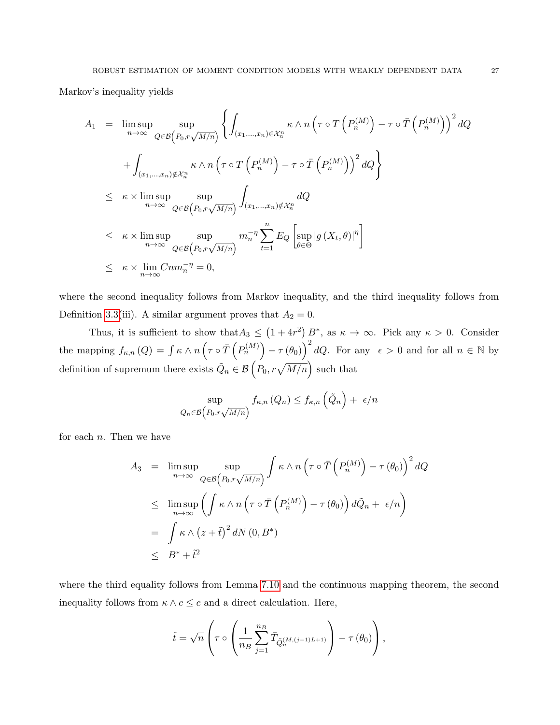Markov's inequality yields

$$
A_1 = \limsup_{n \to \infty} \sup_{Q \in \mathcal{B}\left(P_0, r\sqrt{M/n}\right)} \left\{ \int_{(x_1, \dots, x_n) \in \mathcal{X}_n^n} \kappa \wedge n \left(\tau \circ T\left(P_n^{(M)}\right) - \tau \circ \overline{T}\left(P_n^{(M)}\right)\right)^2 dQ \right\}
$$
  
+ 
$$
\int_{(x_1, \dots, x_n) \notin \mathcal{X}_n^n} \kappa \wedge n \left(\tau \circ T\left(P_n^{(M)}\right) - \tau \circ \overline{T}\left(P_n^{(M)}\right)\right)^2 dQ \right\}
$$
  

$$
\leq \kappa \times \limsup_{n \to \infty} \sup_{Q \in \mathcal{B}\left(P_0, r\sqrt{M/n}\right)} \int_{(x_1, \dots, x_n) \notin \mathcal{X}_n^n} dQ
$$
  

$$
\leq \kappa \times \limsup_{n \to \infty} \sup_{Q \in \mathcal{B}\left(P_0, r\sqrt{M/n}\right)} m_n^{-\eta} \sum_{t=1}^n E_Q \left[\sup_{\theta \in \Theta} |g(X_t, \theta)|^{\eta}\right]
$$
  

$$
\leq \kappa \times \lim_{n \to \infty} Cnm_n^{-\eta} = 0,
$$

where the second inequality follows from Markov inequality, and the third inequality follows from Definition [3.3\(](#page-6-0)iii). A similar argument proves that  $A_2 = 0$ .

Thus, it is sufficient to show that  $A_3 \leq (1+4r^2) B^*$ , as  $\kappa \to \infty$ . Pick any  $\kappa > 0$ . Consider the mapping  $f_{\kappa,n}(Q) = \int \kappa \wedge n \left( \tau \circ \overline{T} \left( P_n^{(M)} \right) - \tau \left( \theta_0 \right) \right)^2 dQ$ . For any  $\epsilon > 0$  and for all  $n \in \mathbb{N}$  by definition of supremum there exists  $\tilde{Q}_n \in \mathcal{B}\left(P_0, r\sqrt{M/n}\right)$  such that

$$
\sup_{Q_n \in \mathcal{B}\left(P_0, r\sqrt{M/n}\right)} f_{\kappa,n}\left(Q_n\right) \le f_{\kappa,n}\left(\tilde{Q}_n\right) + \epsilon/n
$$

for each  $n$ . Then we have

$$
A_3 = \limsup_{n \to \infty} \sup_{Q \in \mathcal{B}\left(P_0, r\sqrt{M/n}\right)} \int \kappa \wedge n \left(\tau \circ \overline{T}\left(P_n^{(M)}\right) - \tau(\theta_0)\right)^2 dQ
$$
  
\n
$$
\leq \limsup_{n \to \infty} \left(\int \kappa \wedge n \left(\tau \circ \overline{T}\left(P_n^{(M)}\right) - \tau(\theta_0)\right) d\tilde{Q}_n + \epsilon/n\right)
$$
  
\n
$$
= \int \kappa \wedge \left(z + \tilde{t}\right)^2 dN(0, B^*)
$$
  
\n
$$
\leq B^* + \tilde{t}^2
$$

where the third equality follows from Lemma [7.10](#page-44-0) and the continuous mapping theorem, the second inequality follows from  $\kappa \wedge c \leq c$  and a direct calculation. Here,

$$
\tilde{t} = \sqrt{n} \left( \tau \circ \left( \frac{1}{n_B} \sum_{j=1}^{n_B} \bar{T}_{\tilde{Q}_n^{(M,(j-1)L+1)}} \right) - \tau \left( \theta_0 \right) \right),
$$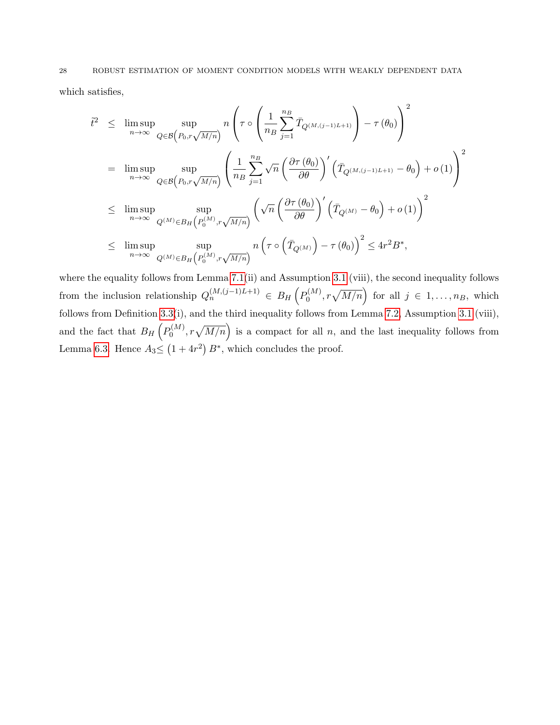which satisfies,

$$
\tilde{t}^{2} \leq \limsup_{n \to \infty} \sup_{Q \in \mathcal{B}\left(P_{0}, r\sqrt{M/n}\right)} n \left(\tau \circ \left(\frac{1}{n_{B}} \sum_{j=1}^{n_{B}} \bar{T}_{Q^{(M,(j-1)L+1)}}\right) - \tau(\theta_{0})\right)^{2}
$$
\n
$$
= \limsup_{n \to \infty} \sup_{Q \in \mathcal{B}\left(P_{0}, r\sqrt{M/n}\right)} \left(\frac{1}{n_{B}} \sum_{j=1}^{n_{B}} \sqrt{n} \left(\frac{\partial \tau(\theta_{0})}{\partial \theta}\right)' \left(\bar{T}_{Q^{(M,(j-1)L+1)}} - \theta_{0}\right) + o(1)\right)^{2}
$$
\n
$$
\leq \limsup_{n \to \infty} \sup_{Q^{(M)} \in B_{H}\left(P_{0}^{(M)}, r\sqrt{M/n}\right)} \left(\sqrt{n} \left(\frac{\partial \tau(\theta_{0})}{\partial \theta}\right)' \left(\bar{T}_{Q^{(M)}} - \theta_{0}\right) + o(1)\right)^{2}
$$
\n
$$
\leq \limsup_{n \to \infty} \sup_{Q^{(M)} \in B_{H}\left(P_{0}^{(M)}, r\sqrt{M/n}\right)} n \left(\tau \circ \left(\bar{T}_{Q^{(M)}}\right) - \tau(\theta_{0})\right)^{2} \leq 4r^{2}B^{*},
$$

where the equality follows from Lemma [7.1\(](#page-28-1)ii) and Assumption [3.1](#page-8-0) (viii), the second inequality follows from the inclusion relationship  $Q_n^{(M,(j-1)L+1)} \in B_H(P_0^{(M)})$  $\mathcal{O}_0^{(M)}, r\sqrt{M/n}$  for all  $j \in 1, \ldots, n_B$ , which follows from Definition [3.3\(](#page-6-0)i), and the third inequality follows from Lemma [7.2,](#page-29-0) Assumption [3.1](#page-8-0) (viii), and the fact that  $B_H\left(P_0^{(M)}\right)$  $\mathcal{O}_0^{(M)}$ ,  $r\sqrt{M/n}$  is a compact for all n, and the last inequality follows from Lemma [6.3.](#page-23-0) Hence  $A_3 \leq (1+4r^2) B^*$ , which concludes the proof.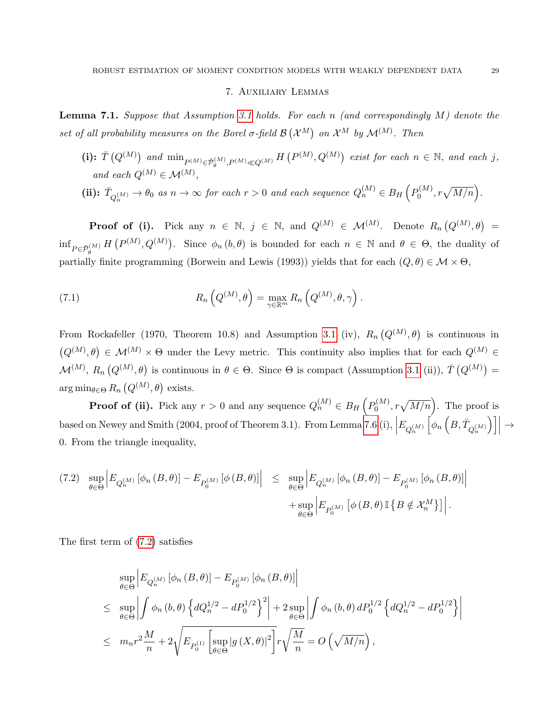### 7. Auxiliary Lemmas

<span id="page-28-1"></span><span id="page-28-0"></span>**Lemma 7.1.** Suppose that Assumption [3.1](#page-8-0) holds. For each n (and correspondingly  $M$ ) denote the set of all probability measures on the Borel  $\sigma$ -field  $\mathcal{B}(\mathcal{X}^M)$  on  $\mathcal{X}^M$  by  $\mathcal{M}^{(M)}$ . Then

(i):  $\overline{T}(Q^{(M)})$  and  $\min_{P^{(M)} \in \overline{P}_{\theta}^{(M)}, P^{(M)} \ll Q^{(M)}} H(P^{(M)}, Q^{(M)})$  exist for each  $n \in \mathbb{N}$ , and each j, and each  $Q^{(M)} \in \mathcal{M}^{(M)}$ ,

(ii): 
$$
\bar{T}_{Q_n^{(M)}} \to \theta_0
$$
 as  $n \to \infty$  for each  $r > 0$  and each sequence  $Q_n^{(M)} \in B_H(P_0^{(M)}, r\sqrt{M/n})$ .

**Proof of (i).** Pick any  $n \in \mathbb{N}$ ,  $j \in \mathbb{N}$ , and  $Q^{(M)} \in \mathcal{M}^{(M)}$ . Denote  $R_n(Q^{(M)},\theta)$  =  $inf_{P \in \bar{\mathcal{P}}_{\theta}^{(M)}} H(P^{(M)}, Q^{(M)})$ . Since  $\phi_n(b, \theta)$  is bounded for each  $n \in \mathbb{N}$  and  $\theta \in \Theta$ , the duality of partially finite programming (Borwein and Lewis (1993)) yields that for each  $(Q, \theta) \in \mathcal{M} \times \Theta$ ,

(7.1) 
$$
R_n\left(Q^{(M)},\theta\right) = \max_{\gamma \in \mathbb{R}^m} R_n\left(Q^{(M)},\theta,\gamma\right).
$$

From Rockafeller (1970, Theorem 10.8) and Assumption [3.1](#page-8-0) (iv),  $R_n(Q^{(M)},\theta)$  is continuous in  $(Q^{(M)},\theta) \in \mathcal{M}^{(M)} \times \Theta$  under the Levy metric. This continuity also implies that for each  $Q^{(M)} \in$  $\mathcal{M}^{(M)}$ ,  $R_n(Q^{(M)},\theta)$  is continuous in  $\theta \in \Theta$ . Since  $\Theta$  is compact (Assumption [3.1](#page-8-0) (ii)),  $\overline{T}(Q^{(M)}) =$  $\arg \min_{\theta \in \Theta} R_n \left( Q^{(M)}, \theta \right)$  exists.

**Proof of (ii).** Pick any  $r > 0$  and any sequence  $Q_n^{(M)} \in B_H(P_0^{(M)})$  $\mathcal{O}_0^{(M)}, r\sqrt{M/n}$ . The proof is based on Newey and Smith (2004, proof of Theorem 3.1). From Lemma [7.6](#page-38-0) (i),  $\Big|E_{Q_n^{(M)}}$  $\Big[\phi_n\,\Big(B,\bar{T}_{Q_n^{(M)}}$  $\Big)\Big]\Big|$  $\rightarrow$ 0. From the triangle inequality,

<span id="page-28-2"></span>
$$
(7.2) \quad \sup_{\theta \in \Theta} \left| E_{Q_n^{(M)}} \left[ \phi_n \left( B, \theta \right) \right] - E_{P_0^{(M)}} \left[ \phi \left( B, \theta \right) \right] \right| \leq \quad \sup_{\theta \in \Theta} \left| E_{Q_n^{(M)}} \left[ \phi_n \left( B, \theta \right) \right] - E_{P_0^{(M)}} \left[ \phi_n \left( B, \theta \right) \right] \right| + \sup_{\theta \in \Theta} \left| E_{P_0^{(M)}} \left[ \phi \left( B, \theta \right) \mathbb{I} \left\{ B \notin \mathcal{X}_n^M \right\} \right] \right|.
$$

The first term of [\(7.2\)](#page-28-2) satisfies

$$
\sup_{\theta \in \Theta} \left| E_{Q_n^{(M)}} \left[ \phi_n (B, \theta) \right] - E_{P_0^{(M)}} \left[ \phi_n (B, \theta) \right] \right|
$$
\n
$$
\leq \sup_{\theta \in \Theta} \left| \int \phi_n (b, \theta) \left\{ dQ_n^{1/2} - dP_0^{1/2} \right\}^2 \right| + 2 \sup_{\theta \in \Theta} \left| \int \phi_n (b, \theta) dP_0^{1/2} \left\{ dQ_n^{1/2} - dP_0^{1/2} \right\} \right|
$$
\n
$$
\leq m_n r^2 \frac{M}{n} + 2 \sqrt{E_{P_0^{(1)}} \left[ \sup_{\theta \in \Theta} |g(X, \theta)|^2 \right]} r \sqrt{\frac{M}{n}} = O\left(\sqrt{M/n}\right),
$$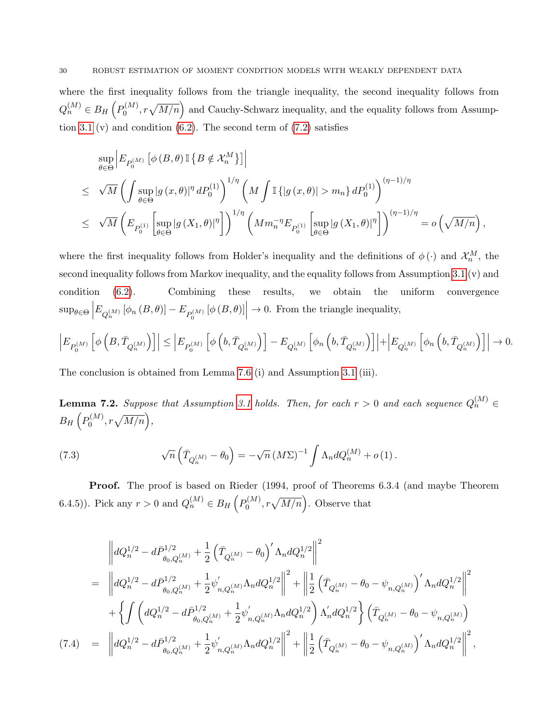where the first inequality follows from the triangle inequality, the second inequality follows from  $Q_n^{(M)} \in B_H\left( P_0^{(M)}\right)$  $\mathcal{O}_0^{(M)}$ ,  $r\sqrt{M/n}$  and Cauchy-Schwarz inequality, and the equality follows from Assump-tion [3.1](#page-8-0) (v) and condition  $(6.2)$ . The second term of  $(7.2)$  satisfies

$$
\sup_{\theta \in \Theta} \left| E_{P_0^{(M)}} \left[ \phi \left( B, \theta \right) \mathbb{I} \left\{ B \notin \mathcal{X}_n^M \right\} \right] \right|
$$
\n
$$
\leq \sqrt{M} \left( \int \sup_{\theta \in \Theta} |g \left( x, \theta \right)|^{\eta} dP_0^{(1)} \right)^{1/\eta} \left( M \int \mathbb{I} \left\{ |g \left( x, \theta \right)| > m_n \right\} dP_0^{(1)} \right)^{(\eta - 1)/\eta}
$$
\n
$$
\leq \sqrt{M} \left( E_{P_0^{(1)}} \left[ \sup_{\theta \in \Theta} |g \left( X_1, \theta \right)|^{\eta} \right] \right)^{1/\eta} \left( M m_n^{-\eta} E_{P_0^{(1)}} \left[ \sup_{\theta \in \Theta} |g \left( X_1, \theta \right)|^{\eta} \right] \right)^{(\eta - 1)/\eta} = o \left( \sqrt{M/n} \right),
$$

where the first inequality follows from Holder's inequality and the definitions of  $\phi(\cdot)$  and  $\mathcal{X}_n^M$ , the second inequality follows from Markov inequality, and the equality follows from Assumption [3.1](#page-8-0) (v) and condition [\(6.2\)](#page-20-1). Combining these results, we obtain the uniform convergence  $\sup_{\theta \in \Theta} \left| E_{Q_n^{(M)}} \left[ \phi_n \left( B, \theta \right) \right] - E_{P_0^{(M)}} \left[ \phi \left( B, \theta \right) \right] \right|$  $\rightarrow$  0. From the triangle inequality,

$$
\left|E_{P_0^{(M)}}\left[\phi\left(B,\bar{T}_{Q_n^{(M)}}\right)\right]\right|\leq \left|E_{P_0^{(M)}}\left[\phi\left(b,\bar{T}_{Q_n^{(M)}}\right)\right]-E_{Q_n^{(M)}}\left[\phi_n\left(b,\bar{T}_{Q_n^{(M)}}\right)\right]\right|+\left|E_{Q_n^{(M)}}\left[\phi_n\left(b,\bar{T}_{Q_n^{(M)}}\right)\right]\right|\rightarrow 0.
$$

The conclusion is obtained from Lemma [7.6](#page-38-0) (i) and Assumption [3.1](#page-8-0) (iii).

<span id="page-29-0"></span>**Lemma 7.2.** Suppose that Assumption [3.1](#page-8-0) holds. Then, for each  $r > 0$  and each sequence  $Q_n^{(M)} \in$  $B_H\left(P_0^{(M)}\right)$  $b_0^{(M)}, r\sqrt{M/n}\Big),$ 

(7.3) 
$$
\sqrt{n}\left(\bar{T}_{Q_n^{(M)}}-\theta_0\right)=-\sqrt{n}\left(M\Sigma\right)^{-1}\int \Lambda_n dQ_n^{(M)}+o(1).
$$

Proof. The proof is based on Rieder (1994, proof of Theorems 6.3.4 (and maybe Theorem 6.4.5)). Pick any  $r > 0$  and  $Q_n^{(M)} \in B_H(p_0^{(M)})$  $\mathcal{O}_0^{(M)}$ ,  $r\sqrt{M/n}$ . Observe that

<span id="page-29-1"></span>
$$
\begin{split}\n&\left\|dQ_{n}^{1/2}-d\bar{P}_{\theta_{0},Q_{n}^{(M)}}^{1/2}+\frac{1}{2}\left(\bar{T}_{Q_{n}^{(M)}}-\theta_{0}\right)^{\prime}\Lambda_{n}dQ_{n}^{1/2}\right\|^{2} \\
&=\left\|dQ_{n}^{1/2}-d\bar{P}_{\theta_{0},Q_{n}^{(M)}}^{1/2}+\frac{1}{2}\psi_{n,Q_{n}^{(M)}}^{\prime}\Lambda_{n}dQ_{n}^{1/2}\right\|^{2}+\left\|\frac{1}{2}\left(\bar{T}_{Q_{n}^{(M)}}-\theta_{0}-\psi_{n,Q_{n}^{(M)}}\right)^{\prime}\Lambda_{n}dQ_{n}^{1/2}\right\|^{2} \\
&\quad+\left\{\int\left(dQ_{n}^{1/2}-d\bar{P}_{\theta_{0},Q_{n}^{(M)}}^{1/2}+\frac{1}{2}\psi_{n,Q_{n}^{(M)}}^{\prime}\Lambda_{n}dQ_{n}^{1/2}\right)\Lambda_{n}^{\prime}dQ_{n}^{1/2}\right\}\left(\bar{T}_{Q_{n}^{(M)}}-\theta_{0}-\psi_{n,Q_{n}^{(M)}}\right) \\
(7.4) \quad &=\;\left\|dQ_{n}^{1/2}-d\bar{P}_{\theta_{0},Q_{n}^{(M)}}^{1/2}+\frac{1}{2}\psi_{n,Q_{n}^{(M)}}^{\prime}\Lambda_{n}dQ_{n}^{1/2}\right\|^{2}+\left\|\frac{1}{2}\left(\bar{T}_{Q_{n}^{(M)}}-\theta_{0}-\psi_{n,Q_{n}^{(M)}}\right)^{\prime}\Lambda_{n}dQ_{n}^{1/2}\right\|^{2},\n\end{split}
$$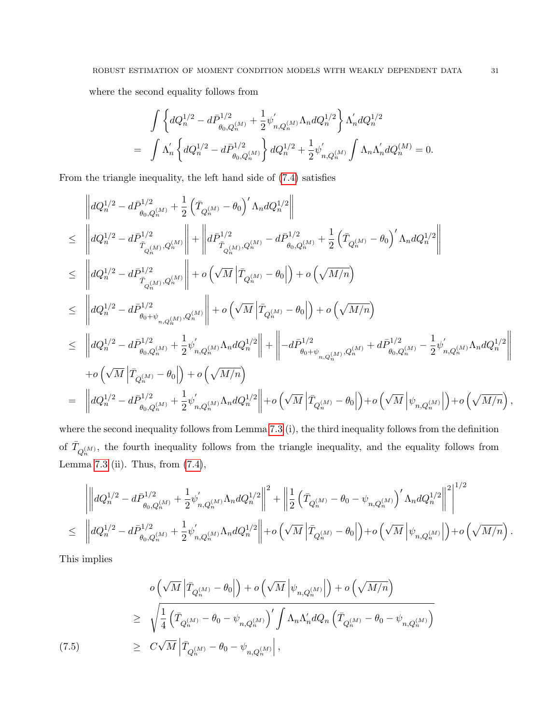where the second equality follows from

$$
\begin{split} &\int \left\{dQ_n^{1/2}-d\bar{P}_{\theta_0,Q_n^{(M)}}^{1/2}+\frac{1}{2}\psi_{n,Q_n^{(M)}}^{'}\Lambda_n dQ_n^{1/2}\right\}\Lambda_n'dQ_n^{1/2}\\ =&\int \Lambda_n^{'}\left\{dQ_n^{1/2}-d\bar{P}_{\theta_0,Q_n^{(M)}}^{1/2}\right\}dQ_n^{1/2}+\frac{1}{2}\psi_{n,Q_n^{(M)}}^{'}\int \Lambda_n\Lambda_n^{'}dQ_n^{(M)}=0. \end{split}
$$

From the triangle inequality, the left hand side of [\(7.4\)](#page-29-1) satisfies

$$
\label{eq:2.10} \begin{split} &\left\|dQ_{n}^{1/2}-d\bar{P}_{\theta_{0},Q_{n}^{(M)}}^{1/2}+\frac{1}{2}\left(\bar{T}_{Q_{n}^{(M)}}-\theta_{0}\right)^{\prime}\Lambda_{n}dQ_{n}^{1/2}\right\|\\ &\leq \quad \left\|dQ_{n}^{1/2}-d\bar{P}_{\bar{T}_{Q_{n}^{(M)}},Q_{n}^{(M)}}^{1/2}\right\|+\left\|d\bar{P}_{\bar{T}_{Q_{n}^{(M)}},Q_{n}^{(M)}}^{1/2}-d\bar{P}_{\theta_{0},Q_{n}^{(M)}}^{1/2}+\frac{1}{2}\left(\bar{T}_{Q_{n}^{(M)}}-\theta_{0}\right)^{\prime}\Lambda_{n}dQ_{n}^{1/2}\right\|\\ &\leq \quad \left\|dQ_{n}^{1/2}-d\bar{P}_{\bar{T}_{Q_{n}^{(M)}},Q_{n}^{(M)}}^{1/2}\right\|+o\left(\sqrt{M}\left|\bar{T}_{Q_{n}^{(M)}}-\theta_{0}\right|\right)+o\left(\sqrt{M/n}\right)\\ &\leq \quad \left\|dQ_{n}^{1/2}-d\bar{P}_{\theta_{0}+\psi_{n,Q_{n}^{(M)}}^{1/2},Q_{n}^{(M)}}^{1/2}\right\|+o\left(\sqrt{M}\left|\bar{T}_{Q_{n}^{(M)}}-\theta_{0}\right|\right)+o\left(\sqrt{M/n}\right)\\ &\leq \quad \left\|dQ_{n}^{1/2}-d\bar{P}_{\theta_{0},Q_{n}^{(M)}}^{1/2}+\frac{1}{2}\psi_{n,Q_{n}^{(M)}}^{\prime}\Lambda_{n}dQ_{n}^{1/2}\right\|+\left\|-d\bar{P}_{\theta_{0}+\psi_{n,Q_{n}^{(M)}},Q_{n}^{(M)}}^{1/2}+d\bar{P}_{\theta_{0},Q_{n}^{(M)}}^{1/2}-\frac{1}{2}\psi_{n,Q_{n}^{(M)}}^{\prime}\Lambda_{n}dQ_{n}^{1/2}\right\|\\ &+o\left(\sqrt{M}\left|\bar{T}_{Q_{n}^{(M)}}-\theta_{0}\right|\right)+o\left(\sqrt{M/n}\right)\\ &\leq \quad \left\|dQ_{n}^{1/2}-d\bar{P}_{\theta_{0},Q_{n}^{(M)}}^{1/2}+\frac{1}{2}\psi_{n,Q_{n
$$

where the second inequality follows from Lemma [7.3](#page-32-0) (i), the third inequality follows from the definition of  $\bar{T}_{Q_n^{(M)}}$ , the fourth inequality follows from the triangle inequality, and the equality follows from Lemma [7.3](#page-32-0) (ii). Thus, from [\(7.4\)](#page-29-1),

$$
\left|\left\|dQ_n^{1/2}-d\bar{P}_{\theta_0,Q_n^{(M)}}^{1/2}+\frac{1}{2}\psi_{n,Q_n^{(M)}}^{'}\Lambda_n dQ_n^{1/2}\right\|^2+\left\|\frac{1}{2}\left(\bar{T}_{Q_n^{(M)}}-\theta_0-\psi_{n,Q_n^{(M)}}\right)'\Lambda_n dQ_n^{1/2}\right\|^2\right|^{1/2}\\ \leq \ \left|\left|dQ_n^{1/2}-d\bar{P}_{\theta_0,Q_n^{(M)}}^{1/2}+\frac{1}{2}\psi_{n,Q_n^{(M)}}^{'}\Lambda_n dQ_n^{1/2}\right\|+o\left(\sqrt{M}\left|\bar{T}_{Q_n^{(M)}}-\theta_0\right|\right)+o\left(\sqrt{M}\left|\psi_{n,Q_n^{(M)}}\right|\right)+o\left(\sqrt{M/n}\right).
$$

This implies

<span id="page-30-0"></span>
$$
o\left(\sqrt{M}\left|\overline{T}_{Q_n^{(M)}} - \theta_0\right|\right) + o\left(\sqrt{M}\left|\psi_{n,Q_n^{(M)}}\right|\right) + o\left(\sqrt{M/n}\right)
$$
  
\n
$$
\geq \sqrt{\frac{1}{4}\left(\overline{T}_{Q_n^{(M)}} - \theta_0 - \psi_{n,Q_n^{(M)}}\right)'\int \Lambda_n \Lambda'_n dQ_n \left(\overline{T}_{Q_n^{(M)}} - \theta_0 - \psi_{n,Q_n^{(M)}}\right)}
$$
  
\n
$$
\geq C\sqrt{M}\left|\overline{T}_{Q_n^{(M)}} - \theta_0 - \psi_{n,Q_n^{(M)}}\right|,
$$
  
\n(7.5)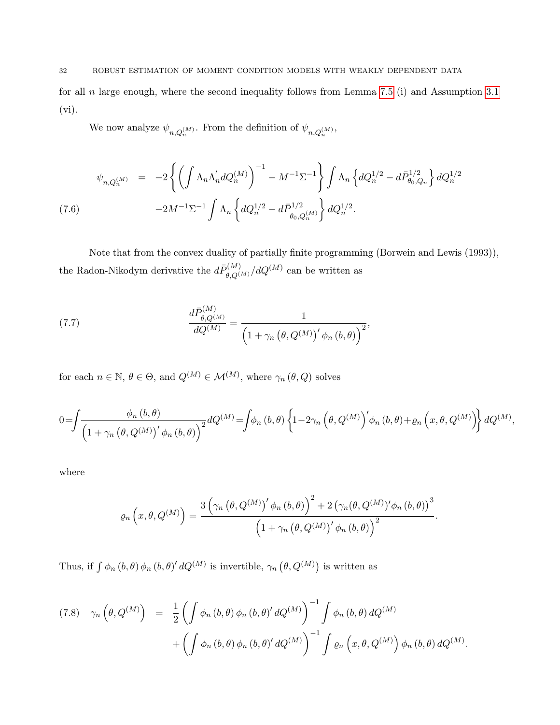for all n large enough, where the second inequality follows from Lemma [7.5](#page-36-0) (i) and Assumption [3.1](#page-8-0) (vi).

We now analyze  $\psi_{n,Q_n^{(M)}}$ . From the definition of  $\psi_{n,Q_n^{(M)}}$ ,

<span id="page-31-0"></span>
$$
\psi_{n,Q_n^{(M)}} = -2 \left\{ \left( \int \Lambda_n \Lambda'_n dQ_n^{(M)} \right)^{-1} - M^{-1} \Sigma^{-1} \right\} \int \Lambda_n \left\{ dQ_n^{1/2} - d\bar{P}_{\theta_0,Q_n}^{1/2} \right\} dQ_n^{1/2}
$$
\n
$$
(7.6) \qquad \qquad -2M^{-1} \Sigma^{-1} \int \Lambda_n \left\{ dQ_n^{1/2} - d\bar{P}_{\theta_0,Q_n^{(M)}}^{1/2} \right\} dQ_n^{1/2}.
$$

Note that from the convex duality of partially finite programming (Borwein and Lewis (1993)), the Radon-Nikodym derivative the  $d\bar{P}_{\theta, Q^{(M)}}^{(M)}/dQ^{(M)}$  can be written as

<span id="page-31-1"></span>(7.7) 
$$
\frac{d\bar{P}_{\theta,Q^{(M)}}^{(M)}}{dQ^{(M)}} = \frac{1}{\left(1+\gamma_n\left(\theta,Q^{(M)}\right)'\phi_n\left(b,\theta\right)\right)^2},\,
$$

for each  $n \in \mathbb{N}$ ,  $\theta \in \Theta$ , and  $Q^{(M)} \in \mathcal{M}^{(M)}$ , where  $\gamma_n(\theta, Q)$  solves

$$
0 = \int \frac{\phi_n(b,\theta)}{\left(1 + \gamma_n(\theta, Q^{(M)})' \phi_n(b,\theta)\right)^2} dQ^{(M)} = \int \phi_n(b,\theta) \left\{1 - 2\gamma_n(\theta, Q^{(M)})' \phi_n(b,\theta) + \varrho_n(x,\theta, Q^{(M)})\right\} dQ^{(M)},
$$

where

$$
\varrho_n\left(x,\theta,Q^{(M)}\right)=\frac{3\left(\gamma_n\left(\theta,Q^{(M)}\right)'\phi_n\left(b,\theta\right)\right)^2+2\left(\gamma_n(\theta,Q^{(M)})'\phi_n\left(b,\theta\right)\right)^3}{\left(1+\gamma_n\left(\theta,Q^{(M)}\right)'\phi_n\left(b,\theta\right)\right)^2}.
$$

Thus, if  $\int \phi_n(b,\theta) \phi_n(b,\theta)' dQ^{(M)}$  is invertible,  $\gamma_n(\theta, Q^{(M)})$  is written as

<span id="page-31-2"></span>
$$
(7.8) \quad \gamma_n\left(\theta, Q^{(M)}\right) = \frac{1}{2} \left( \int \phi_n(b,\theta) \phi_n(b,\theta)' dQ^{(M)} \right)^{-1} \int \phi_n(b,\theta) dQ^{(M)} + \left( \int \phi_n(b,\theta) \phi_n(b,\theta)' dQ^{(M)} \right)^{-1} \int \varrho_n\left(x,\theta, Q^{(M)}\right) \phi_n(b,\theta) dQ^{(M)}.
$$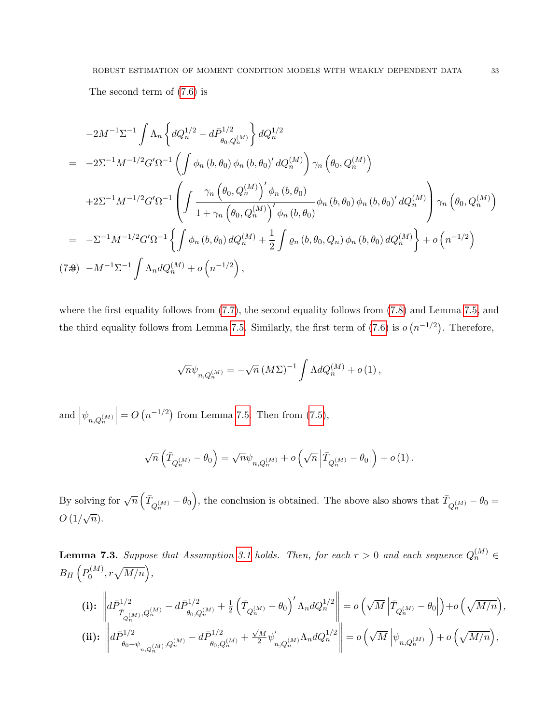The second term of [\(7.6\)](#page-31-0) is

$$
-2M^{-1}\Sigma^{-1}\int \Lambda_n \left\{dQ_n^{1/2} - d\bar{P}_{\theta_0,Q_n^{(M)}}^{1/2}\right\} dQ_n^{1/2}
$$
  
=  $-2\Sigma^{-1}M^{-1/2}G'\Omega^{-1}\left(\int \phi_n(b,\theta_0)\phi_n(b,\theta_0)' dQ_n^{(M)}\right)\gamma_n\left(\theta_0,Q_n^{(M)}\right)$   
+ $2\Sigma^{-1}M^{-1/2}G'\Omega^{-1}\left(\int \frac{\gamma_n\left(\theta_0,Q_n^{(M)}\right)'\phi_n(b,\theta_0)}{1+\gamma_n\left(\theta_0,Q_n^{(M)}\right)'\phi_n(b,\theta_0)}\phi_n(b,\theta_0)\phi_n(b,\theta_0)'\,dQ_n^{(M)}\right)\gamma_n\left(\theta_0,Q_n^{(M)}\right)$   
=  $- \Sigma^{-1}M^{-1/2}G'\Omega^{-1}\left\{\int \phi_n(b,\theta_0)dQ_n^{(M)} + \frac{1}{2}\int \varrho_n(b,\theta_0,Q_n)\phi_n(b,\theta_0)dQ_n^{(M)}\right\} + o\left(n^{-1/2}\right)$   
(7.9)  $-M^{-1}\Sigma^{-1}\int \Lambda_n dQ_n^{(M)} + o\left(n^{-1/2}\right)$ ,

where the first equality follows from [\(7.7\)](#page-31-1), the second equality follows from [\(7.8\)](#page-31-2) and Lemma [7.5,](#page-36-0) and the third equality follows from Lemma [7.5.](#page-36-0) Similarly, the first term of [\(7.6\)](#page-31-0) is  $o(n^{-1/2})$ . Therefore,

$$
\sqrt{n}\psi_{n,Q_n^{(M)}} = -\sqrt{n} \left( M\Sigma \right)^{-1} \int \Lambda dQ_n^{(M)} + o(1) \,,
$$

and  $|\psi_{n,Q_n^{(M)}}$  $= O(n^{-1/2})$  from Lemma [7.5.](#page-36-0) Then from [\(7.5\)](#page-30-0),

$$
\sqrt{n}\left(\bar{T}_{Q_n^{(M)}}-\theta_0\right)=\sqrt{n}\psi_{n,Q_n^{(M)}}+o\left(\sqrt{n}\left|\bar{T}_{Q_n^{(M)}}-\theta_0\right|\right)+o\left(1\right).
$$

By solving for  $\sqrt{n} \left( \bar{T}_{Q_n^{(M)}} - \theta_0 \right)$ , the conclusion is obtained. The above also shows that  $\bar{T}_{Q_n^{(M)}} - \theta_0 =$  $O(1/\sqrt{n}).$ 

<span id="page-32-0"></span>**Lemma 7.3.** Suppose that Assumption [3.1](#page-8-0) holds. Then, for each  $r > 0$  and each sequence  $Q_n^{(M)} \in$  $B_H\left(P_0^{(M)}\right)$  $b_0^{(M)}, r\sqrt{M/n}\Big),$ 

$$
\label{eq:1} \begin{aligned} \textbf{(i):} \ \ & \left\| d\bar{P}^{1/2}_{\bar{T}_{Q^{(M)}_n, Q^{(M)}_n} - d\bar{P}^{1/2}_{\theta_0, Q^{(M)}_n} + \tfrac{1}{2} \left( \bar{T}_{Q^{(M)}_n} - \theta_0 \right)' \Lambda_n dQ^{1/2}_n \right\| = o\left( \sqrt{M} \left| \bar{T}_{Q^{(M)}_n} - \theta_0 \right| \right) + o\left( \sqrt{M/n} \right), \\ \textbf{(ii):} \ \ & \left\| d\bar{P}^{1/2}_{\theta_0 + \psi_{n,Q^{(M)}_n}, Q^{(M)}_n} - d\bar{P}^{1/2}_{\theta_0, Q^{(M)}_n} + \tfrac{\sqrt{M}}{2} \psi^{'}_{n,Q^{(M)}_n} \Lambda_n dQ^{1/2}_n \right\| = o\left( \sqrt{M} \left| \psi_{n,Q^{(M)}_n} \right| \right) + o\left( \sqrt{M/n} \right), \end{aligned}
$$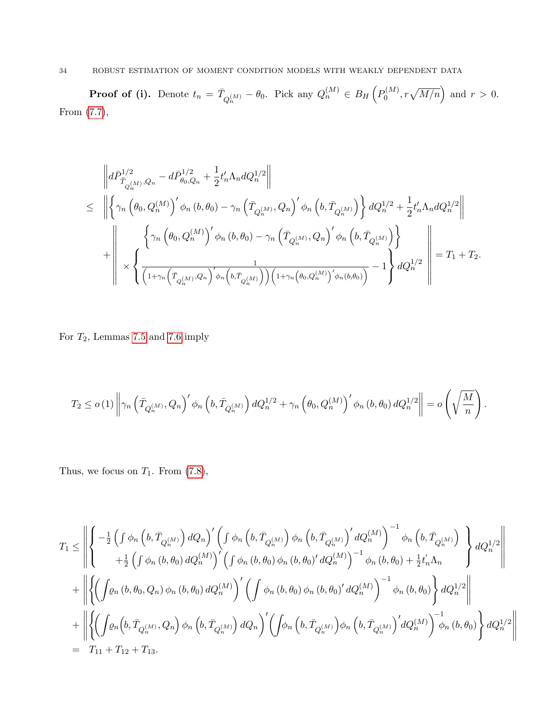### 34 ROBUST ESTIMATION OF MOMENT CONDITION MODELS WITH WEAKLY DEPENDENT DATA

**Proof of (i).** Denote  $t_n = \bar{T}_{Q_n^{(M)}} - \theta_0$ . Pick any  $Q_n^{(M)} \in B_H\left(P_0^{(M)}\right)$  $b_0^{(M)}$ ,  $r\sqrt{M/n}$  and  $r > 0$ . From [\(7.7\)](#page-31-1),

$$
\begin{split} &\left\|d\bar{P}^{1/2}_{\bar{T}_{Q^{(M)}_n,Q_n}}-d\bar{P}^{1/2}_{\theta_0,Q_n}+\frac{1}{2}t'_n\Lambda_ndQ^{1/2}_n\right\|\\ &\leq \ \, \left\|\left\{\gamma_n\left(\theta_0,Q^{(M)}_n\right)'\phi_n\left(b,\theta_0\right)-\gamma_n\left(\bar{T}_{Q^{(M)}_n},Q_n\right)'\phi_n\left(b,\bar{T}_{Q^{(M)}_n}\right)\right\}dQ^{1/2}_n+\frac{1}{2}t'_n\Lambda_ndQ^{1/2}_n\right\|\\ &+\left\|\left.\left.\left.\left(\gamma_n\left(\theta_0,Q^{(M)}_n\right)'\phi_n\left(b,\theta_0\right)-\gamma_n\left(\bar{T}_{Q^{(M)}_n},Q_n\right)'\phi_n\left(b,\bar{T}_{Q^{(M)}_n}\right)\right)\right\}\right.\\ &+\left\|\left.\times\left\{\left.\left(\overline{1+\gamma_n\left(\bar{T}_{Q^{(M)}_n},Q_n\right)'\phi_n\left(b,\bar{T}_{Q^{(M)}_n}\right)\right)\left(1+\gamma_n\left(\theta_0,Q^{(M)}_n\right)'\phi_n(b,\theta_0)\right)}-1\right\}dQ^{1/2}_n\right\}\right\|=T_1+T_2. \end{split}
$$

### For  $T_2$ , Lemmas [7.5](#page-36-0) and [7.6](#page-38-0) imply

$$
T_2 \leq o(1) \left\| \gamma_n \left( \bar{T}_{Q_n^{(M)}} , Q_n \right)^{\prime} \phi_n \left( b, \bar{T}_{Q_n^{(M)}} \right) dQ_n^{1/2} + \gamma_n \left( \theta_0, Q_n^{(M)} \right)^{\prime} \phi_n \left( b, \theta_0 \right) dQ_n^{1/2} \right\| = o\left( \sqrt{\frac{M}{n}} \right).
$$

Thus, we focus on  $T_1$ . From  $(7.8)$ ,

$$
T_{1} \leq \left\| \begin{cases} -\frac{1}{2} \left( \int \phi_{n} \left( b, \bar{T}_{Q_{n}^{(M)}} \right) dQ_{n} \right)' \left( \int \phi_{n} \left( b, \bar{T}_{Q_{n}^{(M)}} \right) \phi_{n} \left( b, \bar{T}_{Q_{n}^{(M)}} \right)' dQ_{n}^{(M)} \right)^{-1} \phi_{n} \left( b, \bar{T}_{Q_{n}^{(M)}} \right) \right\} dQ_{n}^{1/2} \right\|
$$
  
+ 
$$
\frac{1}{2} \left( \int \phi_{n} \left( b, \theta_{0} \right) dQ_{n}^{(M)} \right)' \left( \int \phi_{n} \left( b, \theta_{0} \right) \phi_{n} \left( b, \theta_{0} \right)' dQ_{n}^{(M)} \right)^{-1} \phi_{n} \left( b, \theta_{0} \right) + \frac{1}{2} t'_{n} \Lambda_{n} \right\} dQ_{n}^{1/2} \right\|
$$
  
+ 
$$
\left\| \left\{ \left( \int \phi_{n} \left( b, \theta_{0}, Q_{n} \right) \phi_{n} \left( b, \theta_{0} \right) dQ_{n}^{(M)} \right)' \left( \int \phi_{n} \left( b, \theta_{0} \right) \phi_{n} \left( b, \theta_{0} \right)' dQ_{n}^{(M)} \right)^{-1} \phi_{n} \left( b, \theta_{0} \right) \right\} dQ_{n}^{1/2} \right\|
$$
  
+ 
$$
\left\| \left\{ \left( \int \phi_{n} \left( b, \bar{T}_{Q_{n}^{(M)}} , Q_{n} \right) \phi_{n} \left( b, \bar{T}_{Q_{n}^{(M)}} \right) dQ_{n} \right)' \left( \int \phi_{n} \left( b, \bar{T}_{Q_{n}^{(M)}} \right) \phi_{n} \left( b, \bar{T}_{Q_{n}^{(M)}} \right)' dQ_{n}^{(M)} \right)^{-1} \phi_{n} \left( b, \theta_{0} \right) \right\} dQ_{n}^{1/2} \right\|
$$
  
= 
$$
T_{11} + T_{12} + T_{13}.
$$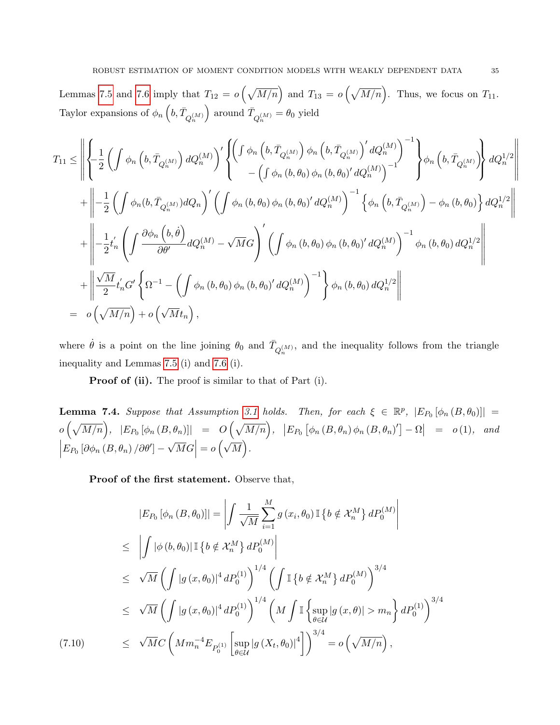Lemmas [7.5](#page-36-0) and [7.6](#page-38-0) imply that  $T_{12} = o\left(\sqrt{M/n}\right)$  and  $T_{13} = o\left(\sqrt{M/n}\right)$ . Thus, we focus on  $T_{11}$ . Taylor expansions of  $\phi_n\left(b,\bar{T}_{Q_n^{(M)}}\right)$ ) around  $\bar{T}_{Q_n^{(M)}} = \theta_0$  yield

$$
T_{11} \leq \left\| \left\{ -\frac{1}{2} \left( \int \phi_n \left( b, \bar{T}_{Q_n^{(M)}} \right) dQ_n^{(M)} \right)' \left\{ \left( \int \phi_n \left( b, \bar{T}_{Q_n^{(M)}} \right) \phi_n \left( b, \bar{T}_{Q_n^{(M)}} \right)' dQ_n^{(M)} \right)^{-1} \right\} \phi_n \left( b, \bar{T}_{Q_n^{(M)}} \right) \right\} dQ_n^{1/2} \right\|
$$
  
+ 
$$
\left\| -\frac{1}{2} \left( \int \phi_n (b, \bar{T}_{Q_n^{(M)}}) dQ_n \right)' \left( \int \phi_n (b, \theta_0) \phi_n (b, \theta_0)' dQ_n^{(M)} \right)^{-1} \left\{ \phi_n \left( b, \bar{T}_{Q_n^{(M)}} \right) - \phi_n (b, \theta_0) \right\} dQ_n^{1/2} \right\|
$$
  
+ 
$$
\left\| -\frac{1}{2} t'_n \left( \int \frac{\partial \phi_n \left( b, \dot{\theta} \right)}{\partial \theta'} dQ_n^{(M)} - \sqrt{M} G \right)' \left( \int \phi_n (b, \theta_0) \phi_n (b, \theta_0)' dQ_n^{(M)} \right)^{-1} \phi_n (b, \theta_0) dQ_n^{1/2} \right\|
$$
  
+ 
$$
\left\| \frac{\sqrt{M}}{2} t'_n G' \left\{ \Omega^{-1} - \left( \int \phi_n (b, \theta_0) \phi_n (b, \theta_0)' dQ_n^{(M)} \right)^{-1} \right\} \phi_n (b, \theta_0) dQ_n^{1/2} \right\|
$$
  
= 
$$
o \left( \sqrt{M/n} \right) + o \left( \sqrt{M} t_n \right),
$$

where  $\dot{\theta}$  is a point on the line joining  $\theta_0$  and  $\bar{T}_{Q_n^{(M)}}$ , and the inequality follows from the triangle inequality and Lemmas [7.5](#page-36-0) (i) and [7.6](#page-38-0) (i).

Proof of (ii). The proof is similar to that of Part (i).

<span id="page-34-0"></span>**Lemma 7.4.** Suppose that Assumption [3.1](#page-8-0) holds. Then, for each  $\xi \in \mathbb{R}^p$ ,  $|E_{P_0}[\phi_n(B, \theta_0)]|$  =  $o\left(\sqrt{M/n}\right), \ \ |E_{P_0}\left[\phi_n\left(B, \theta_n\right)\right] \ \ = \ \ O\left(\sqrt{M/n}\right), \ \ \ \big|E_{P_0}\left[\phi_n\left(B, \theta_n\right)\phi_n\left(B, \theta_n\right)'\right] - \Omega\big| \ \ = \ \ o\left(1\right), \ \ and$  $\Big| E_{P_0} \left[ \partial \phi_n \left( B, \theta_n \right) / \partial \theta' \right] -$ √  $\overline{M}G$  = 0  $\left(\sqrt{M}\right)$ .

<span id="page-34-1"></span>Proof of the first statement. Observe that,

$$
|E_{P_0} [\phi_n (B, \theta_0)]| = \left| \int \frac{1}{\sqrt{M}} \sum_{i=1}^M g(x_i, \theta_0) \mathbb{I} \{b \notin \mathcal{X}_n^M \} dP_0^{(M)} \right|
$$
  
\n
$$
\leq \left| \int |\phi(b, \theta_0)| \mathbb{I} \{b \notin \mathcal{X}_n^M \} dP_0^{(M)} \right|
$$
  
\n
$$
\leq \sqrt{M} \left( \int |g(x, \theta_0)|^4 dP_0^{(1)} \right)^{1/4} \left( \int \mathbb{I} \{b \notin \mathcal{X}_n^M \} dP_0^{(M)} \right)^{3/4}
$$
  
\n
$$
\leq \sqrt{M} \left( \int |g(x, \theta_0)|^4 dP_0^{(1)} \right)^{1/4} \left( M \int \mathbb{I} \left\{ \sup_{\theta \in \mathcal{U}} |g(x, \theta)| > m_n \right\} dP_0^{(1)} \right)^{3/4}
$$
  
\n(7.10) 
$$
\leq \sqrt{M} C \left( M m_n^{-4} E_{P_0^{(1)}} \left[ \sup_{\theta \in \mathcal{U}} |g(X_t, \theta_0)|^4 \right] \right)^{3/4} = o \left( \sqrt{M/n} \right),
$$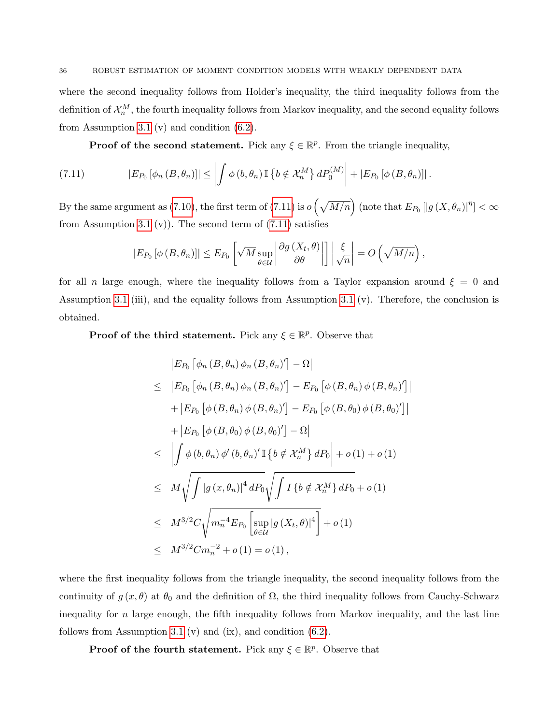where the second inequality follows from Holder's inequality, the third inequality follows from the definition of  $\mathcal{X}_n^M$ , the fourth inequality follows from Markov inequality, and the second equality follows from Assumption [3.1](#page-8-0) (v) and condition  $(6.2)$ .

<span id="page-35-0"></span>**Proof of the second statement.** Pick any  $\xi \in \mathbb{R}^p$ . From the triangle inequality,

(7.11) 
$$
|E_{P_0}[\phi_n(B,\theta_n)]| \leq \left| \int \phi(b,\theta_n) \mathbb{I} \left\{ b \notin \mathcal{X}_n^M \right\} dP_0^{(M)} \right| + |E_{P_0}[\phi(B,\theta_n)]|.
$$

By the same argument as [\(7.10\)](#page-34-1), the first term of [\(7.11\)](#page-35-0) is  $o\left(\sqrt{M/n}\right)$  (note that  $E_{P_0}\left[|g\left(X,\theta_n\right)|^{\eta}\right]<\infty$ from Assumption [3.1](#page-8-0) (v)). The second term of  $(7.11)$  satisfies

$$
|E_{P_0}[\phi(B,\theta_n)]| \le E_{P_0}\left[\sqrt{M} \sup_{\theta \in \mathcal{U}} \left|\frac{\partial g(X_t, \theta)}{\partial \theta}\right|\right] \left|\frac{\xi}{\sqrt{n}}\right| = O\left(\sqrt{M/n}\right),\,
$$

for all n large enough, where the inequality follows from a Taylor expansion around  $\xi = 0$  and Assumption [3.1](#page-8-0) (iii), and the equality follows from Assumption [3.1](#page-8-0) (v). Therefore, the conclusion is obtained.

**Proof of the third statement.** Pick any  $\xi \in \mathbb{R}^p$ . Observe that

$$
|E_{P_0} [\phi_n (B, \theta_n) \phi_n (B, \theta_n)'] - \Omega|
$$
  
\n
$$
\leq |E_{P_0} [\phi_n (B, \theta_n) \phi_n (B, \theta_n)'] - E_{P_0} [\phi (B, \theta_n) \phi (B, \theta_n)']
$$
  
\n
$$
+ |E_{P_0} [\phi (B, \theta_n) \phi (B, \theta_n)'] - E_{P_0} [\phi (B, \theta_0) \phi (B, \theta_0)']|
$$
  
\n
$$
+ |E_{P_0} [\phi (B, \theta_0) \phi (B, \theta_0)'] - \Omega|
$$
  
\n
$$
\leq | \int \phi (b, \theta_n) \phi' (b, \theta_n)' \mathbb{I} \{b \notin \mathcal{X}_n^M \} dP_0 | + o(1) + o(1)
$$
  
\n
$$
\leq M \sqrt{\int |g(x, \theta_n)|^4 dP_0} \sqrt{\int I \{b \notin \mathcal{X}_n^M \} dP_0} + o(1)
$$
  
\n
$$
\leq M^{3/2} C \sqrt{m_n^{-4} E_{P_0} [\sup_{\theta \in \mathcal{U}} |g(X_t, \theta)|^4] + o(1)
$$
  
\n
$$
\leq M^{3/2} C m_n^{-2} + o(1) = o(1),
$$

 $^{\prime}]|$ 

where the first inequality follows from the triangle inequality, the second inequality follows from the continuity of  $g(x, \theta)$  at  $\theta_0$  and the definition of  $\Omega$ , the third inequality follows from Cauchy-Schwarz inequality for  $n$  large enough, the fifth inequality follows from Markov inequality, and the last line follows from Assumption [3.1](#page-8-0) (v) and (ix), and condition  $(6.2)$ .

**Proof of the fourth statement.** Pick any  $\xi \in \mathbb{R}^p$ . Observe that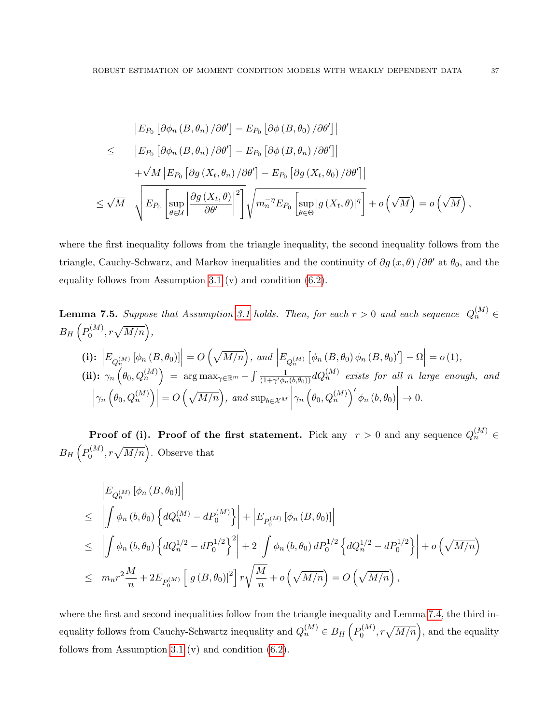$$
\begin{split}\n\left| E_{P_0} \left[ \partial \phi_n \left( B, \theta_n \right) / \partial \theta' \right] - E_{P_0} \left[ \partial \phi \left( B, \theta_0 \right) / \partial \theta' \right] \right| \\
&\leq \qquad \left| E_{P_0} \left[ \partial \phi_n \left( B, \theta_n \right) / \partial \theta' \right] - E_{P_0} \left[ \partial \phi \left( B, \theta_n \right) / \partial \theta' \right] \right| \\
&\quad + \sqrt{M} \left| E_{P_0} \left[ \partial g \left( X_t, \theta_n \right) / \partial \theta' \right] - E_{P_0} \left[ \partial g \left( X_t, \theta_0 \right) / \partial \theta' \right] \right| \\
&\leq \sqrt{M} \quad \sqrt{E_{P_0} \left[ \sup_{\theta \in \mathcal{U}} \left| \frac{\partial g \left( X_t, \theta \right)}{\partial \theta'} \right|^2 \right]} \sqrt{m_n^{-\eta} E_{P_0} \left[ \sup_{\theta \in \Theta} \left| g \left( X_t, \theta \right) \right|^\eta \right]} + o \left( \sqrt{M} \right) = o \left( \sqrt{M} \right),\n\end{split}
$$

where the first inequality follows from the triangle inequality, the second inequality follows from the triangle, Cauchy-Schwarz, and Markov inequalities and the continuity of  $\partial g(x, \theta) / \partial \theta'$  at  $\theta_0$ , and the equality follows from Assumption [3.1](#page-8-0) (v) and condition [\(6.2\)](#page-20-1).

<span id="page-36-0"></span>**Lemma 7.5.** Suppose that Assumption 3.1 holds. Then, for each 
$$
r > 0
$$
 and each sequence  $Q_n^{(M)} \in$   
\n
$$
B_H\left(P_0^{(M)}, r\sqrt{M/n}\right),
$$
\n(i):  $\left|E_{Q_n^{(M)}}\left[\phi_n\left(B, \theta_0\right)\right]\right| = O\left(\sqrt{M/n}\right)$ , and  $\left|E_{Q_n^{(M)}}\left[\phi_n\left(B, \theta_0\right)\phi_n\left(B, \theta_0\right)'\right] - \Omega\right| = o(1),$ \n(ii):  $\gamma_n\left(\theta_0, Q_n^{(M)}\right) = \arg \max_{\gamma \in \mathbb{R}^m} - \int \frac{1}{(1+\gamma'\phi_n(b,\theta_0))} dQ_n^{(M)} \text{ exists for all } n \text{ large enough, and}$ \n
$$
\left|\gamma_n\left(\theta_0, Q_n^{(M)}\right)\right| = O\left(\sqrt{M/n}\right), \text{ and } \sup_{b \in \mathcal{X}^M} \left|\gamma_n\left(\theta_0, Q_n^{(M)}\right)'\phi_n\left(b, \theta_0\right)\right| \to 0.
$$

**Proof of (i). Proof of the first statement.** Pick any  $r > 0$  and any sequence  $Q_n^{(M)} \in$  $B_H\left(P_0^{(M)}\right)$  $\mathcal{O}_0^{(M)}$ ,  $r\sqrt{M/n}$ . Observe that

$$
\begin{split}\n&\left|E_{Q_n^{(M)}}\left[\phi_n\left(B,\theta_0\right)\right]\right| \\
&\leq \left|\int \phi_n\left(b,\theta_0\right) \left\{dQ_n^{(M)} - dP_0^{(M)}\right\}\right| + \left|E_{P_0^{(M)}}\left[\phi_n\left(B,\theta_0\right)\right]\right| \\
&\leq \left|\int \phi_n\left(b,\theta_0\right) \left\{dQ_n^{1/2} - dP_0^{1/2}\right\}^2\right| + 2\left|\int \phi_n\left(b,\theta_0\right) dP_0^{1/2} \left\{dQ_n^{1/2} - dP_0^{1/2}\right\}\right| + o\left(\sqrt{M/n}\right) \\
&\leq m_n r^2 \frac{M}{n} + 2E_{P_0^{(M)}}\left[\left|g\left(B,\theta_0\right)\right|^2\right] r \sqrt{\frac{M}{n}} + o\left(\sqrt{M/n}\right) = O\left(\sqrt{M/n}\right),\n\end{split}
$$

where the first and second inequalities follow from the triangle inequality and Lemma [7.4,](#page-34-0) the third inequality follows from Cauchy-Schwartz inequality and  $Q_n^{(M)} \in B_H(p_0^{(M)})$  $\mathcal{O}_0^{(M)}$ ,  $r\sqrt{M/n}$ , and the equality follows from Assumption [3.1](#page-8-0) (v) and condition [\(6.2\)](#page-20-1).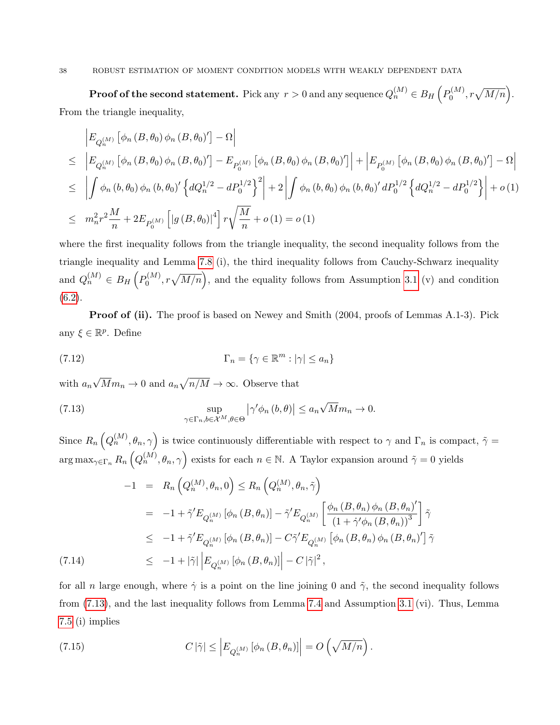### 38 ROBUST ESTIMATION OF MOMENT CONDITION MODELS WITH WEAKLY DEPENDENT DATA

 ${\bf Proof of the second statement.} \; \text{Pick any} \; r > 0 \; \text{and any sequence} \; Q_n^{(M)} \in B_H\left(P_0^{(M)}\right)$  $b_0^{(M)}, r\sqrt{M/n}$ . From the triangle inequality,

$$
\begin{split}\n&= \left| E_{Q_n^{(M)}} \left[ \phi_n \left( B, \theta_0 \right) \phi_n \left( B, \theta_0 \right)' \right] - \Omega \right| \\
&\leq \left| E_{Q_n^{(M)}} \left[ \phi_n \left( B, \theta_0 \right) \phi_n \left( B, \theta_0 \right)' \right] - E_{P_0^{(M)}} \left[ \phi_n \left( B, \theta_0 \right) \phi_n \left( B, \theta_0 \right)' \right] \right| + \left| E_{P_0^{(M)}} \left[ \phi_n \left( B, \theta_0 \right) \phi_n \left( B, \theta_0 \right)' \right] - \Omega \right| \\
&\leq \left| \int \phi_n \left( b, \theta_0 \right) \phi_n \left( b, \theta_0 \right)' \left\{ dQ_n^{1/2} - dP_0^{1/2} \right\}^2 \right| + 2 \left| \int \phi_n \left( b, \theta_0 \right) \phi_n \left( b, \theta_0 \right)' dP_0^{1/2} \left\{ dQ_n^{1/2} - dP_0^{1/2} \right\} \right| + o\left( 1 \right) \\
&\leq m_n^2 r^2 \frac{M}{n} + 2E_{P_0^{(M)}} \left[ \left| g \left( B, \theta_0 \right) \right|^4 \right] r \sqrt{\frac{M}{n}} + o\left( 1 \right) = o\left( 1 \right)\n\end{split}
$$

where the first inequality follows from the triangle inequality, the second inequality follows from the triangle inequality and Lemma [7.8](#page-42-0) (i), the third inequality follows from Cauchy-Schwarz inequality and  $Q_n^{(M)} \in B_H\left(P_0^{(M)}\right)$  $\mathcal{O}_0^{(M)}$ ,  $r\sqrt{M/n}$ , and the equality follows from Assumption [3.1](#page-8-0) (v) and condition  $(6.2).$  $(6.2).$ 

**Proof of (ii).** The proof is based on Newey and Smith (2004, proofs of Lemmas A.1-3). Pick any  $\xi \in \mathbb{R}^p$ . Define

(7.12) 
$$
\Gamma_n = \{ \gamma \in \mathbb{R}^m : |\gamma| \le a_n \}
$$

with  $a_n$ √  $\overline{M}m_n \to 0$  and  $a_n\sqrt{n/M} \to \infty$ . Observe that

<span id="page-37-0"></span>(7.13) 
$$
\sup_{\gamma \in \Gamma_n, b \in \mathcal{X}^M, \theta \in \Theta} |\gamma' \phi_n(b, \theta)| \le a_n \sqrt{M} m_n \to 0.
$$

Since  $R_n(Q_n^{(M)}, \theta_n, \gamma)$  is twice continuously differentiable with respect to  $\gamma$  and  $\Gamma_n$  is compact,  $\tilde{\gamma} =$  $\arg \max_{\gamma \in \Gamma_n} R_n \left( Q_n^{(M)}, \theta_n, \gamma \right)$  exists for each  $n \in \mathbb{N}$ . A Taylor expansion around  $\tilde{\gamma} = 0$  yields

<span id="page-37-2"></span>
$$
-1 = R_n \left( Q_n^{(M)}, \theta_n, 0 \right) \leq R_n \left( Q_n^{(M)}, \theta_n, \tilde{\gamma} \right)
$$
  
\n
$$
= -1 + \tilde{\gamma}' E_{Q_n^{(M)}} \left[ \phi_n \left( B, \theta_n \right) \right] - \tilde{\gamma}' E_{Q_n^{(M)}} \left[ \frac{\phi_n \left( B, \theta_n \right) \phi_n \left( B, \theta_n \right)'}{\left( 1 + \tilde{\gamma}' \phi_n \left( B, \theta_n \right) \right)^3} \right] \tilde{\gamma}
$$
  
\n
$$
\leq -1 + \tilde{\gamma}' E_{Q_n^{(M)}} \left[ \phi_n \left( B, \theta_n \right) \right] - C \tilde{\gamma}' E_{Q_n^{(M)}} \left[ \phi_n \left( B, \theta_n \right) \phi_n \left( B, \theta_n \right)' \right] \tilde{\gamma}
$$
  
\n(7.14)  
\n
$$
\leq -1 + |\tilde{\gamma}| \left| E_{Q_n^{(M)}} \left[ \phi_n \left( B, \theta_n \right) \right] \right| - C |\tilde{\gamma}|^2,
$$

for all n large enough, where  $\dot{\gamma}$  is a point on the line joining 0 and  $\tilde{\gamma}$ , the second inequality follows from [\(7.13\)](#page-37-0), and the last inequality follows from Lemma [7.4](#page-34-0) and Assumption [3.1](#page-8-0) (vi). Thus, Lemma [7.5](#page-36-0) (i) implies

<span id="page-37-1"></span>(7.15) 
$$
C |\tilde{\gamma}| \leq \left| E_{Q_n^{(M)}} [\phi_n (B, \theta_n)] \right| = O\left(\sqrt{M/n}\right).
$$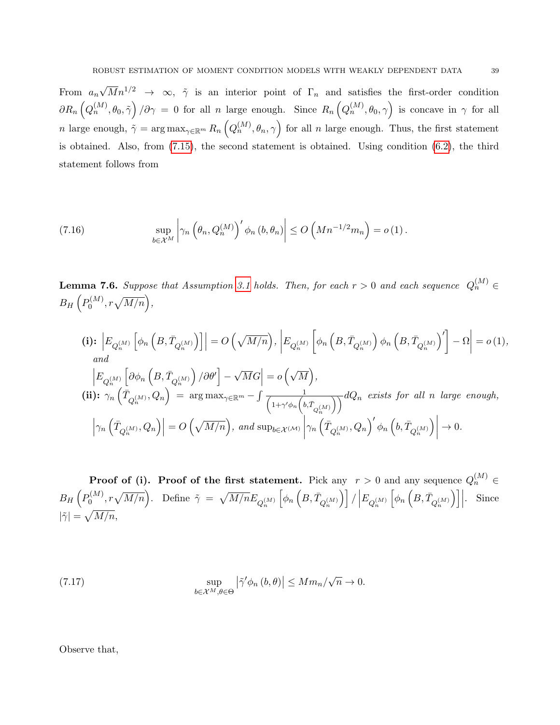From  $a_n$  $\sqrt{M}n^{1/2} \rightarrow \infty$ ,  $\tilde{\gamma}$  is an interior point of  $\Gamma_n$  and satisfies the first-order condition  $\partial R_n\left(Q_n^{(M)},\theta_0,\tilde{\gamma}\right)/\partial \gamma = 0$  for all n large enough. Since  $R_n\left(Q_n^{(M)},\theta_0,\gamma\right)$  is concave in  $\gamma$  for all n large enough,  $\tilde{\gamma} = \arg \max_{\gamma \in \mathbb{R}^m} R_n \left( Q_n^{(M)}, \theta_n, \gamma \right)$  for all n large enough. Thus, the first statement is obtained. Also, from [\(7.15\)](#page-37-1), the second statement is obtained. Using condition [\(6.2\)](#page-20-1), the third statement follows from

(7.16) 
$$
\sup_{b \in \mathcal{X}^M} \left| \gamma_n \left( \theta_n, Q_n^{(M)} \right)' \phi_n \left( b, \theta_n \right) \right| \leq O\left( M n^{-1/2} m_n \right) = o(1).
$$

<span id="page-38-0"></span>**Lemma 7.6.** Suppose that Assumption [3.1](#page-8-0) holds. Then, for each  $r > 0$  and each sequence  $Q_n^{(M)} \in$  $B_H\left(P_0^{(M)}\right)$  $b_0^{(M)}, r\sqrt{M/n}\Big),$ 

(i): 
$$
\left| E_{Q_n^{(M)}} \left[ \phi_n \left( B, \bar{T}_{Q_n^{(M)}} \right) \right] \right| = O\left(\sqrt{M/n}\right), \left| E_{Q_n^{(M)}} \left[ \phi_n \left( B, \bar{T}_{Q_n^{(M)}} \right) \phi_n \left( B, \bar{T}_{Q_n^{(M)}} \right)' \right] - \Omega \right| = o(1),
$$
  
\nand  
\n $\left| E_{Q_n^{(M)}} \left[ \partial \phi_n \left( B, \bar{T}_{Q_n^{(M)}} \right) / \partial \theta' \right] - \sqrt{M}G \right| = o\left(\sqrt{M}\right),$   
\n(ii):  $\gamma_n \left( \bar{T}_{Q_n^{(M)}}, Q_n \right) = \arg \max_{\gamma \in \mathbb{R}^m} - \int \frac{1}{\left( 1 + \gamma' \phi_n \left( b, \bar{T}_{Q_n^{(M)}} \right) \right)} dQ_n$  exists for all n large enough,  
\n $\left| \gamma_n \left( \bar{T}_{Q_n^{(M)}}, Q_n \right) \right| = O\left(\sqrt{M/n}\right),$  and  $\sup_{b \in \mathcal{X}^{(M)}} \left| \gamma_n \left( \bar{T}_{Q_n^{(M)}}, Q_n \right)' \phi_n \left( b, \bar{T}_{Q_n^{(M)}} \right) \right| \to 0.$ 

**Proof of (i). Proof of the first statement.** Pick any  $r > 0$  and any sequence  $Q_n^{(M)} \in$  $B_H\left(P_0^{(M)}\right)$  $\mathfrak{h}^{(M)}_0, r\sqrt{M/n}$ ). Define  $\tilde{\gamma} = \sqrt{M/n} E_{Q_n^{(M)}}$  $\left[\phi_{n}\left(B,\bar{T}_{Q_{n}^{(M)}}\right)\right] / \left|E_{Q_{n}^{(M)}}\right|$  $\Big[\phi_n\,\Big(B, \bar{T}_{Q_n^{(M)}}$  $\Big)\Big]\Big|$ . Since  $|\tilde{\gamma}|=\sqrt{M/n},$ 

<span id="page-38-1"></span>(7.17) 
$$
\sup_{b \in \mathcal{X}^M, \theta \in \Theta} |\tilde{\gamma}' \phi_n(b, \theta)| \le M m_n / \sqrt{n} \to 0.
$$

Observe that,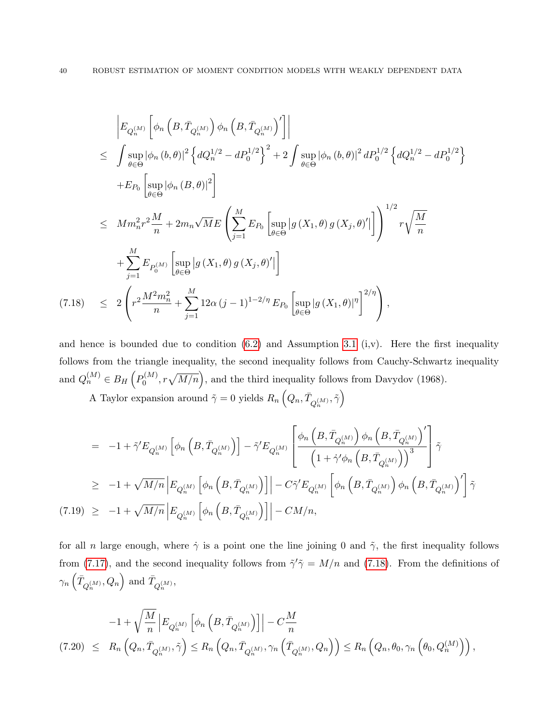<span id="page-39-0"></span>
$$
\begin{split}\n&\left|E_{Q_n^{(M)}}\left[\phi_n\left(B,\bar{T}_{Q_n^{(M)}}\right)\phi_n\left(B,\bar{T}_{Q_n^{(M)}}\right)'\right]\right| \\
&\leq \int \sup_{\theta \in \Theta} |\phi_n(b,\theta)|^2 \left\{dQ_n^{1/2} - dP_0^{1/2}\right\}^2 + 2 \int \sup_{\theta \in \Theta} |\phi_n(b,\theta)|^2 dP_0^{1/2} \left\{dQ_n^{1/2} - dP_0^{1/2}\right\} \\
&\quad + E_{P_0}\left[\sup_{\theta \in \Theta} |\phi_n(B,\theta)|^2\right] \\
&\leq M m_n^2 r^2 \frac{M}{n} + 2m_n \sqrt{M} E \left(\sum_{j=1}^M E_{P_0}\left[\sup_{\theta \in \Theta} |g(X_1,\theta) g(X_j,\theta)'|\right]\right)^{1/2} r \sqrt{\frac{M}{n}} \\
&\quad + \sum_{j=1}^M E_{P_0^{(M)}}\left[\sup_{\theta \in \Theta} |g(X_1,\theta) g(X_j,\theta)'|\right] \\
&\quad \left(7.18\right) \leq 2 \left(r^2 \frac{M^2 m_n^2}{n} + \sum_{j=1}^M 12\alpha (j-1)^{1-2/\eta} E_{P_0}\left[\sup_{\theta \in \Theta} |g(X_1,\theta)|^{\eta}\right]^{2/\eta}\right),\n\end{split}
$$

and hence is bounded due to condition  $(6.2)$  and Assumption [3.1](#page-8-0)  $(i, v)$ . Here the first inequality follows from the triangle inequality, the second inequality follows from Cauchy-Schwartz inequality and  $Q_n^{(M)} \in B_H\left(P_0^{(M)}\right)$  $b_0^{(M)}$ ,  $r\sqrt{M/n}$ , and the third inequality follows from Davydov (1968).

A Taylor expansion around  $\tilde{\gamma} = 0$  yields  $R_n\left(Q_n, \bar{T}_{Q_n^{(M)}}, \tilde{\gamma}\right)$ 

<span id="page-39-1"></span>
$$
= -1 + \tilde{\gamma}' E_{Q_n^{(M)}} \left[ \phi_n \left( B, \bar{T}_{Q_n^{(M)}} \right) \right] - \tilde{\gamma}' E_{Q_n^{(M)}} \left[ \frac{\phi_n \left( B, \bar{T}_{Q_n^{(M)}} \right) \phi_n \left( B, \bar{T}_{Q_n^{(M)}} \right)'}{\left( 1 + \dot{\gamma}' \phi_n \left( B, \bar{T}_{Q_n^{(M)}} \right) \right)^3} \right] \tilde{\gamma}
$$
  
\n
$$
\geq -1 + \sqrt{M/n} \left| E_{Q_n^{(M)}} \left[ \phi_n \left( B, \bar{T}_{Q_n^{(M)}} \right) \right] \right| - C \tilde{\gamma}' E_{Q_n^{(M)}} \left[ \phi_n \left( B, \bar{T}_{Q_n^{(M)}} \right) \phi_n \left( B, \bar{T}_{Q_n^{(M)}} \right)' \right] \tilde{\gamma}
$$
  
\n(7.19) 
$$
\geq -1 + \sqrt{M/n} \left| E_{Q_n^{(M)}} \left[ \phi_n \left( B, \bar{T}_{Q_n^{(M)}} \right) \right] \right| - CM/n,
$$

for all n large enough, where  $\dot{\gamma}$  is a point one the line joining 0 and  $\tilde{\gamma}$ , the first inequality follows from [\(7.17\)](#page-38-1), and the second inequality follows from  $\tilde{\gamma}'\tilde{\gamma} = M/n$  and [\(7.18\)](#page-39-0). From the definitions of  $\gamma_n\left(\bar{T}_{Q_n^{(M)}}, Q_n\right)$  and  $\bar{T}_{Q_n^{(M)}},$ 

<span id="page-39-2"></span>
$$
-1 + \sqrt{\frac{M}{n}} \left| E_{Q_n^{(M)}} \left[ \phi_n \left( B, \overline{T}_{Q_n^{(M)}} \right) \right] \right| - C \frac{M}{n}
$$
  
(7.20)  $\leq R_n \left( Q_n, \overline{T}_{Q_n^{(M)}}, \tilde{\gamma} \right) \leq R_n \left( Q_n, \overline{T}_{Q_n^{(M)}}, \gamma_n \left( \overline{T}_{Q_n^{(M)}}, Q_n \right) \right) \leq R_n \left( Q_n, \theta_0, \gamma_n \left( \theta_0, Q_n^{(M)} \right) \right),$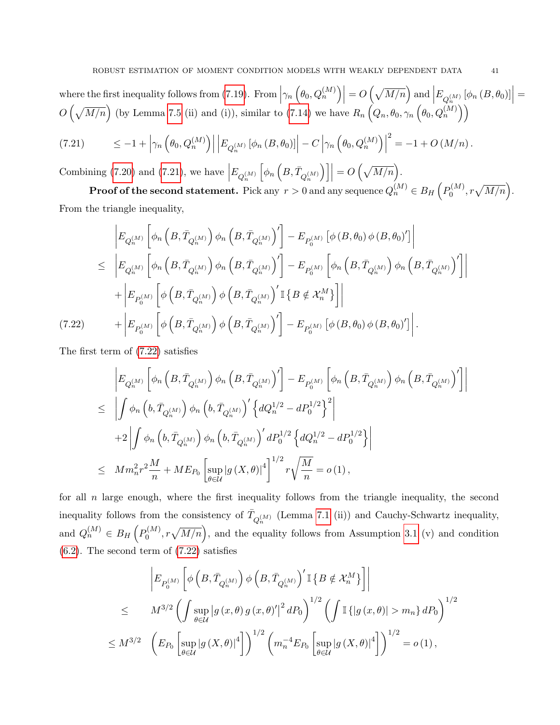where the first inequality follows from [\(7.19\)](#page-39-1). From  $\left|\gamma_n\left(\theta_0, Q_n^{(M)}\right)\right| = O\left(\sqrt{M/n}\right)$  and  $\left|E_{Q_n^{(M)}}\left[\phi_n\left(B, \theta_0\right)\right]\right| =$  $O\left(\sqrt{M/n}\right)$  (by Lemma [7.5](#page-36-0) (ii) and (i)), similar to [\(7.14\)](#page-37-2) we have  $R_n\left(Q_n, \theta_0, \gamma_n\left(\theta_0, Q_n^{(M)}\right)\right)$ 

<span id="page-40-0"></span>
$$
(7.21) \qquad \leq -1 + \left| \gamma_n \left( \theta_0, Q_n^{(M)} \right) \right| \left| E_{Q_n^{(M)}} \left[ \phi_n \left( B, \theta_0 \right) \right] \right| - C \left| \gamma_n \left( \theta_0, Q_n^{(M)} \right) \right|^2 = -1 + O\left( M/n \right).
$$

Combining [\(7.20\)](#page-39-2) and [\(7.21\)](#page-40-0), we have  $E_{Q_n^{(M)}}$  $\Big[\phi_n\,\Big(B, \bar T_{Q_n^{(M)}}$  $\Big|\Big|\Big|=O\left(\sqrt{M/n}\right).$ 

 ${\bf Proof of the second statement.} \; \text{Pick any} \; r > 0 \; \text{and any sequence} \; Q_n^{(M)} \in B_H\left(P_0^{(M)}\right)$  $p_0^{(M)}, r\sqrt{M/n}\Big).$ From the triangle inequality,

<span id="page-40-1"></span>
$$
\begin{split}\n&\left|E_{Q_{n}^{(M)}}\left[\phi_{n}\left(B,\bar{T}_{Q_{n}^{(M)}}\right)\phi_{n}\left(B,\bar{T}_{Q_{n}^{(M)}}\right)'\right]-E_{P_{0}^{(M)}}\left[\phi\left(B,\theta_{0}\right)\phi\left(B,\theta_{0}\right)'\right]\right| \\
&\leq\;\left|E_{Q_{n}^{(M)}}\left[\phi_{n}\left(B,\bar{T}_{Q_{n}^{(M)}}\right)\phi_{n}\left(B,\bar{T}_{Q_{n}^{(M)}}\right)'\right]-E_{P_{0}^{(M)}}\left[\phi_{n}\left(B,\bar{T}_{Q_{n}^{(M)}}\right)\phi_{n}\left(B,\bar{T}_{Q_{n}^{(M)}}\right)'\right]\right| \\
&+\left|E_{P_{0}^{(M)}}\left[\phi\left(B,\bar{T}_{Q_{n}^{(M)}}\right)\phi\left(B,\bar{T}_{Q_{n}^{(M)}}\right)'\mathbb{I}\left\{B\notin\mathcal{X}_{n}^{M}\right\}\right]\right| \\
(7.22) \qquad &\left.+ \left|E_{P_{0}^{(M)}}\left[\phi\left(B,\bar{T}_{Q_{n}^{(M)}}\right)\phi\left(B,\bar{T}_{Q_{n}^{(M)}}\right)'\right]-E_{P_{0}^{(M)}}\left[\phi\left(B,\theta_{0}\right)\phi\left(B,\theta_{0}\right)'\right]\right|. \end{split}
$$

The first term of [\(7.22\)](#page-40-1) satisfies

$$
\begin{split} &\left|E_{Q_n^{(M)}}\left[\phi_n\left(B,\bar{T}_{Q_n^{(M)}}\right)\phi_n\left(B,\bar{T}_{Q_n^{(M)}}\right)'\right]-E_{P_0^{(M)}}\left[\phi_n\left(B,\bar{T}_{Q_n^{(M)}}\right)\phi_n\left(B,\bar{T}_{Q_n^{(M)}}\right)'\right]\right|\\ &\leq \left|\int \phi_n\left(b,\bar{T}_{Q_n^{(M)}}\right)\phi_n\left(b,\bar{T}_{Q_n^{(M)}}\right)' \left\{dQ_n^{1/2}-dP_0^{1/2}\right\}^2\right|\\ &\left.+2\left|\int \phi_n\left(b,\bar{T}_{Q_n^{(M)}}\right)\phi_n\left(b,\bar{T}_{Q_n^{(M)}}\right)'dP_0^{1/2}\left\{dQ_n^{1/2}-dP_0^{1/2}\right\}\right|\\ &\leq \left.Mm_n^2r^2\frac{M}{n}+ME_{P_0}\left[\sup_{\theta\in\mathcal{U}}|g\left(X,\theta\right)|^4\right]^{1/2}r\sqrt{\frac{M}{n}}=o\left(1\right), \end{split}
$$

for all  $n$  large enough, where the first inequality follows from the triangle inequality, the second inequality follows from the consistency of  $\bar{T}_{Q_n^{(M)}}$  (Lemma [7.1](#page-28-1) (ii)) and Cauchy-Schwartz inequality, and  $Q_n^{(M)} \in B_H\left(P_0^{(M)}\right)$  $b_0^{(M)}$ ,  $r\sqrt{M/n}$ , and the equality follows from Assumption [3.1](#page-8-0) (v) and condition  $(6.2)$ . The second term of  $(7.22)$  satisfies

$$
\begin{split} \left| E_{P_0^{(M)}}\left[ \phi\left(B,\bar{T}_{Q_n^{(M)}}\right) \phi\left(B,\bar{T}_{Q_n^{(M)}}\right)' \mathbb{I}\left\{B\notin \mathcal{X}_n^M\right\} \right] \right| \\ \leq &\qquad M^{3/2} \left( \int \sup_{\theta \in \mathcal{U}} \left| g\left(x,\theta\right) g\left(x,\theta\right)' \right|^2 dP_0 \right)^{1/2} \left( \int \mathbb{I}\left\{ \left| g\left(x,\theta\right) \right| > m_n \right\} dP_0 \right)^{1/2} \\ \leq &\qquad M^{3/2} \left( E_{P_0}\left[ \sup_{\theta \in \mathcal{U}} \left| g\left(X,\theta\right) \right|^4 \right] \right)^{1/2} \left( m_n^{-4} E_{P_0}\left[ \sup_{\theta \in \mathcal{U}} \left| g\left(X,\theta\right) \right|^4 \right] \right)^{1/2} = o\left(1\right), \end{split}
$$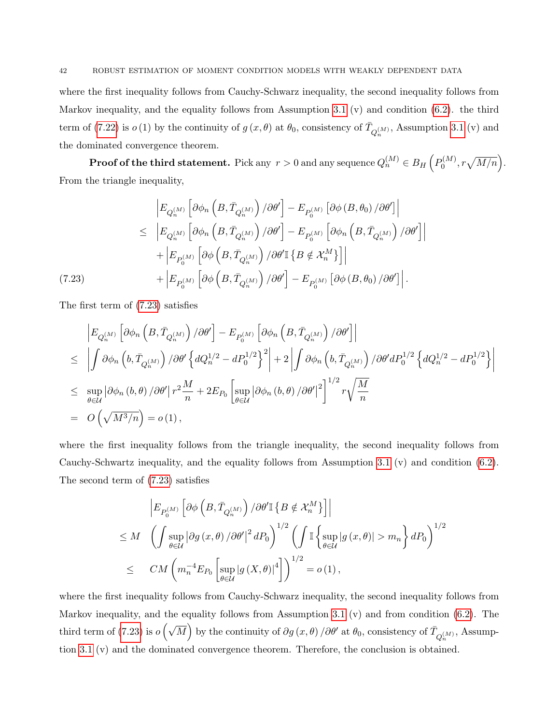where the first inequality follows from Cauchy-Schwarz inequality, the second inequality follows from Markov inequality, and the equality follows from Assumption [3.1](#page-8-0) (v) and condition [\(6.2\)](#page-20-1). the third term of [\(7.22\)](#page-40-1) is  $o(1)$  by the continuity of  $g(x, \theta)$  at  $\theta_0$ , consistency of  $\bar{T}_{Q_n^{(M)}}$ , Assumption [3.1](#page-8-0) (v) and the dominated convergence theorem.

 ${\bf Proof of the third statement.} \; \text{Pick any} \; \text{$r>0$ and any sequence} \; Q_n^{(M)} \in B_H\left(P_0^{(M)}\right)$  $b_0^{(M)}, r\sqrt{M/n}\Big).$ From the triangle inequality,

<span id="page-41-0"></span>
$$
\begin{split}\n& \left| E_{Q_n^{(M)}} \left[ \partial \phi_n \left( B, \bar{T}_{Q_n^{(M)}} \right) / \partial \theta' \right] - E_{P_0^{(M)}} \left[ \partial \phi \left( B, \theta_0 \right) / \partial \theta' \right] \right| \\
&\leq \left| E_{Q_n^{(M)}} \left[ \partial \phi_n \left( B, \bar{T}_{Q_n^{(M)}} \right) / \partial \theta' \right] - E_{P_0^{(M)}} \left[ \partial \phi_n \left( B, \bar{T}_{Q_n^{(M)}} \right) / \partial \theta' \right] \right| \\
&+ \left| E_{P_0^{(M)}} \left[ \partial \phi \left( B, \bar{T}_{Q_n^{(M)}} \right) / \partial \theta' \mathbb{I} \left\{ B \notin \mathcal{X}_n^M \right\} \right] \right| \\
& \left. (7.23) \qquad \qquad + \left| E_{P_0^{(M)}} \left[ \partial \phi \left( B, \bar{T}_{Q_n^{(M)}} \right) / \partial \theta' \right] - E_{P_0^{(M)}} \left[ \partial \phi \left( B, \theta_0 \right) / \partial \theta' \right] \right|.\n\end{split}
$$

The first term of [\(7.23\)](#page-41-0) satisfies

$$
\begin{split}\n& \left| E_{Q_n^{(M)}} \left[ \partial \phi_n \left( B, \bar{T}_{Q_n^{(M)}} \right) / \partial \theta' \right] - E_{P_0^{(M)}} \left[ \partial \phi_n \left( B, \bar{T}_{Q_n^{(M)}} \right) / \partial \theta' \right] \right| \\
&\leq \left| \int \partial \phi_n \left( b, \bar{T}_{Q_n^{(M)}} \right) / \partial \theta' \left\{ dQ_n^{1/2} - dP_0^{1/2} \right\}^2 \right| + 2 \left| \int \partial \phi_n \left( b, \bar{T}_{Q_n^{(M)}} \right) / \partial \theta' dP_0^{1/2} \left\{ dQ_n^{1/2} - dP_0^{1/2} \right\} \right| \\
&\leq \sup_{\theta \in \mathcal{U}} \left| \partial \phi_n \left( b, \theta \right) / \partial \theta' \right| r^2 \frac{M}{n} + 2E_{P_0} \left[ \sup_{\theta \in \mathcal{U}} \left| \partial \phi_n \left( b, \theta \right) / \partial \theta' \right|^2 \right]^{1/2} r \sqrt{\frac{M}{n}} \\
&= O\left( \sqrt{M^3/n} \right) = o(1),\n\end{split}
$$

where the first inequality follows from the triangle inequality, the second inequality follows from Cauchy-Schwartz inequality, and the equality follows from Assumption [3.1](#page-8-0) (v) and condition [\(6.2\)](#page-20-1). The second term of [\(7.23\)](#page-41-0) satisfies

$$
\begin{split} &\left|E_{P_{0}^{(M)}}\left[\partial\phi\left(B,\bar{T}_{Q_{n}^{(M)}}\right)/\partial\theta'\mathbb{I}\left\{B\notin\mathcal{X}_{n}^{M}\right\}\right]\right|\\ &\leq M\quad\left(\int\sup_{\theta\in\mathcal{U}}\left|\partial g\left(x,\theta\right)/\partial\theta'\right|^{2}dP_{0}\right)^{1/2}\left(\int\mathbb{I}\left\{\sup_{\theta\in\mathcal{U}}\left|g\left(x,\theta\right)\right|>m_{n}\right\}dP_{0}\right)^{1/2}\\ &\leq\quad CM\left(m_{n}^{-4}E_{P_{0}}\left[\sup_{\theta\in\mathcal{U}}\left|g\left(X,\theta\right)\right|^{4}\right]\right)^{1/2}=o\left(1\right), \end{split}
$$

where the first inequality follows from Cauchy-Schwarz inequality, the second inequality follows from Markov inequality, and the equality follows from Assumption [3.1](#page-8-0) (v) and from condition [\(6.2\)](#page-20-1). The third term of [\(7.23\)](#page-41-0) is  $o\left(\sqrt{M}\right)$  by the continuity of  $\partial g(x,\theta)/\partial \theta'$  at  $\theta_0$ , consistency of  $\overline{T}_{Q_n^{(M)}},$  Assumption [3.1](#page-8-0) (v) and the dominated convergence theorem. Therefore, the conclusion is obtained.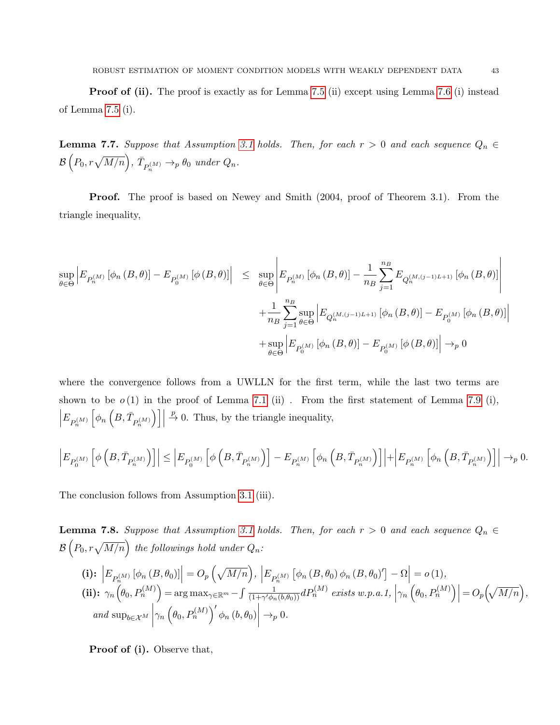**Proof of (ii).** The proof is exactly as for Lemma [7.5](#page-36-0) (ii) except using Lemma [7.6](#page-38-0) (i) instead of Lemma [7.5](#page-36-0) (i).

<span id="page-42-1"></span>**Lemma 7.7.** Suppose that Assumption [3.1](#page-8-0) holds. Then, for each  $r > 0$  and each sequence  $Q_n \in$  $\mathcal{B}\left(P_0, r\sqrt{M/n}\right), \ \bar{T}_{P_n^{(M)}} \rightarrow_p \theta_0 \ \ under \ Q_n.$ 

Proof. The proof is based on Newey and Smith (2004, proof of Theorem 3.1). From the triangle inequality,

$$
\sup_{\theta \in \Theta} \left| E_{P_n^{(M)}} \left[ \phi_n (B, \theta) \right] - E_{P_0^{(M)}} \left[ \phi (B, \theta) \right] \right| \leq \sup_{\theta \in \Theta} \left| E_{P_n^{(M)}} \left[ \phi_n (B, \theta) \right] - \frac{1}{n_B} \sum_{j=1}^{n_B} E_{Q_n^{(M,(j-1)L+1)}} \left[ \phi_n (B, \theta) \right] \right| + \frac{1}{n_B} \sum_{j=1}^{n_B} \sup_{\theta \in \Theta} \left| E_{Q_n^{(M,(j-1)L+1)}} \left[ \phi_n (B, \theta) \right] - E_{P_0^{(M)}} \left[ \phi_n (B, \theta) \right] \right| + \sup_{\theta \in \Theta} \left| E_{P_0^{(M)}} \left[ \phi_n (B, \theta) \right] - E_{P_0^{(M)}} \left[ \phi (B, \theta) \right] \right| \to_p 0
$$

where the convergence follows from a UWLLN for the first term, while the last two terms are shown to be  $o(1)$  in the proof of Lemma [7.1](#page-28-1) (ii). From the first statement of Lemma [7.9](#page-43-0) (i),  $E_{P_n^{(M)}}$  $\Big[\phi_n\,\Big(B,\bar T_{P_n^{(M)}} % was \def\La{\Lambda\mu}(T\#(\overline{M})\Big)\Big]$  $\Big)\Big]\Big|$  $\stackrel{p}{\rightarrow}$  0. Thus, by the triangle inequality,

$$
\left|E_{P_0^{(M)}}\left[\phi\left(B,\bar{T}_{P_n^{(M)}}\right)\right]\right|\leq \left|E_{P_0^{(M)}}\left[\phi\left(B,\bar{T}_{P_n^{(M)}}\right)\right]-E_{P_n^{(M)}}\left[\phi_n\left(B,\bar{T}_{P_n^{(M)}}\right)\right]\right|+\left|E_{P_n^{(M)}}\left[\phi_n\left(B,\bar{T}_{P_n^{(M)}}\right)\right]\right|\to_p 0.
$$

The conclusion follows from Assumption [3.1](#page-8-0) (iii).

<span id="page-42-0"></span>**Lemma 7.8.** Suppose that Assumption [3.1](#page-8-0) holds. Then, for each  $r > 0$  and each sequence  $Q_n \in$  $\mathcal{B}\left( P_0, r\sqrt{M/n} \right)$  the followings hold under  $Q_n$ :

(i): 
$$
\left| E_{P_n^{(M)}} \left[ \phi_n (B, \theta_0) \right] \right| = O_p \left( \sqrt{M/n} \right), \left| E_{P_n^{(M)}} \left[ \phi_n (B, \theta_0) \phi_n (B, \theta_0)' \right] - \Omega \right| = o(1),
$$
  
(ii): 
$$
\gamma_n \left( \theta_0, P_n^{(M)} \right) = \arg \max_{\gamma \in \mathbb{R}^m} - \int \frac{1}{(1 + \gamma' \phi_n (b, \theta_0))} dP_n^{(M)} \text{ exists } w.p.a.1, \left| \gamma_n \left( \theta_0, P_n^{(M)} \right) \right| = O_p \left( \sqrt{M/n} \right),
$$
  
and 
$$
\sup_{b \in \mathcal{X}^M} \left| \gamma_n \left( \theta_0, P_n^{(M)} \right)' \phi_n (b, \theta_0) \right| \to_p 0.
$$

Proof of (i). Observe that,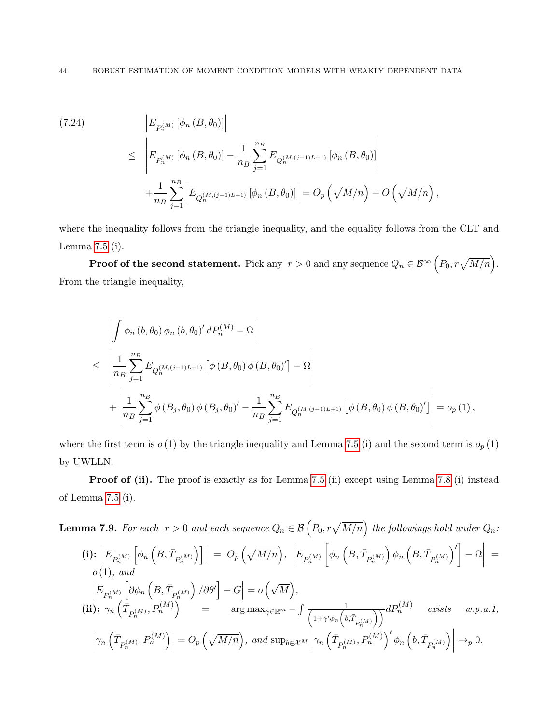(7.24)  
\n
$$
\begin{aligned}\n\left| E_{P_n^{(M)}} \left[ \phi_n \left( B, \theta_0 \right) \right] \right| \\
&\leq \left| E_{P_n^{(M)}} \left[ \phi_n \left( B, \theta_0 \right) \right] - \frac{1}{n_B} \sum_{j=1}^{n_B} E_{Q_n^{(M,(j-1)L+1)}} \left[ \phi_n \left( B, \theta_0 \right) \right] \right| \\
&+ \frac{1}{n_B} \sum_{j=1}^{n_B} \left| E_{Q_n^{(M,(j-1)L+1)}} \left[ \phi_n \left( B, \theta_0 \right) \right] \right| = O_p \left( \sqrt{M/n} \right) + O \left( \sqrt{M/n} \right),\n\end{aligned}
$$

where the inequality follows from the triangle inequality, and the equality follows from the CLT and Lemma [7.5](#page-36-0) (i).

**Proof of the second statement.** Pick any  $\,r>0$  and any sequence  $Q_n\in\mathcal{B}^\infty\left(P_0,r\sqrt{M/n}\right)$ . From the triangle inequality,

$$
\left| \int \phi_n (b, \theta_0) \phi_n (b, \theta_0)' dP_n^{(M)} - \Omega \right|
$$
\n
$$
\leq \left| \frac{1}{n_B} \sum_{j=1}^{n_B} E_{Q_n^{(M,(j-1)L+1)}} \left[ \phi (B, \theta_0) \phi (B, \theta_0)' \right] - \Omega \right|
$$
\n
$$
+ \left| \frac{1}{n_B} \sum_{j=1}^{n_B} \phi (B_j, \theta_0) \phi (B_j, \theta_0)' - \frac{1}{n_B} \sum_{j=1}^{n_B} E_{Q_n^{(M,(j-1)L+1)}} \left[ \phi (B, \theta_0) \phi (B, \theta_0)' \right] \right| = o_p (1),
$$

where the first term is  $o(1)$  by the triangle inequality and Lemma [7.5](#page-36-0) (i) and the second term is  $o_p(1)$ by UWLLN.

Proof of (ii). The proof is exactly as for Lemma [7.5](#page-36-0) (ii) except using Lemma [7.8](#page-42-0) (i) instead of Lemma [7.5](#page-36-0) (i).

<span id="page-43-0"></span>**Lemma 7.9.** For each 
$$
r > 0
$$
 and each sequence  $Q_n \in \mathcal{B}(P_0, r\sqrt{M/n})$  the following should under  $Q_n$ :  
\n(i):  $\left| E_{P_n^{(M)}} \left[ \phi_n \left( B, \overline{T}_{P_n^{(M)}} \right) \right] \right| = O_p \left( \sqrt{M/n} \right), \left| E_{P_n^{(M)}} \left[ \phi_n \left( B, \overline{T}_{P_n^{(M)}} \right) \phi_n \left( B, \overline{T}_{P_n^{(M)}} \right)' \right] - \Omega \right| = o(1), and$   
\n $\left| E_{P_n^{(M)}} \left[ \partial \phi_n \left( B, \overline{T}_{P_n^{(M)}} \right) / \partial \theta' \right] - G \right| = o \left( \sqrt{M} \right),$   
\n(ii):  $\gamma_n \left( \overline{T}_{P_n^{(M)}}, P_n^{(M)} \right) = \arg \max_{\gamma \in \mathbb{R}^m} - \int \frac{1}{\left( 1 + \gamma' \phi_n \left( b, \overline{T}_{P_n^{(M)}} \right) \right)} dP_n^{(M)} \text{ exists } w.p.a.1,$   
\n $\left| \gamma_n \left( \overline{T}_{P_n^{(M)}}, P_n^{(M)} \right) \right| = O_p \left( \sqrt{M/n} \right), \text{ and } \sup_{b \in \mathcal{X}^M} \left| \gamma_n \left( \overline{T}_{P_n^{(M)}}, P_n^{(M)} \right)' \phi_n \left( b, \overline{T}_{P_n^{(M)}} \right) \right| \rightarrow_p 0.$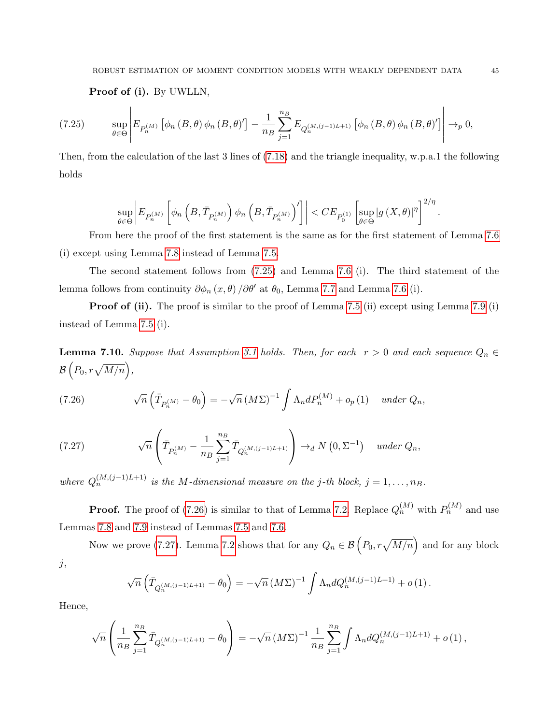<span id="page-44-1"></span>Proof of (i). By UWLLN,

$$
(7.25) \qquad \sup_{\theta \in \Theta} \left| E_{P_n^{(M)}} \left[ \phi_n \left( B, \theta \right) \phi_n \left( B, \theta \right)' \right] - \frac{1}{n_B} \sum_{j=1}^{n_B} E_{Q_n^{(M,(j-1)L+1)}} \left[ \phi_n \left( B, \theta \right) \phi_n \left( B, \theta \right)' \right] \right| \to_p 0,
$$

Then, from the calculation of the last 3 lines of [\(7.18\)](#page-39-0) and the triangle inequality, w.p.a.1 the following holds

$$
\sup_{\theta \in \Theta} \bigg| E_{P_n^{(M)}} \left[ \phi_n \left( B, \bar{T}_{P_n^{(M)}} \right) \phi_n \left( B, \bar{T}_{P_n^{(M)}} \right)' \right] \bigg| < CE_{P_0^{(1)}} \left[ \sup_{\theta \in \Theta} | g \left( X, \theta \right) |^{\eta} \right]^{2/\eta}
$$

From here the proof of the first statement is the same as for the first statement of Lemma [7.6](#page-38-0) (i) except using Lemma [7.8](#page-42-0) instead of Lemma [7.5.](#page-36-0)

The second statement follows from [\(7.25\)](#page-44-1) and Lemma [7.6](#page-38-0) (i). The third statement of the lemma follows from continuity  $\partial \phi_n(x,\theta) / \partial \theta'$  at  $\theta_0$ , Lemma [7.7](#page-42-1) and Lemma [7.6](#page-38-0) (i).

**Proof of (ii).** The proof is similar to the proof of Lemma [7.5](#page-36-0) (ii) except using Lemma [7.9](#page-43-0) (i) instead of Lemma [7.5](#page-36-0) (i).

<span id="page-44-0"></span>**Lemma 7.10.** Suppose that Assumption [3.1](#page-8-0) holds. Then, for each  $r > 0$  and each sequence  $Q_n \in$  $\mathcal{B}\left(P_0, r\sqrt{M/n}\right),$ 

<span id="page-44-2"></span>(7.26) 
$$
\sqrt{n}\left(\bar{T}_{P_n^{(M)}}-\theta_0\right)=-\sqrt{n}\left(M\Sigma\right)^{-1}\int \Lambda_n dP_n^{(M)}+o_p(1) \quad under\ Q_n,
$$

<span id="page-44-3"></span>(7.27) 
$$
\sqrt{n}\left(\bar{T}_{P_n^{(M)}} - \frac{1}{n_B}\sum_{j=1}^{n_B} \bar{T}_{Q_n^{(M,(j-1)L+1)}}\right) \to_d N(0, \Sigma^{-1}) \quad under \ Q_n,
$$

where  $Q_n^{(M,(j-1)L+1)}$  is the M-dimensional measure on the j-th block,  $j = 1, \ldots, n_B$ .

**Proof.** The proof of [\(7.26\)](#page-44-2) is similar to that of Lemma [7.2.](#page-29-0) Replace  $Q_n^{(M)}$  with  $P_n^{(M)}$  and use Lemmas [7.8](#page-42-0) and [7.9](#page-43-0) instead of Lemmas [7.5](#page-36-0) and [7.6.](#page-38-0)

Now we prove [\(7.27\)](#page-44-3). Lemma [7.2](#page-29-0) shows that for any  $Q_n \in \mathcal{B}\left(P_0, r\sqrt{M/n}\right)$  and for any block  $j,$ 

$$
\sqrt{n}\left(\bar{T}_{Q_n^{(M,(j-1)L+1)}} - \theta_0\right) = -\sqrt{n} \left(M\Sigma\right)^{-1} \int \Lambda_n dQ_n^{(M,(j-1)L+1)} + o(1) \, .
$$

Hence,

$$
\sqrt{n}\left(\frac{1}{n_B}\sum_{j=1}^{n_B} \bar{T}_{Q_n^{(M,(j-1)L+1)}} - \theta_0\right) = -\sqrt{n} \left(M\Sigma\right)^{-1} \frac{1}{n_B} \sum_{j=1}^{n_B} \int \Lambda_n dQ_n^{(M,(j-1)L+1)} + o(1) \,,
$$

.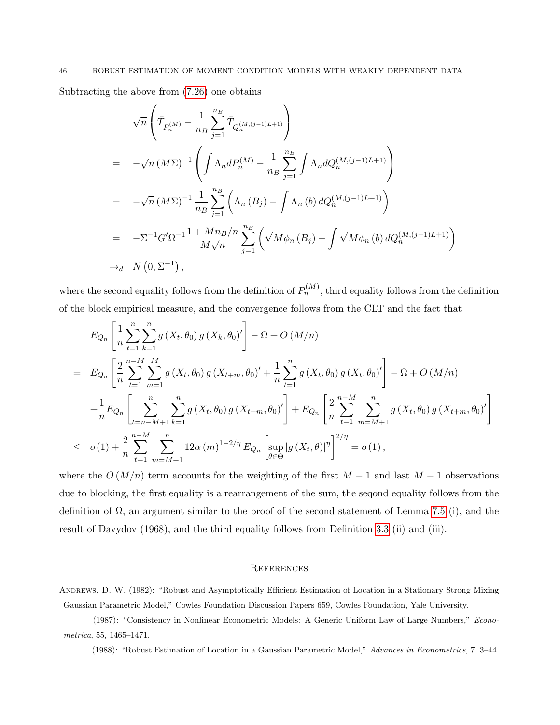Subtracting the above from [\(7.26\)](#page-44-2) one obtains

$$
\sqrt{n}\left(\bar{T}_{P_n^{(M)}} - \frac{1}{n_B} \sum_{j=1}^{n_B} \bar{T}_{Q_n^{(M,(j-1)L+1)}}\right)
$$
\n
$$
= -\sqrt{n} (M\Sigma)^{-1} \left(\int \Lambda_n dP_n^{(M)} - \frac{1}{n_B} \sum_{j=1}^{n_B} \int \Lambda_n dQ_n^{(M,(j-1)L+1)}\right)
$$
\n
$$
= -\sqrt{n} (M\Sigma)^{-1} \frac{1}{n_B} \sum_{j=1}^{n_B} \left(\Lambda_n (B_j) - \int \Lambda_n (b) dQ_n^{(M,(j-1)L+1)}\right)
$$
\n
$$
= -\Sigma^{-1} G' \Omega^{-1} \frac{1 + Mn_B/n}{M\sqrt{n}} \sum_{j=1}^{n_B} \left(\sqrt{M} \phi_n (B_j) - \int \sqrt{M} \phi_n (b) dQ_n^{(M,(j-1)L+1)}\right)
$$
\n
$$
\to_d N (0, \Sigma^{-1}),
$$

where the second equality follows from the definition of  $P_n^{(M)}$ , third equality follows from the definition of the block empirical measure, and the convergence follows from the CLT and the fact that

$$
E_{Q_n}\left[\frac{1}{n}\sum_{t=1}^n\sum_{k=1}^n g(X_t, \theta_0) g(X_k, \theta_0)'\right] - \Omega + O\left(M/n\right)
$$
  
\n
$$
= E_{Q_n}\left[\frac{2}{n}\sum_{t=1}^{n-M} \sum_{m=1}^M g(X_t, \theta_0) g(X_{t+m}, \theta_0)'+\frac{1}{n}\sum_{t=1}^n g(X_t, \theta_0) g(X_t, \theta_0)'\right] - \Omega + O\left(M/n\right)
$$
  
\n
$$
+ \frac{1}{n}E_{Q_n}\left[\sum_{t=n-M+1}^n\sum_{k=1}^n g(X_t, \theta_0) g(X_{t+m}, \theta_0)'\right] + E_{Q_n}\left[\frac{2}{n}\sum_{t=1}^{n-M} \sum_{m=M+1}^n g(X_t, \theta_0) g(X_{t+m}, \theta_0)'\right]
$$
  
\n
$$
\leq o(1) + \frac{2}{n}\sum_{t=1}^{n-M} \sum_{m=M+1}^n 12\alpha(m)^{1-2/\eta} E_{Q_n}\left[\sup_{\theta \in \Theta} |g(X_t, \theta)|^{\eta}\right]^{2/\eta} = o(1),
$$

where the  $O(M/n)$  term accounts for the weighting of the first  $M-1$  and last  $M-1$  observations due to blocking, the first equality is a rearrangement of the sum, the seqond equality follows from the definition of  $\Omega$ , an argument similar to the proof of the second statement of Lemma [7.5](#page-36-0) (i), and the result of Davydov (1968), and the third equality follows from Definition [3.3](#page-6-0) (ii) and (iii).

### **REFERENCES**

ANDREWS, D. W. (1982): "Robust and Asymptotically Efficient Estimation of Location in a Stationary Strong Mixing Gaussian Parametric Model," Cowles Foundation Discussion Papers 659, Cowles Foundation, Yale University.

(1987): "Consistency in Nonlinear Econometric Models: A Generic Uniform Law of Large Numbers," Econometrica, 55, 1465–1471.

(1988): "Robust Estimation of Location in a Gaussian Parametric Model," Advances in Econometrics, 7, 3–44.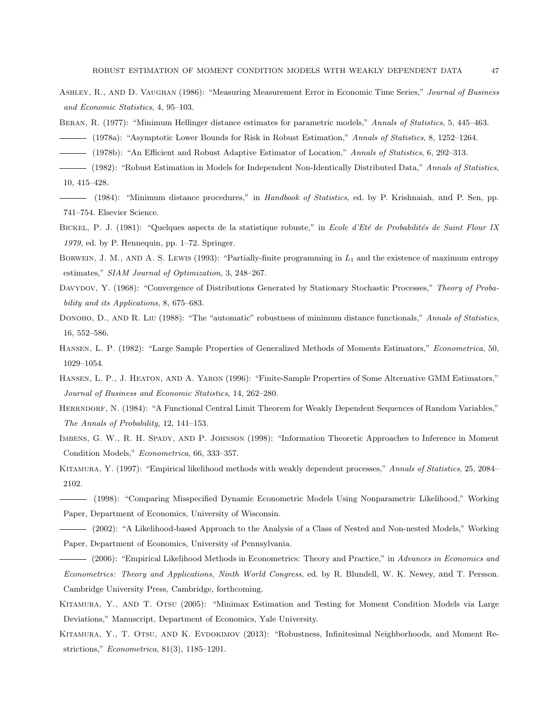- ASHLEY, R., AND D. VAUGHAN (1986): "Measuring Measurement Error in Economic Time Series," Journal of Business and Economic Statistics, 4, 95–103.
- BERAN, R. (1977): "Minimum Hellinger distance estimates for parametric models," Annals of Statistics, 5, 445–463.
- (1978a): "Asymptotic Lower Bounds for Risk in Robust Estimation," Annals of Statistics, 8, 1252–1264.
- (1978b): "An Efficient and Robust Adaptive Estimator of Location," Annals of Statistics, 6, 292–313.
- (1982): "Robust Estimation in Models for Independent Non-Identically Distributed Data," Annals of Statistics, 10, 415–428.
- (1984): "Minimum distance procedures," in *Handbook of Statistics*, ed. by P. Krishnaiah, and P. Sen, pp. 741–754. Elsevier Science.
- BICKEL, P. J. (1981): "Quelques aspects de la statistique robuste," in Ecole d'Eté de Probabilités de Saint Flour IX 1979, ed. by P. Hennequin, pp. 1–72. Springer.
- BORWEIN, J. M., AND A. S. LEWIS (1993): "Partially-finite programming in  $L_1$  and the existence of maximum entropy estimates," SIAM Journal of Optimization, 3, 248–267.
- DAVYDOV, Y. (1968): "Convergence of Distributions Generated by Stationary Stochastic Processes," Theory of Probability and its Applications, 8, 675–683.
- DONOHO, D., AND R. LIU (1988): "The "automatic" robustness of minimum distance functionals," Annals of Statistics, 16, 552–586.
- HANSEN, L. P. (1982): "Large Sample Properties of Generalized Methods of Moments Estimators," Econometrica, 50, 1029–1054.
- Hansen, L. P., J. Heaton, and A. Yaron (1996): "Finite-Sample Properties of Some Alternative GMM Estimators," Journal of Business and Economic Statistics, 14, 262–280.
- HERRNDORF, N. (1984): "A Functional Central Limit Theorem for Weakly Dependent Sequences of Random Variables," The Annals of Probability, 12, 141–153.
- IMBENS, G. W., R. H. SPADY, AND P. JOHNSON (1998): "Information Theoretic Approaches to Inference in Moment Condition Models," Econometrica, 66, 333–357.
- KITAMURA, Y. (1997): "Empirical likelihood methods with weakly dependent processes," Annals of Statistics, 25, 2084– 2102.
- (1998): "Comparing Misspecified Dynamic Econometric Models Using Nonparametric Likelihood," Working Paper, Department of Economics, University of Wisconsin.
- (2002): "A Likelihood-based Approach to the Analysis of a Class of Nested and Non-nested Models," Working Paper, Department of Economics, University of Pennsylvania.
- (2006): "Empirical Likelihood Methods in Econometrics: Theory and Practice," in Advances in Economics and Econometrics: Theory and Applications, Ninth World Congress, ed. by R. Blundell, W. K. Newey, and T. Persson. Cambridge University Press, Cambridge, forthcoming.
- Kitamura, Y., and T. Otsu (2005): "Minimax Estimation and Testing for Moment Condition Models via Large Deviations," Manuscript, Department of Economics, Yale University.
- KITAMURA, Y., T. OTSU, AND K. EVDOKIMOV (2013): "Robustness, Infinitesimal Neighborhoods, and Moment Restrictions," Econometrica, 81(3), 1185–1201.